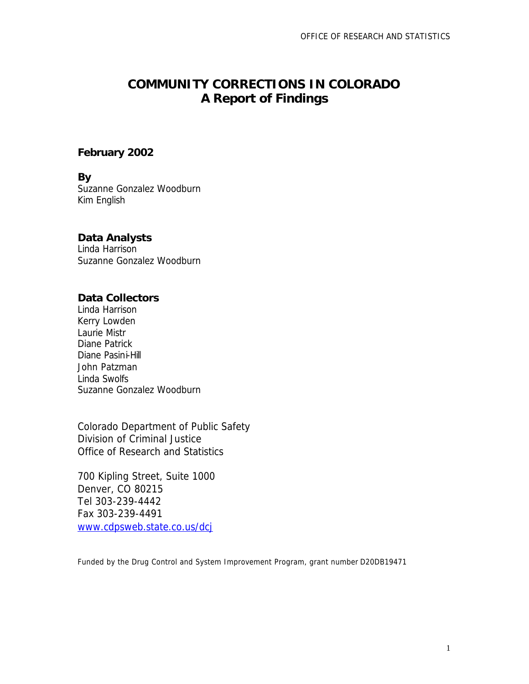# **COMMUNITY CORRECTIONS IN COLORADO A Report of Findings**

#### **February 2002**

#### **By**

Suzanne Gonzalez Woodburn Kim English

### **Data Analysts**

Linda Harrison Suzanne Gonzalez Woodburn

#### **Data Collectors**

Linda Harrison Kerry Lowden Laurie Mistr Diane Patrick Diane Pasini-Hill John Patzman Linda Swolfs Suzanne Gonzalez Woodburn

Colorado Department of Public Safety Division of Criminal Justice Office of Research and Statistics

700 Kipling Street, Suite 1000 Denver, CO 80215 Tel 303-239-4442 Fax 303-239-4491 www.cdpsweb.state.co.us/dcj

*Funded by the Drug Control and System Improvement Program, grant number D20DB19471*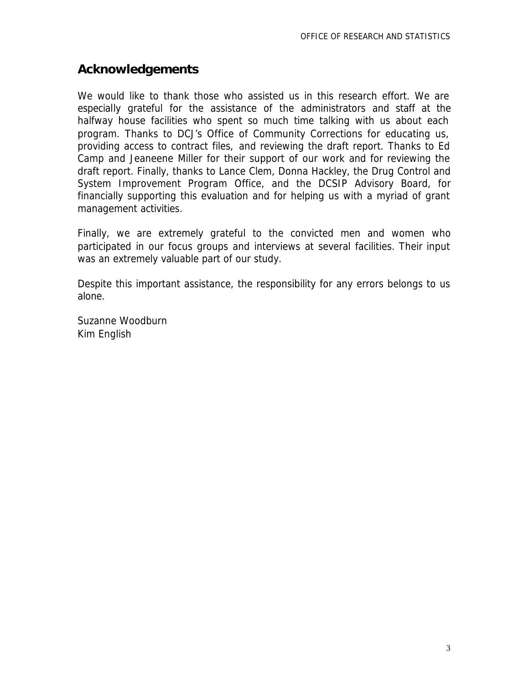# **Acknowledgements**

We would like to thank those who assisted us in this research effort. We are especially grateful for the assistance of the administrators and staff at the halfway house facilities who spent so much time talking with us about each program. Thanks to DCJ's Office of Community Corrections for educating us, providing access to contract files, and reviewing the draft report. Thanks to Ed Camp and Jeaneene Miller for their support of our work and for reviewing the draft report. Finally, thanks to Lance Clem, Donna Hackley, the Drug Control and System Improvement Program Office, and the DCSIP Advisory Board, for financially supporting this evaluation and for helping us with a myriad of grant management activities.

Finally, we are extremely grateful to the convicted men and women who participated in our focus groups and interviews at several facilities. Their input was an extremely valuable part of our study.

Despite this important assistance, the responsibility for any errors belongs to us alone.

Suzanne Woodburn Kim English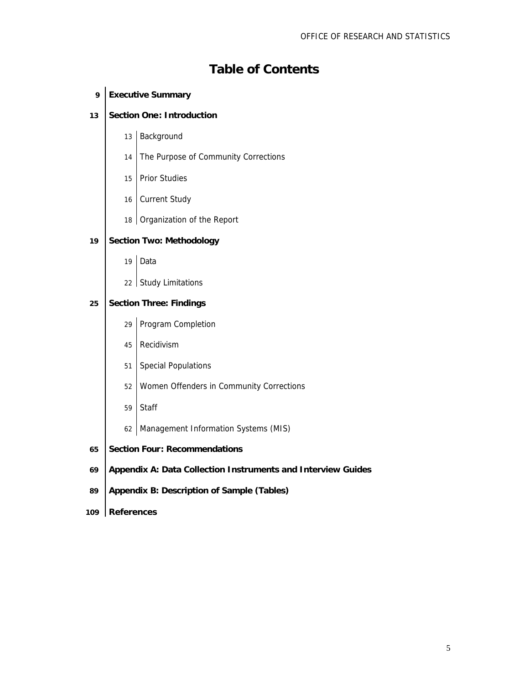# **Table of Contents**

| 9   |                                | <b>Executive Summary</b>                                     |  |  |
|-----|--------------------------------|--------------------------------------------------------------|--|--|
| 13  |                                | <b>Section One: Introduction</b>                             |  |  |
|     | 13                             | Background                                                   |  |  |
|     | 14                             | The Purpose of Community Corrections                         |  |  |
|     | 15                             | <b>Prior Studies</b>                                         |  |  |
|     |                                | 16   Current Study                                           |  |  |
|     |                                | 18   Organization of the Report                              |  |  |
| 19  |                                | <b>Section Two: Methodology</b>                              |  |  |
|     | 19                             | Data                                                         |  |  |
|     |                                | 22 Study Limitations                                         |  |  |
| 25  | <b>Section Three: Findings</b> |                                                              |  |  |
|     | 29                             | Program Completion                                           |  |  |
|     | 45                             | Recidivism                                                   |  |  |
|     | 51                             | <b>Special Populations</b>                                   |  |  |
|     | 52                             | Women Offenders in Community Corrections                     |  |  |
|     | 59                             | Staff                                                        |  |  |
|     | 62                             | Management Information Systems (MIS)                         |  |  |
| 65  |                                | <b>Section Four: Recommendations</b>                         |  |  |
| 69  |                                | Appendix A: Data Collection Instruments and Interview Guides |  |  |
| 89  |                                | Appendix B: Description of Sample (Tables)                   |  |  |
| 109 | <b>References</b>              |                                                              |  |  |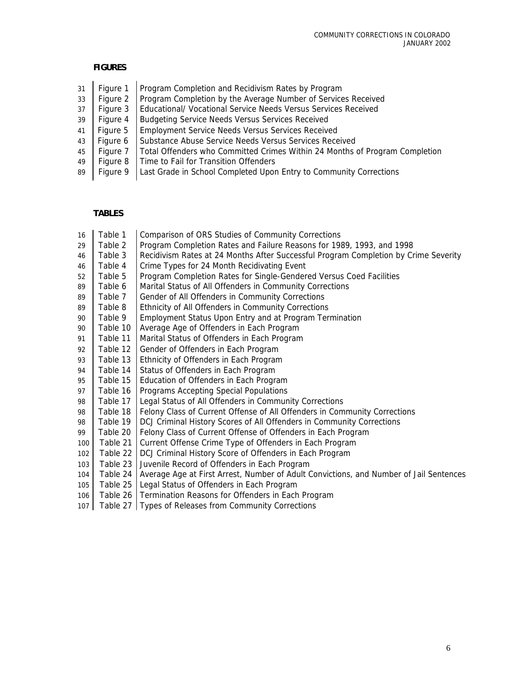#### **FIGURES**

| 31 | Figure 1 | Program Completion and Recidivism Rates by Program                          |
|----|----------|-----------------------------------------------------------------------------|
| 33 | Figure 2 | Program Completion by the Average Number of Services Received               |
| 37 | Figure 3 | Educational/ Vocational Service Needs Versus Services Received              |
| 39 | Figure 4 | Budgeting Service Needs Versus Services Received                            |
| 41 | Figure 5 | Employment Service Needs Versus Services Received                           |
| 43 | Figure 6 | Substance Abuse Service Needs Versus Services Received                      |
| 45 | Figure 7 | Total Offenders who Committed Crimes Within 24 Months of Program Completion |
| 49 | Figure 8 | Time to Fail for Transition Offenders                                       |
| 89 | Figure 9 | Last Grade in School Completed Upon Entry to Community Corrections          |
|    |          |                                                                             |

## **TABLES**

|     | TABLES   |                                                                                        |
|-----|----------|----------------------------------------------------------------------------------------|
| 16  | Table 1  | Comparison of ORS Studies of Community Corrections                                     |
| 29  | Table 2  | Program Completion Rates and Failure Reasons for 1989, 1993, and 1998                  |
| 46  | Table 3  | Recidivism Rates at 24 Months After Successful Program Completion by Crime Severity    |
| 46  | Table 4  | Crime Types for 24 Month Recidivating Event                                            |
| 52  | Table 5  | Program Completion Rates for Single-Gendered Versus Coed Facilities                    |
| 89  | Table 6  | Marital Status of All Offenders in Community Corrections                               |
| 89  | Table 7  | Gender of All Offenders in Community Corrections                                       |
| 89  | Table 8  | Ethnicity of All Offenders in Community Corrections                                    |
| 90  | Table 9  | Employment Status Upon Entry and at Program Termination                                |
| 90  | Table 10 | Average Age of Offenders in Each Program                                               |
| 91  | Table 11 | Marital Status of Offenders in Each Program                                            |
| 92  | Table 12 | Gender of Offenders in Each Program                                                    |
| 93  | Table 13 | Ethnicity of Offenders in Each Program                                                 |
| 94  | Table 14 | Status of Offenders in Each Program                                                    |
| 95  | Table 15 | Education of Offenders in Each Program                                                 |
| 97  | Table 16 | Programs Accepting Special Populations                                                 |
| 98  | Table 17 | Legal Status of All Offenders in Community Corrections                                 |
| 98  | Table 18 | Felony Class of Current Offense of All Offenders in Community Corrections              |
| 98  | Table 19 | DCJ Criminal History Scores of All Offenders in Community Corrections                  |
| 99  | Table 20 | Felony Class of Current Offense of Offenders in Each Program                           |
| 100 | Table 21 | Current Offense Crime Type of Offenders in Each Program                                |
| 102 | Table 22 | DCJ Criminal History Score of Offenders in Each Program                                |
| 103 | Table 23 | Juvenile Record of Offenders in Each Program                                           |
| 104 | Table 24 | Average Age at First Arrest, Number of Adult Convictions, and Number of Jail Sentences |
| 105 | Table 25 | Legal Status of Offenders in Each Program                                              |
| 106 | Table 26 | Termination Reasons for Offenders in Each Program                                      |
| 107 |          | Table 27   Types of Releases from Community Corrections                                |
|     |          |                                                                                        |
|     |          |                                                                                        |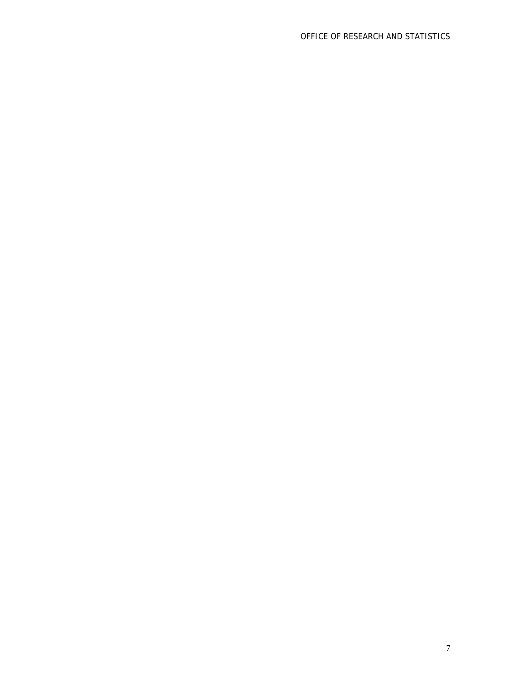#### OFFICE OF RESEARCH AND STATISTICS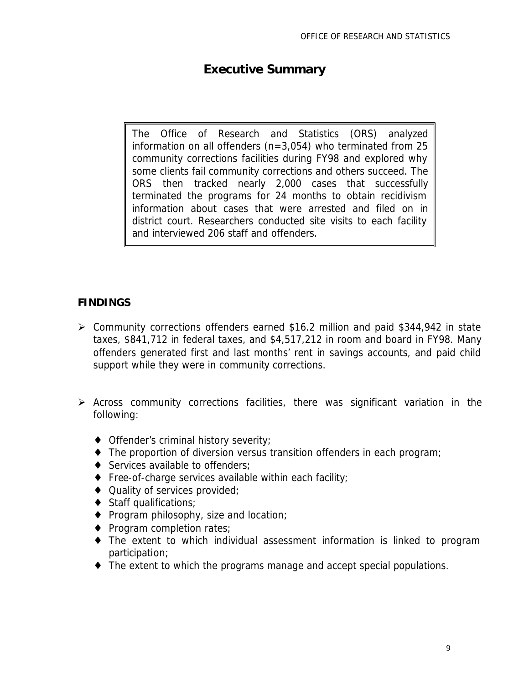# **Executive Summary**

The Office of Research and Statistics (ORS) analyzed information on all offenders  $(n=3,054)$  who terminated from 25 community corrections facilities during FY98 and explored why some clients fail community corrections and others succeed. The ORS then tracked nearly 2,000 cases that successfully terminated the programs for 24 months to obtain recidivism information about cases that were arrested and filed on in district court. Researchers conducted site visits to each facility and interviewed 206 staff and offenders.

### **FINDINGS**

- ÿ Community corrections offenders earned \$16.2 million and paid \$344,942 in state taxes, \$841,712 in federal taxes, and \$4,517,212 in room and board in FY98. Many offenders generated first and last months' rent in savings accounts, and paid child support while they were in community corrections.
- $\triangleright$  Across community corrections facilities, there was significant variation in the following:
	- ♦ Offender's criminal history severity;
	- ♦ The proportion of diversion versus transition offenders in each program;
	- ♦ Services available to offenders;
	- ♦ Free-of-charge services available within each facility;
	- ♦ Quality of services provided;
	- Staff qualifications;
	- ♦ Program philosophy, size and location;
	- ♦ Program completion rates;
	- ♦ The extent to which individual assessment information is linked to program participation;
	- ♦ The extent to which the programs manage and accept special populations.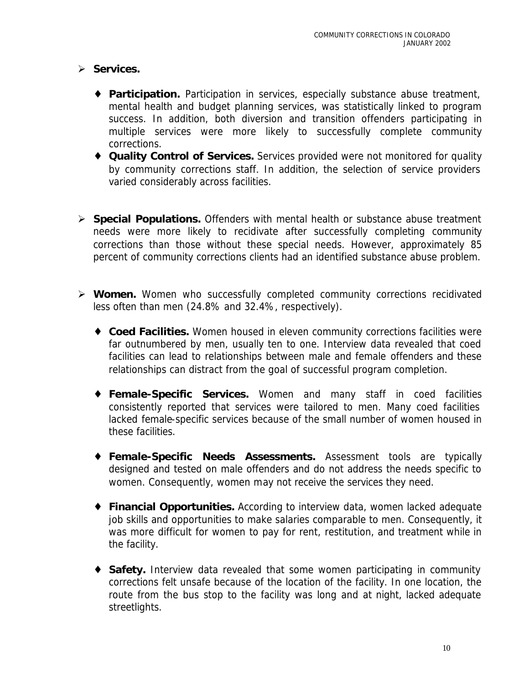- ÿ **Services.** 
	- ♦ **Participation.** Participation in services, especially substance abuse treatment, mental health and budget planning services, was statistically linked to program success. In addition, both diversion and transition offenders participating in multiple services were more likely to successfully complete community corrections.
	- ♦ **Quality Control of Services.** Services provided were not monitored for quality by community corrections staff. In addition, the selection of service providers varied considerably across facilities.
- **≻** Special Populations. Offenders with mental health or substance abuse treatment needs were more likely to recidivate after successfully completing community corrections than those without these special needs. However, approximately 85 percent of community corrections clients had an identified substance abuse problem.
- > Women. Women who successfully completed community corrections recidivated less often than men (24.8% and 32.4%, respectively).
	- ♦ **Coed Facilities.** Women housed in eleven community corrections facilities were far outnumbered by men, usually ten to one. Interview data revealed that coed facilities can lead to relationships between male and female offenders and these relationships can distract from the goal of successful program completion.
	- ♦ **Female-Specific Services.** Women and many staff in coed facilities consistently reported that services were tailored to men. Many coed facilities lacked female-specific services because of the small number of women housed in these facilities.
	- ♦ **Female-Specific Needs Assessments.** Assessment tools are typically designed and tested on male offenders and do not address the needs specific to women. Consequently, women may not receive the services they need.
	- ♦ **Financial Opportunities.** According to interview data, women lacked adequate job skills and opportunities to make salaries comparable to men. Consequently, it was more difficult for women to pay for rent, restitution, and treatment while in the facility.
	- ♦ **Safety.** Interview data revealed that some women participating in community corrections felt unsafe because of the location of the facility. In one location, the route from the bus stop to the facility was long and at night, lacked adequate streetlights.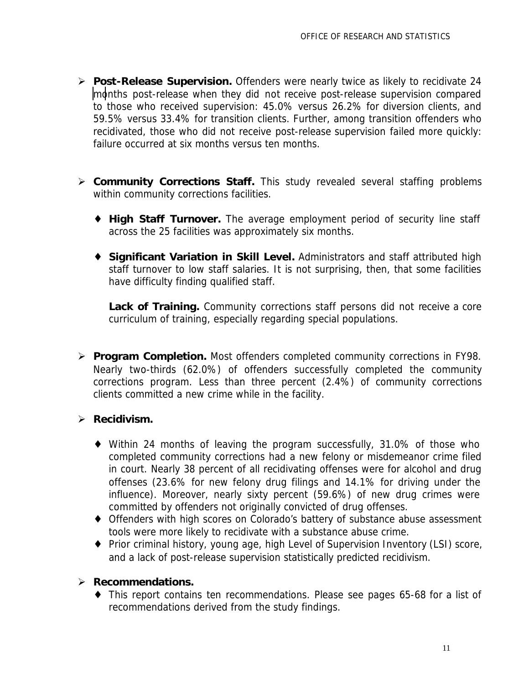- **Example 24** Post-Release Supervision. Offenders were nearly twice as likely to recidivate 24 months post-release when they did *not* receive post-release supervision compared to those who received supervision: 45.0% versus 26.2% for diversion clients, and 59.5% versus 33.4% for transition clients. Further, among transition offenders who recidivated, those who did not receive post-release supervision *failed more quickly:* failure occurred at six months versus ten months.
- **≻ Community Corrections Staff.** This study revealed several staffing problems within community corrections facilities.
	- ♦ **High Staff Turnover.** The average employment period of security line staff across the 25 facilities was approximately six months.
	- ♦ **Significant Variation in Skill Level.** Administrators and staff attributed high staff turnover to low staff salaries. It is not surprising, then, that some facilities have difficulty finding qualified staff.

**Lack of Training.** Community corrections staff persons did not receive a core curriculum of training, especially regarding special populations.

ÿ **Program Completion.** Most offenders completed community corrections in FY98. Nearly two-thirds (62.0%) of offenders successfully completed the community corrections program. Less than three percent (2.4%) of community corrections clients committed a new crime while in the facility.

### ÿ **Recidivism.**

- ♦ Within 24 months of leaving the program successfully, 31.0% of those who completed community corrections had a new felony or misdemeanor crime filed in court. Nearly 38 percent of all recidivating offenses were for alcohol and drug offenses (23.6% for new felony drug filings and 14.1% for driving under the influence). Moreover, nearly sixty percent (59.6%) of new drug crimes were committed by offenders not originally convicted of drug offenses.
- ♦ Offenders with high scores on Colorado's battery of substance abuse assessment tools were more likely to recidivate with a substance abuse crime.
- ♦ Prior criminal history, young age, high Level of Supervision Inventory (LSI) score, and a lack of post-release supervision statistically predicted recidivism.

#### ÿ **Recommendations.**

♦ This report contains ten recommendations. Please see pages 65-68 for a list of recommendations derived from the study findings.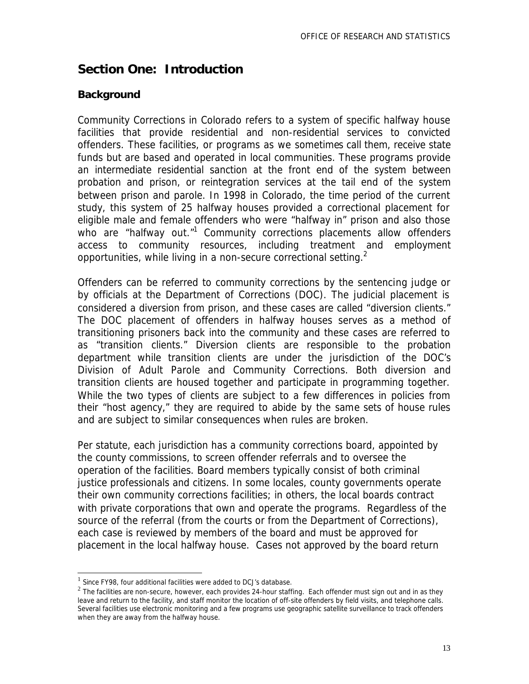# **Section One: Introduction**

### **Background**

Community Corrections in Colorado refers to a system of specific halfway house facilities that provide residential and non-residential services to convicted offenders. These facilities, or programs as we sometimes call them, receive state funds but are based and operated in local communities. These programs provide an intermediate residential sanction at the front end of the system between probation and prison, or reintegration services at the tail end of the system between prison and parole. In 1998 in Colorado, the time period of the current study, this system of 25 halfway houses provided a correctional placement for eligible male and female offenders who were "halfway in" prison and also those who are "halfway out."<sup>1</sup> Community corrections placements allow offenders access to community resources, including treatment and employment opportunities, while living in a non-secure correctional setting.<sup>2</sup>

Offenders can be referred to community corrections by the sentencing judge or by officials at the Department of Corrections (DOC). The judicial placement is considered a diversion from prison, and these cases are called "diversion clients." The DOC placement of offenders in halfway houses serves as a method of transitioning prisoners back into the community and these cases are referred to as "transition clients." Diversion clients are responsible to the probation department while transition clients are under the jurisdiction of the DOC's Division of Adult Parole and Community Corrections. Both diversion and transition clients are housed together and participate in programming together. While the two types of clients are subject to a few differences in policies from their "host agency," they are required to abide by the same sets of house rules and are subject to similar consequences when rules are broken.

Per statute, each jurisdiction has a community corrections board, appointed by the county commissions, to screen offender referrals and to oversee the operation of the facilities. Board members typically consist of both criminal justice professionals and citizens. In some locales, county governments operate their own community corrections facilities; in others, the local boards contract with private corporations that own and operate the programs. Regardless of the source of the referral (from the courts or from the Department of Corrections), each case is reviewed by members of the board and must be approved for placement in the local halfway house. Cases not approved by the board return

l

<sup>&</sup>lt;sup>1</sup> Since FY98, four additional facilities were added to DCJ's database.

 $^2$  The facilities are non-secure, however, each provides 24-hour staffing. Each offender must sign out and in as they leave and return to the facility, and staff monitor the location of off-site offenders by field visits, and telephone calls. Several facilities use electronic monitoring and a few programs use geographic satellite surveillance to track offenders when they are away from the halfway house.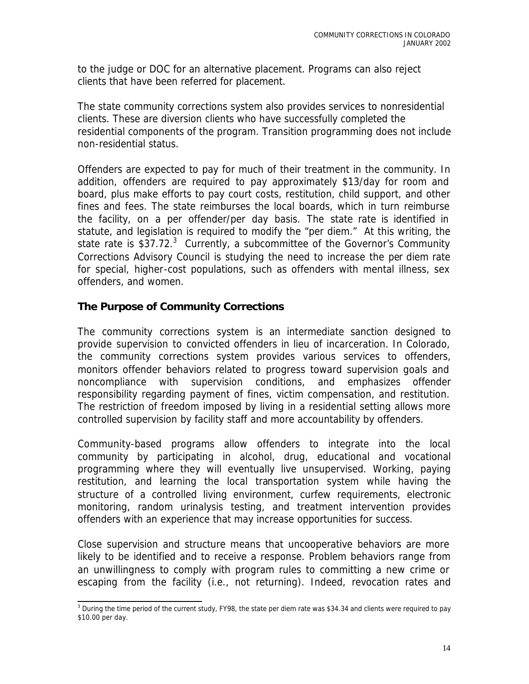to the judge or DOC for an alternative placement. Programs can also reject clients that have been referred for placement.

The state community corrections system also provides services to nonresidential clients. These are diversion clients who have successfully completed the residential components of the program. Transition programming does not include non-residential status.

Offenders are expected to pay for much of their treatment in the community. In addition, offenders are required to pay approximately \$13/day for room and board, plus make efforts to pay court costs, restitution, child support, and other fines and fees. The state reimburses the local boards, which in turn reimburse the facility, on a per offender/per day basis. The state rate is identified in statute, and legislation is required to modify the "per diem." At this writing, the state rate is \$37.72.<sup>3</sup> Currently, a subcommittee of the Governor's Community Corrections Advisory Council is studying the need to increase the per diem rate for special, higher-cost populations, such as offenders with mental illness, sex offenders, and women.

### **The Purpose of Community Corrections**

The community corrections system is an intermediate sanction designed to provide supervision to convicted offenders in lieu of incarceration. In Colorado, the community corrections system provides various services to offenders, monitors offender behaviors related to progress toward supervision goals and noncompliance with supervision conditions, and emphasizes offender responsibility regarding payment of fines, victim compensation, and restitution. The restriction of freedom imposed by living in a residential setting allows more controlled supervision by facility staff and more accountability by offenders.

Community-based programs allow offenders to integrate into the local community by participating in alcohol, drug, educational and vocational programming where they will eventually live unsupervised. Working, paying restitution, and learning the local transportation system while having the structure of a controlled living environment, curfew requirements, electronic monitoring, random urinalysis testing, and treatment intervention provides offenders with an experience that may increase opportunities for success.

Close supervision and structure means that uncooperative behaviors are more likely to be identified and to receive a response. Problem behaviors range from an unwillingness to comply with program rules to committing a new crime or escaping from the facility (i.e., not returning). Indeed, revocation rates and

 3 During the time period of the current study, FY98, the state per diem rate was \$34.34 and clients were required to pay \$10.00 per day.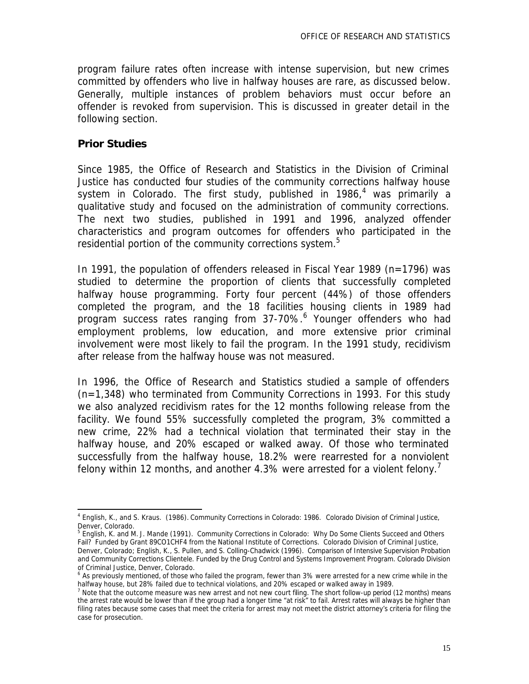program failure rates often increase with intense supervision, but new crimes committed by offenders who live in halfway houses are rare, as discussed below. Generally, multiple instances of problem behaviors must occur before an offender is revoked from supervision. This is discussed in greater detail in the following section.

#### **Prior Studies**

Since 1985, the Office of Research and Statistics in the Division of Criminal Justice has conducted four studies of the community corrections halfway house system in Colorado. The first study, published in 1986,<sup>4</sup> was primarily a qualitative study and focused on the administration of community corrections. The next two studies, published in 1991 and 1996, analyzed offender characteristics and program outcomes for offenders who participated in the residential portion of the community corrections system.<sup>5</sup>

In 1991, the population of offenders released in Fiscal Year 1989 (n=1796) was studied to determine the proportion of clients that successfully completed halfway house programming. Forty four percent (44%) of those offenders completed the program, and the 18 facilities housing clients in 1989 had program success rates ranging from 37-70%.<sup>6</sup> Younger offenders who had employment problems, low education, and more extensive prior criminal involvement were most likely to fail the program. In the 1991 study, recidivism after release from the halfway house was not measured.

In 1996, the Office of Research and Statistics studied a sample of offenders (n=1,348) who terminated from Community Corrections in 1993. For this study we also analyzed recidivism rates for the 12 months following release from the facility. We found 55% successfully completed the program, 3% committed a new crime, 22% had a technical violation that terminated their stay in the halfway house, and 20% escaped or walked away. Of those who terminated successfully from the halfway house, 18.2% were rearrested for a nonviolent felony within 12 months, and another 4.3% were arrested for a violent felony.<sup>7</sup>

l 4 English, K., and S. Kraus. (1986). *Community Corrections in Colorado: 1986.* Colorado Division of Criminal Justice, Denver, Colorado.

<sup>5</sup> English, K. and M. J. Mande (1991*). Community Corrections in Colorado: Why Do Some Clients Succeed and Others Fail?* Funded by Grant 89CO1CHF4 from the National Institute of Corrections. Colorado Division of Criminal Justice, Denver, Colorado; English, K., S. Pullen, and S. Colling-Chadwick (1996*). Comparison of Intensive Supervision Probation and Community Corrections Clientele.* Funded by the Drug Control and Systems Improvement Program. Colorado Division of Criminal Justice, Denver, Colorado.

<sup>&</sup>lt;sup>6</sup> As previously mentioned, of those who failed the program, fewer than 3% were arrested for a new crime while in the halfway house, but 28% failed due to technical violations, and 20% escaped or walked away in 1989.

<sup>&</sup>lt;sup>7</sup> Note that the outcome measure was new arrest and not new court filing. The short follow-up period (12 months) means the arrest rate would be lower than if the group had a longer time "at risk" to fail. Arrest rates will always be higher than filing rates because some cases that meet the criteria for arrest may not meet the district attorney's criteria for filing the case for prosecution.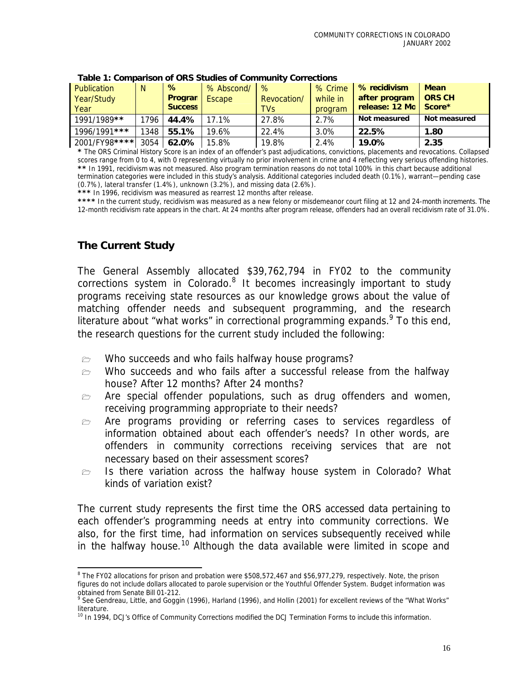| Publication   | N    | %              | % Abscond/ | $\%$        | % Crime  | % recidivism        | <b>Mean</b>   |
|---------------|------|----------------|------------|-------------|----------|---------------------|---------------|
| Year/Study    |      | Progran        | Escape     | Revocation/ | while in | after program       | <b>ORS CH</b> |
| Year          |      | <b>Success</b> |            | TVs.        | program  | release: 12 Mo      | Score*        |
| 1991/1989**   | 1796 | 44.4%          | 17.1%      | 27.8%       | 2.7%     | <b>Not measured</b> | Not measured  |
| 1996/1991***  | 1348 | 55.1%          | 19.6%      | 22.4%       | 3.0%     | 22.5%               | 1.80          |
| 2001/FY98**** | 3054 | 62.0%          | 15.8%      | 19.8%       | 2.4%     | 19.0%               | 2.35          |

#### **Table 1: Comparison of ORS Studies of Community Corrections**

**\*** The ORS Criminal History Score is an index of an offender's past adjudications, convictions, placements and revocations. Collapsed scores range from 0 to 4, with 0 representing virtually no prior involvement in crime and 4 reflecting very serious offending histories. **\*\*** In 1991, recidivism was not measured. Also program termination reasons do not total 100% in this chart because additional termination categories were included in this study's analysis. Additional categories included death (0.1%), warrant—pending case (0.7%), lateral transfer (1.4%), unknown (3.2%), and missing data (2.6%).

**\*\*\*** In 1996, recidivism was measured as rearrest 12 months after release.

**\*\*\*\*** In the current study, recidivism was measured as a new felony or misdemeanor court filing at 12 and 24-month increments. The 12-month recidivism rate appears in the chart. At 24 months after program release, offenders had an overall recidivism rate of 31.0%.

#### **The Current Study**

l

The General Assembly allocated \$39,762,794 in FY02 to the community corrections system in Colorado.<sup>8</sup> It becomes increasingly important to study programs receiving state resources as our knowledge grows about the value of matching offender needs and subsequent programming, and the research literature about "what works" in correctional programming expands. <sup>9</sup> To this end, the research questions for the current study included the following:

- $\approx$  Who succeeds and who fails halfway house programs?
- $\approx$  Who succeeds and who fails after a successful release from the halfway house? After 12 months? After 24 months?
- $\approx$  Are special offender populations, such as drug offenders and women, receiving programming appropriate to their needs?
- $\approx$  Are programs providing or referring cases to services regardless of information obtained about each offender's needs? In other words, are offenders in community corrections receiving services that are not necessary based on their assessment scores?
- $\approx$  Is there variation across the halfway house system in Colorado? What kinds of variation exist?

The current study represents the first time the ORS accessed data pertaining to each offender's programming needs at entry into community corrections. We also, for the first time, had information on services subsequently received while in the halfway house.<sup>10</sup> Although the data available were limited in scope and

<sup>&</sup>lt;sup>8</sup> The FY02 allocations for prison and probation were \$508,572,467 and \$56,977,279, respectively. Note, the prison figures do not include dollars allocated to parole supervision or the Youthful Offender System. Budget information was

obtained from Senate Bill 01-212. 9 See Gendreau, Little, and Goggin (1996), Harland (1996), and Hollin (2001) for excellent reviews of the "What Works" literature.

<sup>&</sup>lt;sup>10</sup> In 1994, DCJ's Office of Community Corrections modified the DCJ Termination Forms to include this information.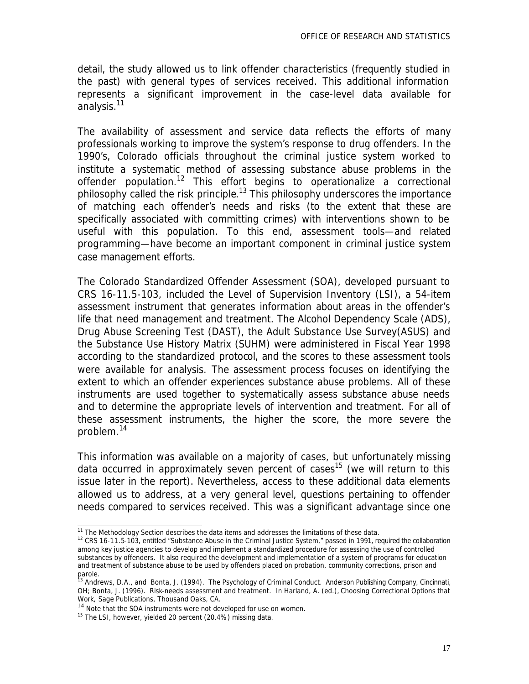detail, the study allowed us to link offender characteristics (frequently studied in the past) with general types of services received. This additional information represents a significant improvement in the case-level data available for analysis.<sup>11</sup>

The availability of assessment and service data reflects the efforts of many professionals working to improve the system's response to drug offenders. In the 1990's, Colorado officials throughout the criminal justice system worked to institute a systematic method of assessing substance abuse problems in the offender population.<sup>12</sup> This effort begins to operationalize a correctional philosophy called the *risk principle*. <sup>13</sup> This philosophy underscores the importance of matching each offender's needs and risks (to the extent that these are specifically associated with committing crimes) with interventions shown to be useful with this population. To this end, assessment tools—and related programming—have become an important component in criminal justice system case management efforts.

The Colorado Standardized Offender Assessment (SOA), developed pursuant to CRS 16-11.5-103, included the Level of Supervision Inventory (LSI), a 54-item assessment instrument that generates information about areas in the offender's life that need management and treatment. The Alcohol Dependency Scale (ADS), Drug Abuse Screening Test (DAST), the Adult Substance Use Survey(ASUS) and the Substance Use History Matrix (SUHM) were administered in Fiscal Year 1998 according to the standardized protocol, and the scores to these assessment tools were available for analysis. The assessment process focuses on identifying the extent to which an offender experiences substance abuse problems. All of these instruments are used together to systematically assess substance abuse needs and to determine the appropriate levels of intervention and treatment. For all of these assessment instruments, the higher the score, the more severe the problem.<sup>14</sup>

This information was available on a majority of cases, but unfortunately missing data occurred in approximately seven percent of cases<sup>15</sup> (we will return to this issue later in the report). Nevertheless, access to these additional data elements allowed us to address, at a very general level, questions pertaining to offender needs compared to services received. This was a significant advantage since one

l <sup>11</sup> The Methodology Section describes the data items and addresses the limitations of these data.

<sup>&</sup>lt;sup>12</sup> CRS 16-11.5-103, entitled "Substance Abuse in the Criminal Justice System," passed in 1991, required the collaboration among key justice agencies to develop and implement a standardized procedure for assessing the use of controlled substances by offenders. It also required the development and implementation of a system of programs for education and treatment of substance abuse to be used by offenders placed on probation, community corrections, prison and parole.

<sup>13</sup> Andrews, D.A., and Bonta, J. (1994). *The Psychology of Criminal Conduct.* Anderson Publishing Company, Cincinnati, OH; Bonta, J. (1996). Risk-needs assessment and treatment. In Harland, A. (ed.), *Choosing Correctional Options that Work,* Sage Publications, Thousand Oaks, CA.

<sup>&</sup>lt;sup>14</sup> Note that the SOA instruments were not developed for use on women.

<sup>&</sup>lt;sup>15</sup> The LSI, however, yielded 20 percent (20.4%) missing data.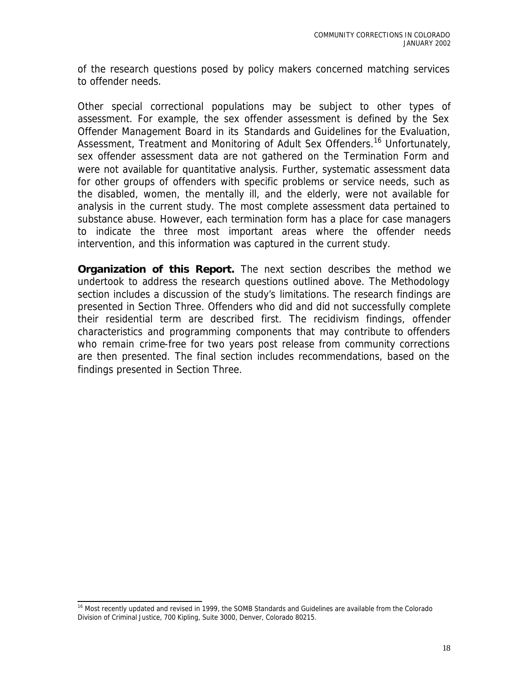of the research questions posed by policy makers concerned matching services to offender needs.

Other special correctional populations may be subject to other types of assessment. For example, the sex offender assessment is defined by the Sex Offender Management Board in its *Standards and Guidelines for the Evaluation, Assessment, Treatment and Monitoring of Adult Sex Offenders.*<sup>16</sup> Unfortunately, sex offender assessment data are not gathered on the Termination Form and were not available for quantitative analysis. Further, systematic assessment data for other groups of offenders with specific problems or service needs, such as the disabled, women, the mentally ill, and the elderly, were not available for analysis in the current study. The most complete assessment data pertained to substance abuse. However, each termination form has a place for case managers to indicate the three most important areas where the offender needs intervention, and this information was captured in the current study.

**Organization of this Report.** The next section describes the method we undertook to address the research questions outlined above. The Methodology section includes a discussion of the study's limitations. The research findings are presented in Section Three. Offenders who did and did not successfully complete their residential term are described first. The recidivism findings, offender characteristics and programming components that may contribute to offenders who remain crime-free for two years post release from community corrections are then presented. The final section includes recommendations, based on the findings presented in Section Three.

l <sup>16</sup> Most recently updated and revised in 1999, the SOMB *Standards and Guidelines* are available from the Colorado Division of Criminal Justice, 700 Kipling, Suite 3000, Denver, Colorado 80215.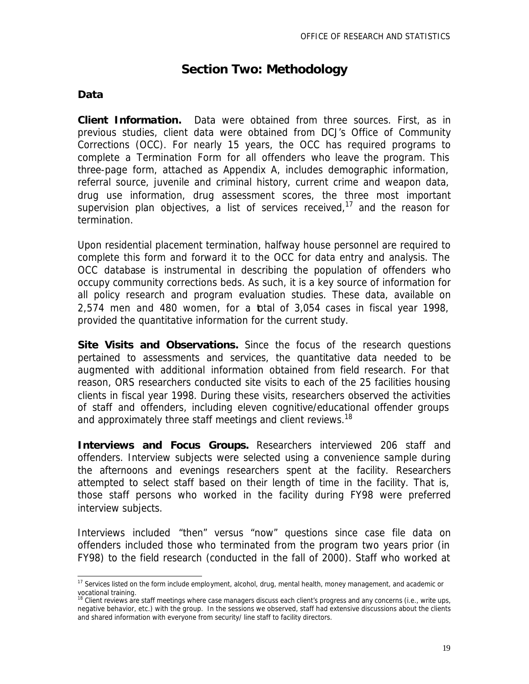## **Section Two: Methodology**

### **Data**

l

**Client Information.** Data were obtained from three sources. First, as in previous studies, client data were obtained from DCJ's Office of Community Corrections (OCC). For nearly 15 years, the OCC has required programs to complete a Termination Form for all offenders who leave the program. This three-page form, attached as Appendix A, includes demographic information, referral source, juvenile and criminal history, current crime and weapon data, drug use information, drug assessment scores, the three most important supervision plan objectives, a list of services received,  $17$  and the reason for termination.

Upon residential placement termination, halfway house personnel are required to complete this form and forward it to the OCC for data entry and analysis. The OCC database is instrumental in describing the population of offenders who occupy community corrections beds. As such, it is a key source of information for all policy research and program evaluation studies. These data, available on 2,574 men and 480 women, for a total of 3,054 cases in fiscal year 1998, provided the quantitative information for the current study.

**Site Visits and Observations.** Since the focus of the research questions pertained to assessments and services, the quantitative data needed to be augmented with additional information obtained from field research. For that reason, ORS researchers conducted site visits to each of the 25 facilities housing clients in fiscal year 1998. During these visits, researchers observed the activities of staff and offenders, including eleven cognitive/educational offender groups and approximately three staff meetings and client reviews.<sup>18</sup>

**Interviews and Focus Groups.** Researchers interviewed 206 staff and offenders. Interview subjects were selected using a convenience sample during the afternoons and evenings researchers spent at the facility. Researchers attempted to select staff based on their length of time in the facility. That is, those staff persons who worked in the facility during FY98 were preferred interview subjects.

Interviews included "then" versus "now" questions since case file data on offenders included those who terminated from the program two years prior (in FY98) to the field research (conducted in the fall of 2000). Staff who worked at

<sup>&</sup>lt;sup>17</sup> Services listed on the form include employment, alcohol, drug, mental health, money management, and academic or vocational training.<br><sup>18</sup> Client reviews are staff meetings where case managers discuss each client's progress and any concerns (i.e., write ups,

negative behavior, etc.) with the group. In the sessions we observed, staff had extensive discussions about the clients and shared information with everyone from security/ line staff to facility directors.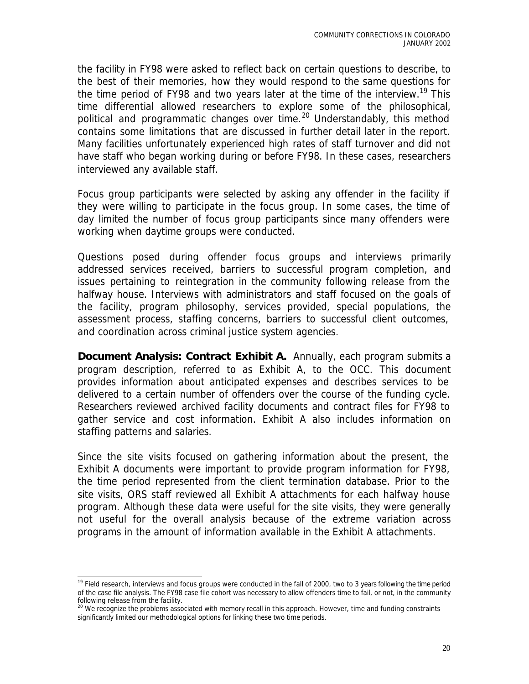the facility in FY98 were asked to reflect back on certain questions to describe, to the best of their memories, how they would respond to the same questions for the time period of FY98 and two years later at the time of the interview.<sup>19</sup> This time differential allowed researchers to explore some of the philosophical, political and programmatic changes over time.<sup>20</sup> Understandably, this method contains some limitations that are discussed in further detail later in the report. Many facilities unfortunately experienced high rates of staff turnover and did not have staff who began working during or before FY98. In these cases, researchers interviewed any available staff.

Focus group participants were selected by asking any offender in the facility if they were willing to participate in the focus group. In some cases, the time of day limited the number of focus group participants since many offenders were working when daytime groups were conducted.

Questions posed during offender focus groups and interviews primarily addressed services received, barriers to successful program completion, and issues pertaining to reintegration in the community following release from the halfway house. Interviews with administrators and staff focused on the goals of the facility, program philosophy, services provided, special populations, the assessment process, staffing concerns, barriers to successful client outcomes, and coordination across criminal justice system agencies.

**Document Analysis: Contract Exhibit A.** Annually, each program submits a program description, referred to as Exhibit A, to the OCC. This document provides information about anticipated expenses and describes services to be delivered to a certain number of offenders over the course of the funding cycle. Researchers reviewed archived facility documents and contract files for FY98 to gather service and cost information. Exhibit A also includes information on staffing patterns and salaries.

Since the site visits focused on gathering information about the present, the Exhibit A documents were important to provide program information for FY98, the time period represented from the client termination database. Prior to the site visits, ORS staff reviewed all Exhibit A attachments for each halfway house program. Although these data were useful for the site visits, they were generally not useful for the overall analysis because of the extreme variation across programs in the amount of information available in the Exhibit A attachments.

l

 $19$  Field research, interviews and focus groups were conducted in the fall of 2000, two to 3 years following the time period of the case file analysis. The FY98 case file cohort was necessary to allow offenders time to fail, or not, in the community following release from the facility.

 $^{20}$  We recognize the problems associated with memory recall in this approach. However, time and funding constraints significantly limited our methodological options for linking these two time periods.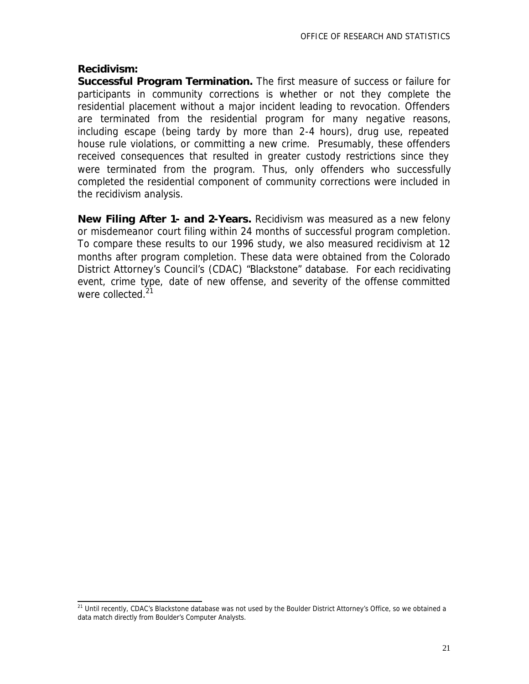### **Recidivism:**

**Successful Program Termination.** The first measure of success or failure for participants in community corrections is whether or not they complete the residential placement without a major incident leading to revocation. Offenders are terminated from the residential program for many negative reasons, including escape (being tardy by more than 2-4 hours), drug use, repeated house rule violations, or committing a new crime. Presumably, these offenders received consequences that resulted in greater custody restrictions since they were terminated from the program. Thus, only offenders who successfully completed the residential component of community corrections were included in the recidivism analysis.

**New Filing After 1- and 2-Years.** Recidivism was measured as a new felony or misdemeanor court filing within 24 months of successful program completion. To compare these results to our 1996 study, we also measured recidivism at 12 months after program completion. These data were obtained from the Colorado District Attorney's Council's (CDAC) "Blackstone" database. For each recidivating event, crime type, date of new offense, and severity of the offense committed were collected.<sup>21</sup>

l <sup>21</sup> Until recently, CDAC's Blackstone database was not used by the Boulder District Attorney's Office, so we obtained a data match directly from Boulder's Computer Analysts.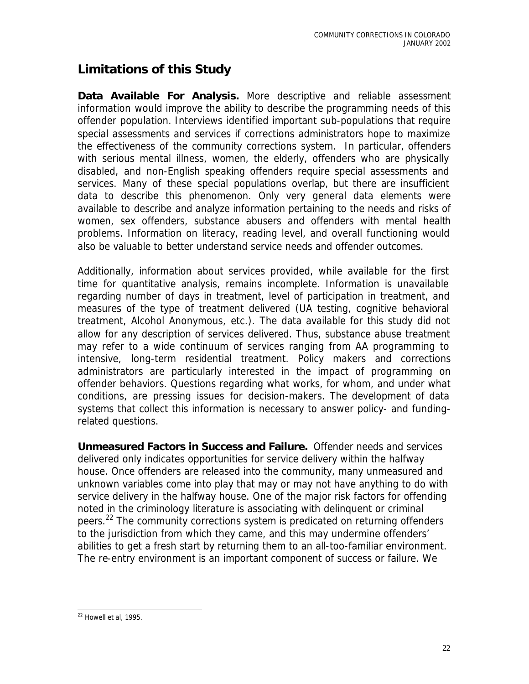# **Limitations of this Study**

**Data Available For Analysis.** More descriptive and reliable assessment information would improve the ability to describe the programming needs of this offender population. Interviews identified important sub-populations that require special assessments and services if corrections administrators hope to maximize the effectiveness of the community corrections system. In particular, offenders with serious mental illness, women, the elderly, offenders who are physically disabled, and non-English speaking offenders require special assessments and services. Many of these special populations overlap, but there are insufficient data to describe this phenomenon. Only very general data elements were available to describe and analyze information pertaining to the needs and risks of women, sex offenders, substance abusers and offenders with mental health problems. Information on literacy, reading level, and overall functioning would also be valuable to better understand service needs and offender outcomes.

Additionally, information about services provided, while available for the first time for quantitative analysis, remains incomplete. Information is unavailable regarding number of days in treatment, level of participation in treatment, and measures of the type of treatment delivered (UA testing, cognitive behavioral treatment, Alcohol Anonymous, etc.). The data available for this study did not allow for any description of services delivered. Thus, substance abuse treatment may refer to a wide continuum of services ranging from AA programming to intensive, long-term residential treatment. Policy makers and corrections administrators are particularly interested in the impact of programming on offender behaviors. Questions regarding what works, for whom, and under what conditions, are pressing issues for decision-makers. The development of data systems that collect this information is necessary to answer policy- and fundingrelated questions.

**Unmeasured Factors in Success and Failure.** Offender needs and services delivered only indicates opportunities for service delivery within the halfway house. Once offenders are released into the community, many unmeasured and unknown variables come into play that may or may not have anything to do with service delivery in the halfway house. One of the major risk factors for offending noted in the criminology literature is associating with delinquent or criminal peers.<sup>22</sup> The community corrections system is predicated on returning offenders to the jurisdiction from which they came, and this may undermine offenders' abilities to get a fresh start by returning them to an all-too-familiar environment. The re-entry environment is an important component of success or failure. We

l  $22$  Howell et al, 1995.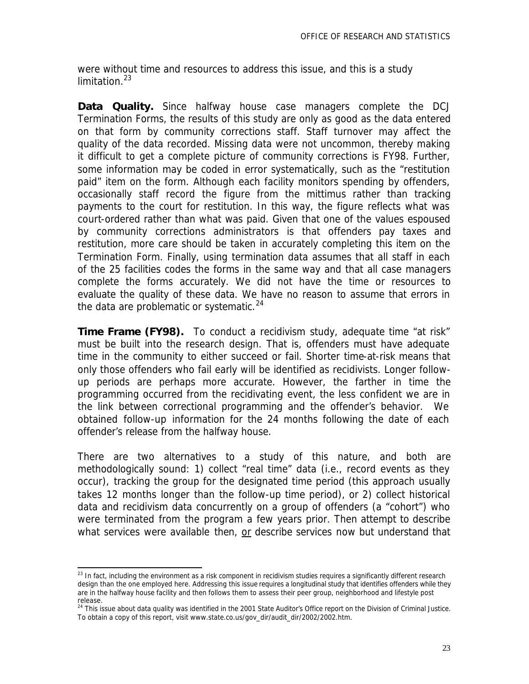were without time and resources to address this issue, and this is a study limitation. $23$ 

**Data Quality.** Since halfway house case managers complete the DCJ Termination Forms, the results of this study are only as good as the data entered on that form by community corrections staff. Staff turnover may affect the quality of the data recorded. Missing data were not uncommon, thereby making it difficult to get a complete picture of community corrections is FY98. Further, some information may be coded in error systematically, such as the "restitution paid" item on the form. Although each facility monitors spending by offenders, occasionally staff record the figure from the mittimus rather than tracking payments to the court for restitution. In this way, the figure reflects what was court-ordered rather than what was paid. Given that one of the values espoused by community corrections administrators is that offenders pay taxes and restitution, more care should be taken in accurately completing this item on the Termination Form. Finally, using termination data assumes that all staff in each of the 25 facilities codes the forms in the same way and that all case managers complete the forms accurately. We did not have the time or resources to evaluate the quality of these data. We have no reason to assume that errors in the data are problematic or systematic.<sup>24</sup>

**Time Frame (FY98).** To conduct a recidivism study, adequate time "at risk" must be built into the research design. That is, offenders must have adequate time in the community to either succeed or fail. Shorter time-at-risk means that only those offenders who fail early will be identified as recidivists. Longer followup periods are perhaps more accurate. However, the farther in time the programming occurred from the recidivating event, the less confident we are in the link between correctional programming and the offender's behavior. We obtained follow-up information for the 24 months following the date of each offender's release from the halfway house.

There are two alternatives to a study of this nature, and both are methodologically sound: 1) collect "real time" data (i.e., record events as they occur), tracking the group for the designated time period (this approach usually takes 12 months longer than the follow-up time period), or 2) collect historical data and recidivism data concurrently on a group of offenders (a "cohort") who were terminated from the program a few years prior. Then attempt to describe what services were available *then*, or describe services *now* but understand that

l

 $^{23}$  In fact, including the environment as a risk component in recidivism studies requires a significantly different research design than the one employed here. Addressing this issue requires a longitudinal study that identifies offenders while they are in the halfway house facility and then follows them to assess their peer group, neighborhood and lifestyle post release.

<sup>&</sup>lt;sup>24</sup> This issue about data quality was identified in the 2001 State Auditor's Office report on the Division of Criminal Justice. To obtain a copy of this report, visit www.state.co.us/gov\_dir/audit\_dir/2002/2002.htm.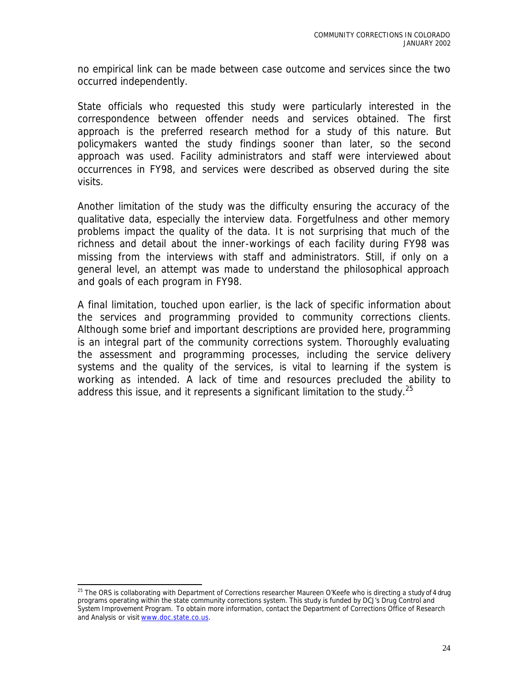no empirical link can be made between case outcome and services since the two occurred independently.

State officials who requested this study were particularly interested in the correspondence between offender needs and services obtained. The first approach is the preferred research method for a study of this nature. But policymakers wanted the study findings sooner than later, so the second approach was used. Facility administrators and staff were interviewed about occurrences in FY98, and services were described as observed during the site visits.

Another limitation of the study was the difficulty ensuring the accuracy of the qualitative data, especially the interview data. Forgetfulness and other memory problems impact the quality of the data. It is not surprising that much of the richness and detail about the inner-workings of each facility during FY98 was missing from the interviews with staff and administrators. Still, if only on a general level, an attempt was made to understand the philosophical approach and goals of each program in FY98.

A final limitation, touched upon earlier, is the lack of specific information about the services and programming provided to community corrections clients. Although some brief and important descriptions are provided here, programming is an integral part of the community corrections system. Thoroughly evaluating the assessment and programming processes, including the service delivery systems and the quality of the services, is vital to learning if the system is working as intended. A lack of time and resources precluded the ability to address this issue, and it represents a significant limitation to the study.<sup>25</sup>

l

<sup>&</sup>lt;sup>25</sup> The ORS is collaborating with Department of Corrections researcher Maureen O'Keefe who is directing a study of 4 drug programs operating within the state community corrections system. This study is funded by DCJ's Drug Control and System Improvement Program. To obtain more information, contact the Department of Corrections Office of Research and Analysis or visit www.doc.state.co.us.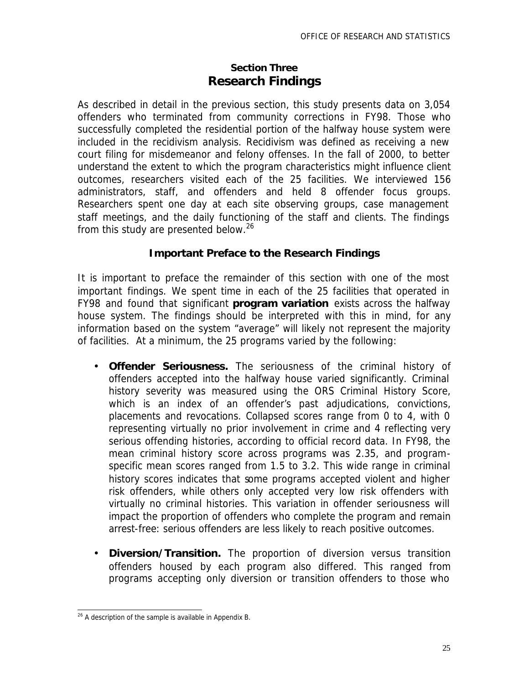### **Section Three Research Findings**

As described in detail in the previous section, this study presents data on 3,054 offenders who terminated from community corrections in FY98. Those who successfully completed the residential portion of the halfway house system were included in the recidivism analysis. Recidivism was defined as receiving a new court filing for misdemeanor and felony offenses. In the fall of 2000, to better understand the extent to which the program characteristics might influence client outcomes, researchers visited each of the 25 facilities. We interviewed 156 administrators, staff, and offenders and held 8 offender focus groups. Researchers spent one day at each site observing groups, case management staff meetings, and the daily functioning of the staff and clients. The findings from this study are presented below.<sup>26</sup>

### *Important Preface to the Research Findings*

It is important to preface the remainder of this section with one of the most important findings. We spent time in each of the 25 facilities that operated in FY98 and found that significant **program variation** exists across the halfway house system. The findings should be interpreted with this in mind, for *any information based on the system "average" will likely not represent the majority of facilities.* At a minimum, the 25 programs varied by the following:

- **Offender Seriousness.** The seriousness of the criminal history of offenders accepted into the halfway house varied significantly. Criminal history severity was measured using the ORS Criminal History Score, which is an index of an offender's past adjudications, convictions, placements and revocations. Collapsed scores range from 0 to 4, with 0 representing virtually no prior involvement in crime and 4 reflecting very serious offending histories, according to official record data. In FY98, the mean criminal history score across programs was 2.35, and programspecific mean scores ranged from 1.5 to 3.2. This wide range in criminal history scores indicates that some programs accepted violent and higher risk offenders, while others only accepted very low risk offenders with virtually no criminal histories. This variation in offender seriousness will impact the proportion of offenders who complete the program and remain arrest-free: *serious offenders are less likely to reach positive outcomes.*
- **Diversion/Transition.** The proportion of diversion versus transition offenders housed by each program also differed. This ranged from programs accepting only diversion or transition offenders to those who

l  $26$  A description of the sample is available in Appendix B.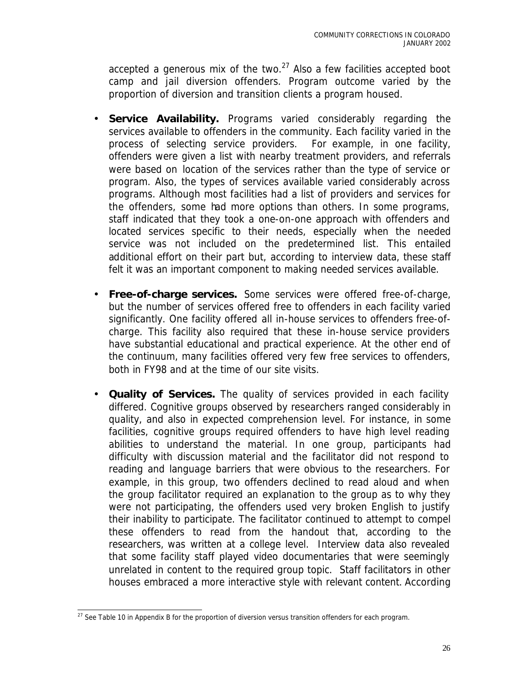accepted a generous mix of the two. $27$  Also a few facilities accepted boot camp and jail diversion offenders. Program outcome varied by the proportion of diversion and transition clients a program housed.

- **Service Availability.** Programs varied considerably regarding the services available to offenders in the community. Each facility varied in the process of selecting service providers. For example, in one facility, offenders were given a list with nearby treatment providers, and referrals were based on *location* of the services rather than the type of service or program. Also, the types of services available varied considerably across programs. Although most facilities had a list of providers and services for the offenders, some had more options than others. In some programs, staff indicated that they took a one-on-one approach with offenders and located services specific to their needs, especially when the needed service was not included on the predetermined list. This entailed additional effort on their part but, according to interview data, these staff felt it was an important component to making needed services available.
- **Free-of-charge services.** Some services were offered free-of-charge, but the number of services offered free to offenders in each facility varied significantly. One facility offered *all* in-house services to offenders free-ofcharge. This facility also required that these in-house service providers have substantial educational and practical experience. At the other end of the continuum, many facilities offered very few free services to offenders, both in FY98 and at the time of our site visits.
- **Quality of Services.** The quality of services provided in each facility differed. Cognitive groups observed by researchers ranged considerably in quality, and also in expected comprehension level. For instance, in some facilities, cognitive groups required offenders to have high level reading abilities to understand the material. In one group, participants had difficulty with discussion material and the facilitator did not respond to reading and language barriers that were obvious to the researchers. For example, in this group, two offenders declined to read aloud and when the group facilitator required an explanation to the group as to why they were not participating, the offenders used very broken English to justify their inability to participate. The facilitator continued to attempt to compel these offenders to read from the handout that, according to the researchers, was written at a college level. Interview data also revealed that some facility staff played video documentaries that were seemingly unrelated in content to the required group topic. Staff facilitators in other houses embraced a more interactive style with relevant content. According

l <sup>27</sup> See Table 10 in Appendix B for the proportion of diversion versus transition offenders for each program.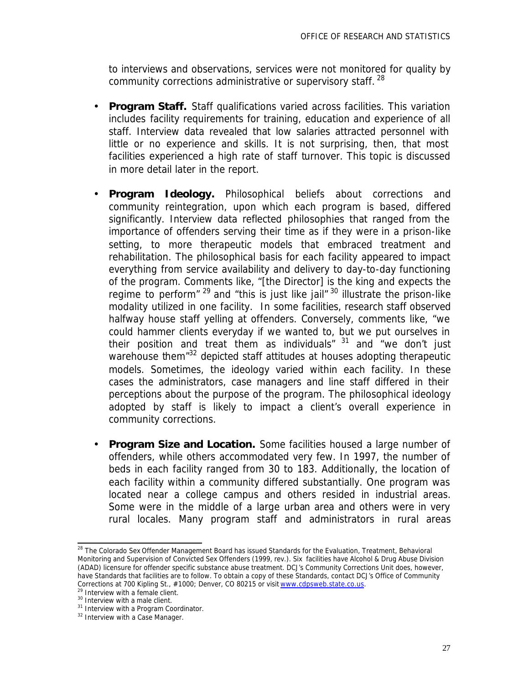to interviews and observations, services were not monitored for quality by community corrections administrative or supervisory staff. <sup>28</sup>

- **Program Staff.** Staff qualifications varied across facilities. This variation includes facility requirements for training, education and experience of all staff. Interview data revealed that low salaries attracted personnel with little or no experience and skills. It is not surprising, then, that most facilities experienced a high rate of staff turnover. This topic is discussed in more detail later in the report.
- **Program Ideology.** Philosophical beliefs about corrections and community reintegration, upon which each program is based, differed significantly. Interview data reflected philosophies that ranged from the importance of offenders serving their time as if they were in a prison-like setting, to more therapeutic models that embraced treatment and rehabilitation. The philosophical basis for each facility appeared to impact everything from service availability and delivery to day-to-day functioning of the program. Comments like, "[the Director] is the king and expects the regime to perform"  $29$  and "this is just like jail"  $30$  illustrate the prison-like modality utilized in one facility. In some facilities, research staff observed halfway house staff yelling at offenders. Conversely, comments like, "we could hammer clients everyday if we wanted to, but we put ourselves in their position and treat them as individuals"  $31$  and "we don't just warehouse them<sup>"32</sup> depicted staff attitudes at houses adopting therapeutic models. Sometimes, the ideology varied within each facility. In these cases the administrators, case managers and line staff differed in their perceptions about the purpose of the program. The philosophical ideology adopted by staff is likely to impact a client's overall experience in community corrections.
- **Program Size and Location.** Some facilities housed a large number of offenders, while others accommodated very few. In 1997, the number of beds in each facility ranged from 30 to 183. Additionally, the location of each facility within a community differed substantially. One program was located near a college campus and others resided in industrial areas. Some were in the middle of a large urban area and others were in very rural locales. Many program staff and administrators in rural areas

l <sup>28</sup> The Colorado Sex Offender Management Board has issued *Standards for the Evaluation, Treatment, Behavioral Monitoring and Supervision of Convicted Sex Offenders* (1999, rev.). Six facilities have Alcohol & Drug Abuse Division (ADAD) licensure for offender specific substance abuse treatment. DCJ's Community Corrections Unit does, however, have Standards that facilities are to follow. To obtain a copy of these Standards, contact DCJ's Office of Community Corrections at 700 Kipling St., #1000; Denver, CO 80215 or visit www.cdpsweb.state.co.us.

<sup>&</sup>lt;sup>29</sup> Interview with a female client.

<sup>&</sup>lt;sup>30</sup> Interview with a male client.

<sup>&</sup>lt;sup>31</sup> Interview with a Program Coordinator.

<sup>&</sup>lt;sup>32</sup> Interview with a Case Manager.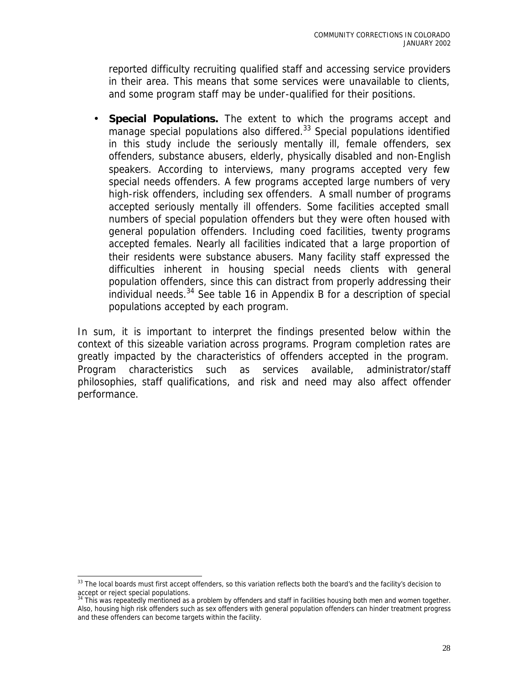reported difficulty recruiting qualified staff and accessing service providers in their area. This means that some services were unavailable to clients, and some program staff may be under-qualified for their positions.

• **Special Populations.** The extent to which the programs accept and manage special populations also differed.<sup>33</sup> Special populations identified in this study include the seriously mentally ill, female offenders, sex offenders, substance abusers, elderly, physically disabled and non-English speakers. According to interviews, many programs accepted very few special needs offenders. A few programs accepted large numbers of very high-risk offenders, including sex offenders. A small number of programs accepted seriously mentally ill offenders. Some facilities accepted small numbers of special population offenders but they were often housed with general population offenders. Including coed facilities, twenty programs accepted females. Nearly all facilities indicated that a large proportion of their residents were substance abusers. Many facility staff expressed the difficulties inherent in housing special needs clients with general population offenders, since this can distract from properly addressing their individual needs. $34$  See table 16 in Appendix B for a description of special populations accepted by each program.

In sum, it is important to interpret the findings presented below within the context of this sizeable variation across programs. Program completion rates are greatly impacted by the characteristics of offenders accepted in the program. Program characteristics such as services available, administrator/staff philosophies, staff qualifications, and risk and need may also affect offender performance.

l  $33$  The local boards must first accept offenders, so this variation reflects both the board's and the facility's decision to

accept or reject special populations.<br><sup>34</sup> This was repeatedly mentioned as a problem by offenders and staff in facilities housing both men and women together. Also, housing high risk offenders such as sex offenders with general population offenders can hinder treatment progress and these offenders can become targets within the facility.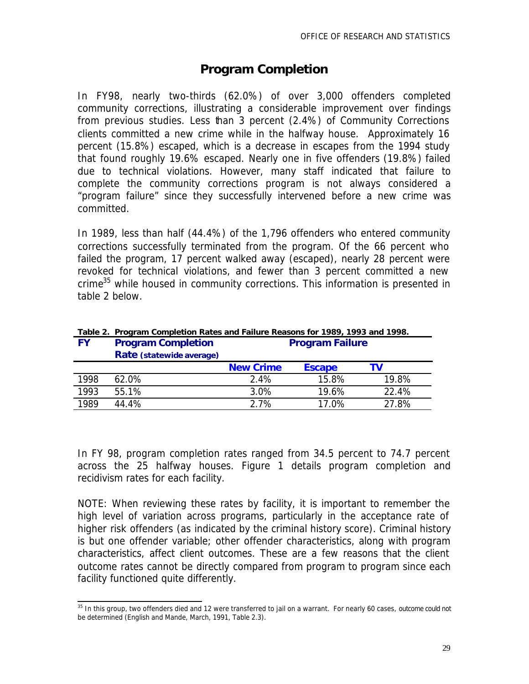# **Program Completion**

In FY98*,* nearly two-thirds (62.0%) of over 3,000 offenders completed community corrections, illustrating a considerable improvement over findings from previous studies. Less than 3 percent (2.4%) of Community Corrections clients committed a new crime while in the halfway house. Approximately 16 percent (15.8%) escaped, which is a decrease in escapes from the 1994 study that found roughly 19.6% escaped. Nearly one in five offenders (19.8%) failed due to technical violations. However, many staff indicated that failure to complete the community corrections program is not always considered a "program failure" since they successfully intervened before a new crime was committed.

In 1989*,* less than half (44.4%) of the 1,796 offenders who entered community corrections successfully terminated from the program. Of the 66 percent who failed the program, 17 percent walked away (escaped), nearly 28 percent were revoked for technical violations, and fewer than 3 percent committed a new crime<sup>35</sup> while housed in community corrections. This information is presented in table 2 below.

| <b>FY</b> | <b>Program Completion</b><br>Rate (statewide average) | $10000$ and $17700$ .<br><b>Program Failure</b> |               |       |  |
|-----------|-------------------------------------------------------|-------------------------------------------------|---------------|-------|--|
|           |                                                       | <b>New Crime</b>                                | <b>Escape</b> |       |  |
| 1998      | 62.0%                                                 | 2.4%                                            | 15.8%         | 19.8% |  |
| 1993      | 55.1%                                                 | 3.0%                                            | 19.6%         | 22.4% |  |
| 1989      | 44.4%                                                 | 2.7%                                            | 17.0%         | 27.8% |  |

# **Table 2. Program Completion Rates and Failure Reasons for 1989, 1993 and 1998.**

In FY 98, program completion rates ranged from 34.5 percent to 74.7 percent across the 25 halfway houses. Figure 1 details program completion and recidivism rates for each facility.

NOTE: When reviewing these rates by facility, it is important to remember the high level of variation across programs, particularly in the acceptance rate of higher risk offenders (as indicated by the criminal history score). Criminal history is but one offender variable; other offender characteristics, along with program characteristics, affect client outcomes. These are a few reasons that the client outcome rates cannot be directly compared from program to program since each facility functioned quite differently.

l <sup>35</sup> In this group, two offenders died and 12 were transferred to jail on a warrant. For nearly 60 cases, outcome could not be determined (English and Mande, March, 1991, Table 2.3).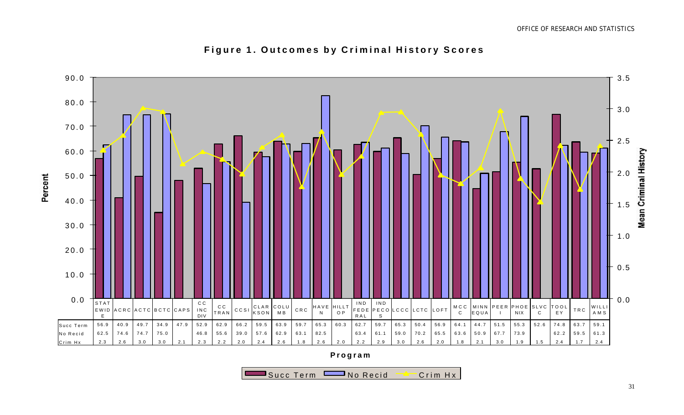

## **Figure 1. Outcomes by Criminal History Scores**

Succ Term  $\Box$  No Recid  $\land$  Crim Hx

31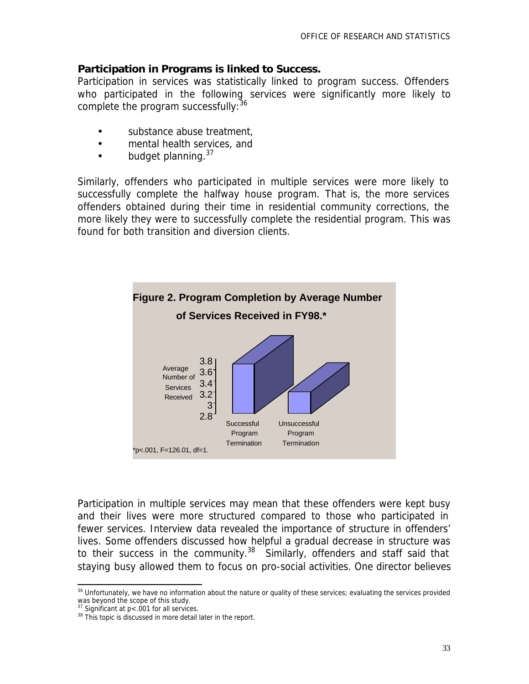#### **Participation in Programs is linked to Success.**

Participation in services was statistically linked to program success. Offenders who participated in the following services were significantly more likely to complete the program successfully: $36$ 

- substance abuse treatment,
- mental health services, and
- budget planning. $37$

Similarly, offenders who participated in multiple services were more likely to successfully complete the halfway house program. That is, the more services offenders obtained during their time in residential community corrections, the more likely they were to successfully complete the residential program. This was found for both transition and diversion clients.



Participation in multiple services may mean that these offenders were kept busy and their lives were more structured compared to those who participated in fewer services. Interview data revealed the importance of structure in offenders' lives. Some offenders discussed how helpful a gradual decrease in structure was to their success in the community.<sup>38</sup> Similarly, offenders and staff said that staying busy allowed them to focus on pro-social activities. One director believes

l

<sup>&</sup>lt;sup>36</sup> Unfortunately, we have no information about the nature or quality of these services; evaluating the services provided was beyond the scope of this study.

 $37$  Significant at p<.001 for all services.

<sup>&</sup>lt;sup>38</sup> This topic is discussed in more detail later in the report.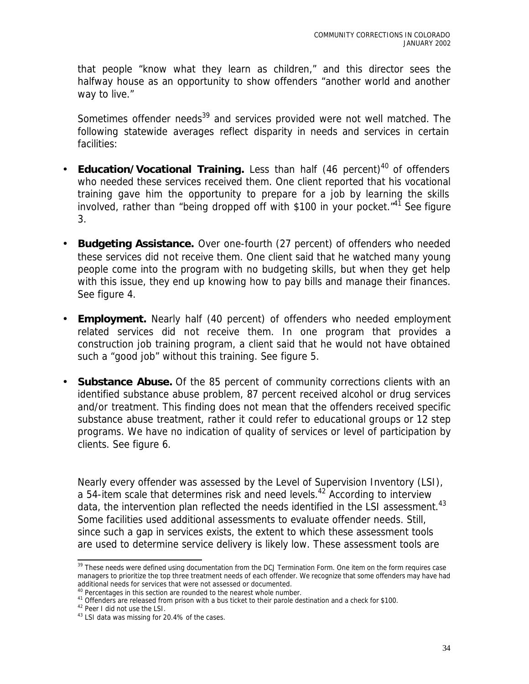that people "know what they learn as children," and this director sees the halfway house as an opportunity to show offenders "another world and another way to live."

Sometimes offender needs<sup>39</sup> and services provided were not well matched. The following statewide averages reflect disparity in needs and services in certain facilities:

- **Education/Vocational Training.** Less than half (46 percent)<sup>40</sup> of offenders who needed these services received them. One client reported that his vocational training gave him the opportunity to prepare for a job by learning the skills involved, rather than "being dropped off with \$100 in your pocket."<sup>41</sup> See figure 3.
- **Budgeting Assistance.** Over one-fourth (27 percent) of offenders who needed these services did *not* receive them. One client said that he watched many young people come into the program with no budgeting skills, but when they get help with this issue, they end up knowing how to pay bills and manage their finances. See figure 4.
- **Employment.** Nearly half (40 percent) of offenders who needed employment related services did *not* receive them. In one program that provides a construction job training program, a client said that he would not have obtained such a "good job" without this training. See figure 5.
- **Substance Abuse.** Of the 85 percent of community corrections clients with an identified substance abuse problem, 87 percent received alcohol or drug services and/or treatment. This finding does not mean that the offenders received specific substance abuse treatment, rather it could refer to educational groups or 12 step programs. We have no indication of quality of services or level of participation by clients. See figure 6.

Nearly every offender was assessed by the Level of Supervision Inventory (LSI), a 54-item scale that determines risk and need levels.<sup>42</sup> According to interview data, the intervention plan reflected the needs identified in the LSI assessment.<sup>43</sup> Some facilities used additional assessments to evaluate offender needs. Still, since such a gap in services exists, the extent to which these assessment tools are used to determine service delivery is likely low. These assessment tools are

l <sup>39</sup> These needs were defined using documentation from the DCJ Termination Form. One item on the form requires case managers to prioritize the top three treatment needs of each offender. We recognize that some offenders may have had additional needs for services that were not assessed or documented.

<sup>40</sup> Percentages in this section are rounded to the nearest whole number.

<sup>41</sup> Offenders are released from prison with a bus ticket to their parole destination and a check for \$100.

<sup>42</sup> Peer I did not use the LSI.

<sup>&</sup>lt;sup>43</sup> LSI data was missing for 20.4% of the cases.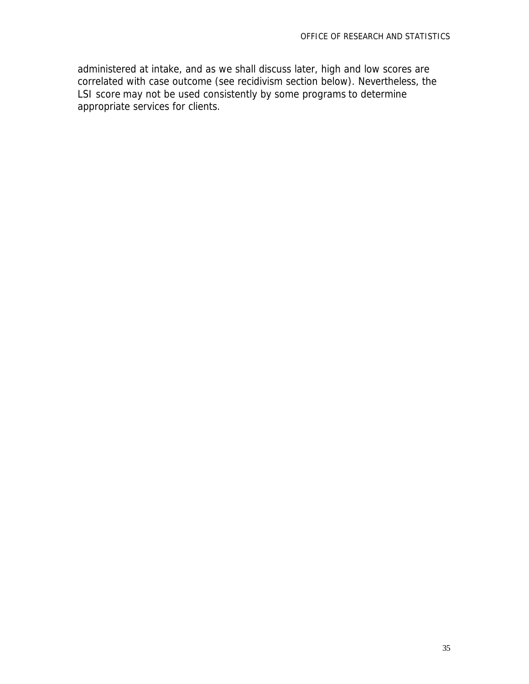administered at intake, and as we shall discuss later, high and low scores are correlated with case outcome (see recidivism section below). Nevertheless, the LSI score may not be used consistently by some programs to determine appropriate services for clients.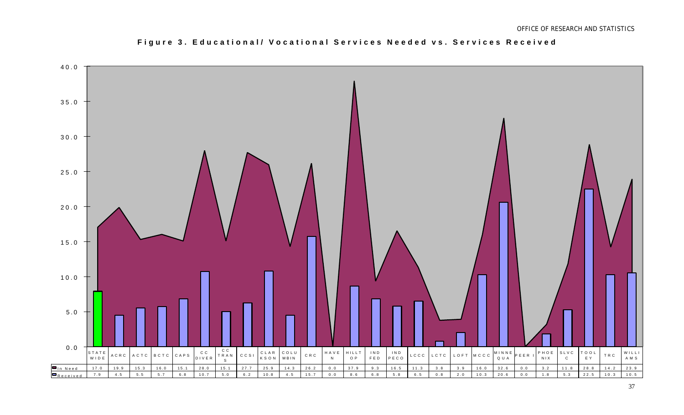

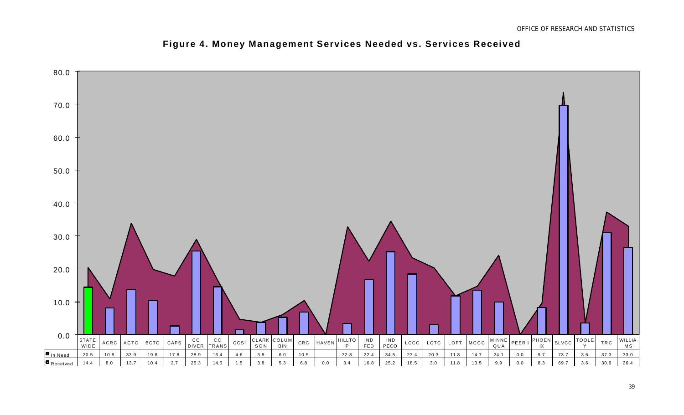

# **Figure 4. Money Management Services Needed vs. Services Received**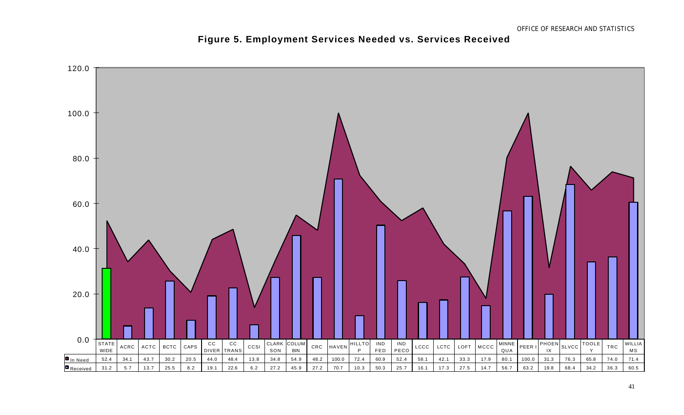

# **Figure 5. Employment Services Needed vs. Services Received**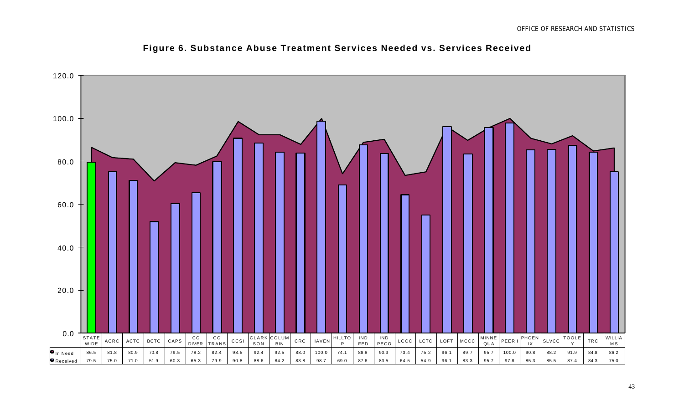

**Figure 6. Substance Abuse Treatment Services Needed vs. Services Received**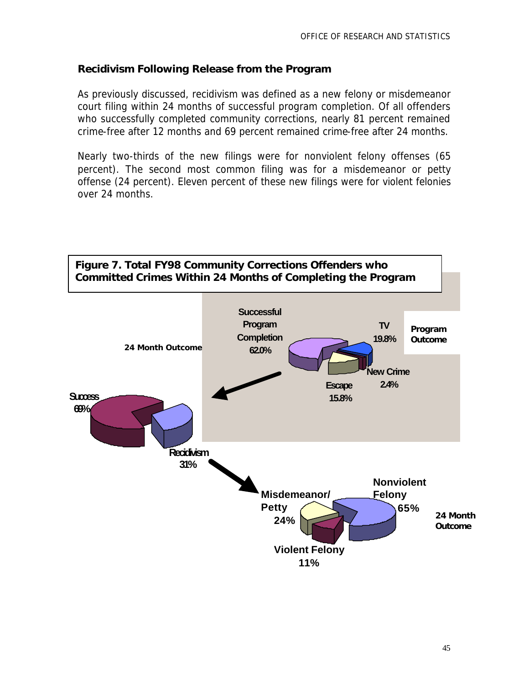#### *Recidivism Following Release from the Program*

As previously discussed, recidivism was defined as a new felony or misdemeanor court filing within 24 months of successful program completion. Of all offenders who successfully completed community corrections, nearly 81 percent remained crime-free after 12 months and 69 percent remained crime-free after 24 months.

Nearly two-thirds of the new filings were for nonviolent felony offenses (65 percent). The second most common filing was for a misdemeanor or petty offense (24 percent). Eleven percent of these new filings were for violent felonies over 24 months.

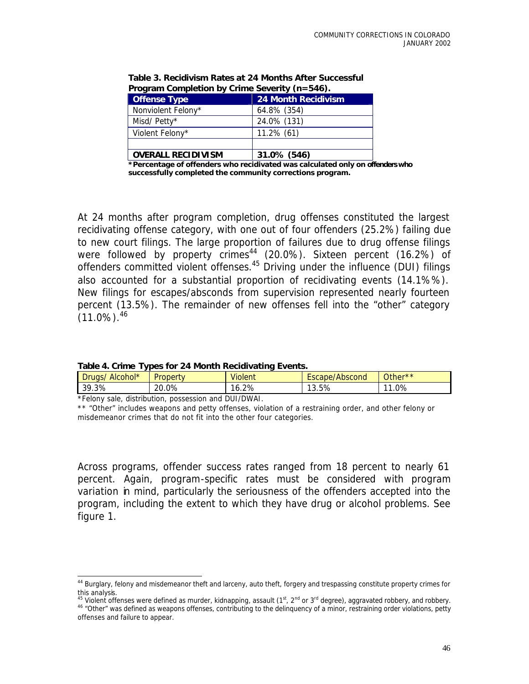| <b>Offense Type</b>       | 24 Month Recidivism |
|---------------------------|---------------------|
| Nonviolent Felony*        | 64.8% (354)         |
| Misd/Petty*               | 24.0% (131)         |
| Violent Felony*           | $11.2\%$ (61)       |
|                           |                     |
| <b>OVERALL RECIDIVISM</b> | 31.0% (546)         |

| Table 3. Recidivism Rates at 24 Months After Successful |  |
|---------------------------------------------------------|--|
| Program Completion by Crime Severity (n=546).           |  |

**\*Percentage of offenders who recidivated was calculated only on offenders who successfully completed the community corrections program.**

At 24 months after program completion, drug offenses constituted the largest recidivating offense category, with one out of four offenders (25.2%) failing due to new court filings. The large proportion of failures due to drug offense filings were followed by property crimes<sup>44</sup> (20.0%). Sixteen percent (16.2%) of offenders committed violent offenses.<sup>45</sup> Driving under the influence (DUI) filings also accounted for a substantial proportion of recidivating events (14.1%%). New filings for escapes/absconds from supervision represented nearly fourteen percent (13.5%). The remainder of new offenses fell into the "other" category  $(11.0\%)$ <sup>46</sup>

| <b>TODIC T. OFFICE TYPES TOF LAT INIOHALL INCOMMUNITION LYCHAS.</b>                                                                                                                                                                                                                                                                                                                                                                                                                           |          |         |                |            |  |
|-----------------------------------------------------------------------------------------------------------------------------------------------------------------------------------------------------------------------------------------------------------------------------------------------------------------------------------------------------------------------------------------------------------------------------------------------------------------------------------------------|----------|---------|----------------|------------|--|
| Druas/Alcohol*                                                                                                                                                                                                                                                                                                                                                                                                                                                                                | Property | Violent | Escape/Abscond | Other $**$ |  |
| 139.3%                                                                                                                                                                                                                                                                                                                                                                                                                                                                                        | 20.0%    | 16.2%   | 13.5%          | 11.0%      |  |
| $\downarrow$ $\blacksquare$ $\blacksquare$ $\blacksquare$ $\blacksquare$ $\blacksquare$ $\blacksquare$ $\blacksquare$ $\blacksquare$ $\blacksquare$ $\blacksquare$ $\blacksquare$ $\blacksquare$ $\blacksquare$ $\blacksquare$ $\blacksquare$ $\blacksquare$ $\blacksquare$ $\blacksquare$ $\blacksquare$ $\blacksquare$ $\blacksquare$ $\blacksquare$ $\blacksquare$ $\blacksquare$ $\blacksquare$ $\blacksquare$ $\blacksquare$ $\blacksquare$ $\blacksquare$ $\blacksquare$ $\blacksquare$ |          |         |                |            |  |

#### **Table 4. Crime Types for 24 Month Recidivating Events.**

\*Felony sale, distribution, possession and DUI/DWAI.

l

\*\* "Other" includes weapons and petty offenses, violation of a restraining order, and other felony or misdemeanor crimes that do not fit into the other four categories.

Across programs, offender success rates ranged from 18 percent to nearly 61 percent. Again, program-specific rates must be considered with program variation in mind, particularly the seriousness of the offenders accepted into the program, including the extent to which they have drug or alcohol problems. See figure 1.

<sup>&</sup>lt;sup>44</sup> Burglary, felony and misdemeanor theft and larceny, auto theft, forgery and trespassing constitute property crimes for this analysis.

 $45$  Violent offenses were defined as murder, kidnapping, assault ( $1<sup>st</sup>$ ,  $2<sup>nd</sup>$  or  $3<sup>rd</sup>$  degree), aggravated robbery, and robbery. <sup>46</sup> "Other" was defined as weapons offenses, contributing to the delinquency of a minor, restraining order violations, petty offenses and failure to appear.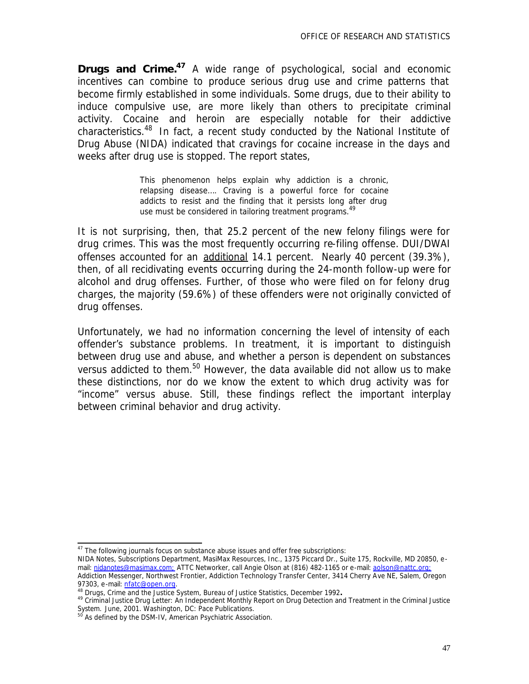**Drugs and Crime.<sup>47</sup>** A wide range of psychological, social and economic incentives can combine to produce serious drug use and crime patterns that become firmly established in some individuals. Some drugs, due to their ability to induce compulsive use, are more likely than others to precipitate criminal activity. Cocaine and heroin are especially notable for their addictive characteristics.<sup>48</sup> In fact, a recent study conducted by the National Institute of Drug Abuse (NIDA) indicated that cravings for cocaine increase in the days and weeks after drug use is stopped. The report states,

> This phenomenon helps explain why addiction is a chronic, relapsing disease…. Craving is a powerful force for cocaine addicts to resist and the finding that it persists long after drug use must be considered in tailoring treatment programs.<sup>49</sup>

It is not surprising, then, that 25.2 percent of the new felony filings were for drug crimes. This was the most frequently occurring re-filing offense. DUI/DWAI offenses accounted for an additional 14.1 percent. Nearly 40 percent (39.3%), then, of all recidivating events occurring during the 24-month follow-up were for alcohol and drug offenses. Further, of those who were filed on for felony drug charges, the majority (59.6%) of these offenders were *not* originally convicted of drug offenses.

Unfortunately, we had no information concerning the level of intensity of each offender's substance problems. In treatment, it is important to distinguish between drug use and abuse, and whether a person is dependent on substances versus addicted to them.<sup>50</sup> However, the data available did not allow us to make these distinctions, nor do we know the extent to which drug activity was for "income" versus abuse. Still, these findings reflect the important interplay between criminal behavior and drug activity.

l

 $47$  The following journals focus on substance abuse issues and offer free subscriptions:

*NIDA Notes*, Subscriptions Department, MasiMax Resources, Inc., 1375 Piccard Dr., Suite 175, Rockville, MD 20850, email: nidanotes@masimax.com; *ATTC Networker*, call Angie Olson at (816) 482-1165 or e-mail: aolson@nattc.org; *Addiction Messenger*, Northwest Frontier, Addiction Technology Transfer Center, 3414 Cherry Ave NE, Salem, Oregon 97303, e-mail: nfatc@open.org.

<sup>48</sup> Drugs, Crime and the Justice System, Bureau of Justice Statistics, December 1992**.**

<sup>49</sup> *Criminal Justice Drug Letter: An Independent Monthly Report on Drug Detection and Treatment in the Criminal Justice System.* June, 2001. Washington, DC: Pace Publications.<br><sup>50</sup> As defined by the DOM: We Computer Publications.

As defined by the DSM-IV, American Psychiatric Association.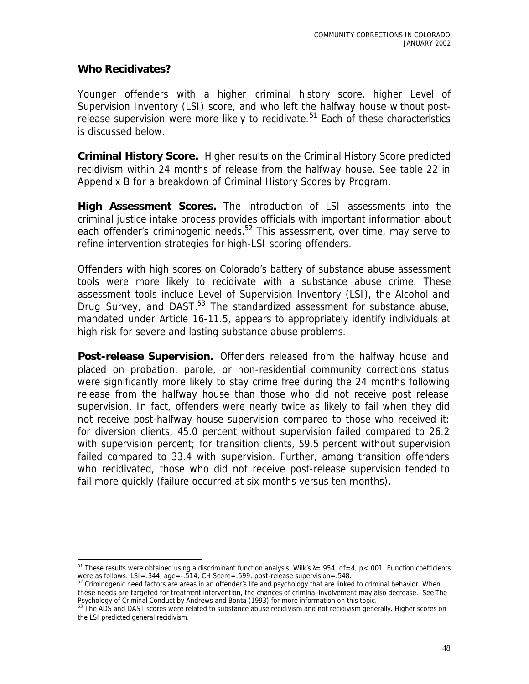### **Who Recidivates?**

l

Younger offenders with a higher criminal history score, higher Level of Supervision Inventory (LSI) score, and who left the halfway house without postrelease supervision were more likely to recidivate.<sup>51</sup> Each of these characteristics is discussed below.

**Criminal History Score.** Higher results on the Criminal History Score predicted recidivism within 24 months of release from the halfway house. See table 22 in Appendix B for a breakdown of Criminal History Scores by Program.

**High Assessment Scores.** The introduction of LSI assessments into the criminal justice intake process provides officials with important information about each offender's criminogenic needs.<sup>52</sup> This assessment, over time, may serve to refine intervention strategies for high-LSI scoring offenders.

Offenders with high scores on Colorado's battery of substance abuse assessment tools were more likely to recidivate with a substance abuse crime. These assessment tools include Level of Supervision Inventory (LSI), the Alcohol and Drug Survey, and DAST.<sup>53</sup> The standardized assessment for substance abuse, mandated under Article 16-11.5, appears to appropriately identify individuals at high risk for severe and lasting substance abuse problems.

**Post-release Supervision.** Offenders released from the halfway house and placed on probation, parole, or non-residential community corrections status were significantly more likely to stay crime free during the 24 months following release from the halfway house than those who did not receive post release supervision. In fact, offenders were nearly twice as likely to fail when they did *not* receive post-halfway house supervision compared to those who received it: for diversion clients, 45.0 percent without supervision failed compared to 26.2 with supervision percent; for transition clients, 59.5 percent without supervision failed compared to 33.4 with supervision. Further, among transition offenders who recidivated, those who did not receive post-release supervision tended to *fail more quickly* (failure occurred at six months versus ten months).

<sup>&</sup>lt;sup>51</sup> These results were obtained using a discriminant function analysis. Wilk's  $\lambda = .954$ , df=4, p<.001. Function coefficients were as follows: LSI=.344, age=-.514, CH Score=.599, post-release supervision=.548.

 $52$  Criminogenic need factors are areas in an offender's life and psychology that are linked to criminal behavior. When these needs are targeted for treatment intervention, the chances of criminal involvement may also decrease. See *The Psychology of Criminal Conduct* by Andrews and Bonta (1993) for more information on this topic.

<sup>53</sup> The ADS and DAST scores were related to substance abuse recidivism and not recidivism generally. Higher scores on the LSI predicted general recidivism.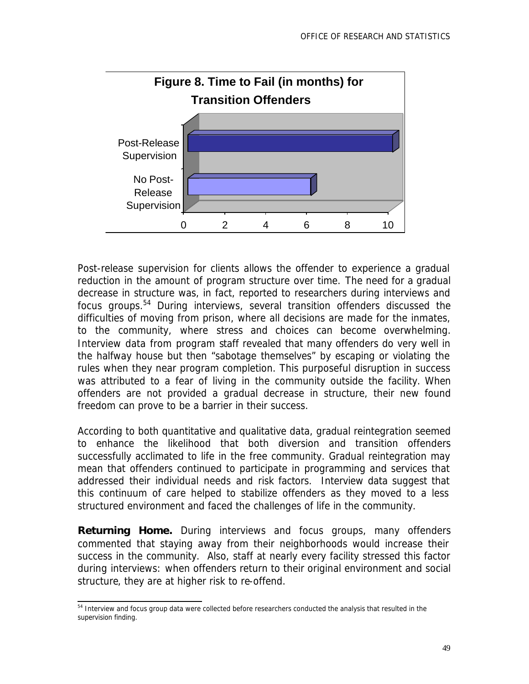

Post-release supervision for clients allows the offender to experience a gradual reduction in the amount of program structure over time. The need for a gradual decrease in structure was, in fact, reported to researchers during interviews and focus groups.<sup>54</sup> During interviews, several transition offenders discussed the difficulties of moving from prison, where all decisions are made for the inmates, to the community, where stress and choices can become overwhelming. Interview data from program staff revealed that many offenders do very well in the halfway house but then "sabotage themselves" by escaping or violating the rules when they near program completion. This purposeful disruption in success was attributed to a fear of living in the community outside the facility. When offenders are not provided a gradual decrease in structure, their new found freedom can prove to be a barrier in their success.

According to both quantitative and qualitative data, gradual reintegration seemed to enhance the likelihood that both diversion and transition offenders successfully acclimated to life in the free community. Gradual reintegration may mean that offenders continued to participate in programming and services that addressed their individual needs and risk factors. Interview data suggest that this continuum of care helped to stabilize offenders as they moved to a less structured environment and faced the challenges of life in the community.

**Returning Home.** During interviews and focus groups, many offenders commented that staying away from their neighborhoods would increase their success in the community. Also, staff at nearly every facility stressed this factor during interviews: *when offenders return to their original environment and social structure, they are at higher risk to re-offend.* 

l <sup>54</sup> Interview and focus group data were collected before researchers conducted the analysis that resulted in the supervision finding.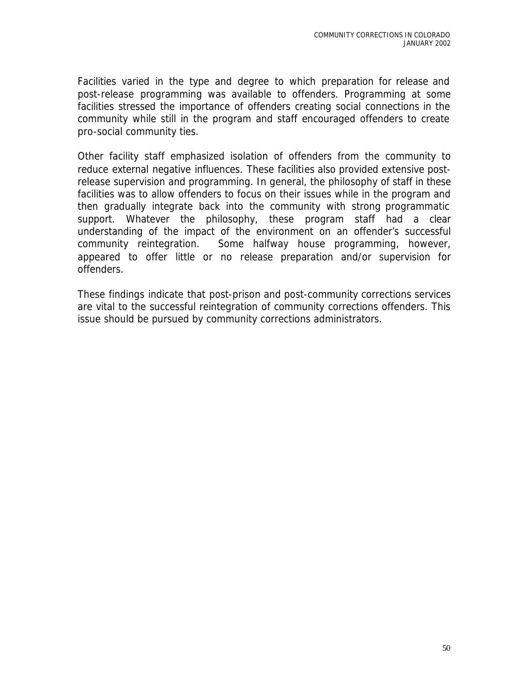Facilities varied in the type and degree to which preparation for release and post-release programming was available to offenders. Programming at some facilities stressed the importance of offenders creating social connections in the community while still in the program and staff encouraged offenders to create pro-social community ties.

Other facility staff emphasized isolation of offenders from the community to reduce external negative influences. These facilities also provided extensive postrelease supervision and programming. In general, the philosophy of staff in these facilities was to allow offenders to focus on their issues while in the program and then gradually integrate back into the community with strong programmatic support. Whatever the philosophy, these program staff had a clear understanding of the impact of the environment on an offender's successful community reintegration. Some halfway house programming, however, appeared to offer little or no release preparation and/or supervision for offenders.

These findings indicate that post-prison and post-community corrections services are vital to the successful reintegration of community corrections offenders. This issue should be pursued by community corrections administrators.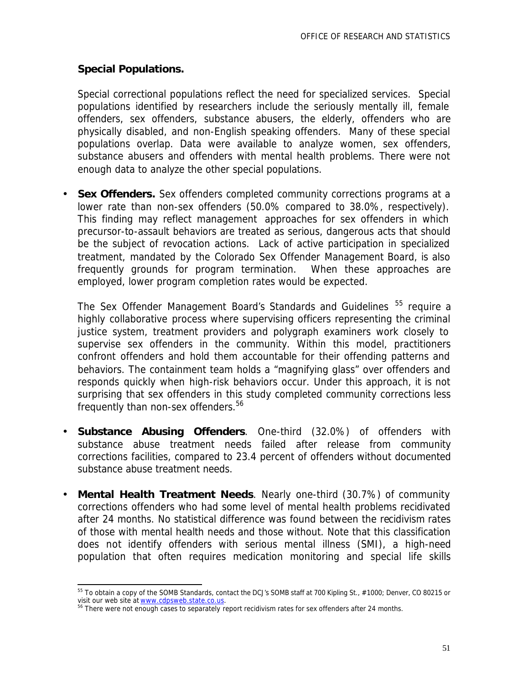### **Special Populations.**

l

Special correctional populations reflect the need for specialized services. Special populations identified by researchers include the seriously mentally ill, female offenders, sex offenders, substance abusers, the elderly, offenders who are physically disabled, and non-English speaking offenders. Many of these special populations overlap. Data were available to analyze women, sex offenders, substance abusers and offenders with mental health problems. There were not enough data to analyze the other special populations.

**Sex Offenders.** Sex offenders completed community corrections programs at a lower rate than non-sex offenders (50.0% compared to 38.0%, respectively). This finding may reflect management approaches for sex offenders in which precursor-to-assault behaviors are treated as serious, dangerous acts that should be the subject of revocation actions. Lack of active participation in specialized treatment, mandated by the Colorado Sex Offender Management Board, is also frequently grounds for program termination. When these approaches are employed, lower program completion rates would be expected.

The Sex Offender Management Board's *Standards and Guidelines* <sup>55</sup> require a highly collaborative process where supervising officers representing the criminal justice system, treatment providers and polygraph examiners work closely to supervise sex offenders in the community. Within this model, practitioners confront offenders and hold them accountable for their offending patterns and behaviors. The containment team holds a "magnifying glass" over offenders and responds quickly when high-risk behaviors occur. Under this approach, it is not surprising that sex offenders in this study completed community corrections less frequently than non-sex offenders.<sup>56</sup>

- **Substance Abusing Offenders**. One-third (32.0%) of offenders with substance abuse treatment needs failed after release from community corrections facilities, compared to 23.4 percent of offenders without documented substance abuse treatment needs.
- **Mental Health Treatment Needs**. Nearly one-third (30.7%) of community corrections offenders who had some level of mental health problems recidivated after 24 months. No statistical difference was found between the recidivism rates of those with mental health needs and those without. Note that this classification does *not* identify offenders with serious mental illness (SMI), a high-need population that often requires medication monitoring and special life skills

<sup>&</sup>lt;sup>55</sup> To obtain a copy of the SOMB Standards, contact the DCJ's SOMB staff at 700 Kipling St., #1000; Denver, CO 80215 or visit our web site at www.cdpsweb.state.co.us.

 $56$  There were not enough cases to separately report recidivism rates for sex offenders after 24 months.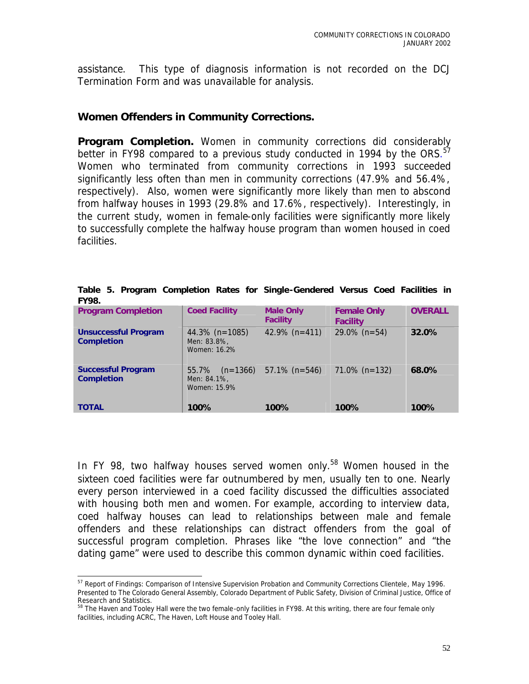assistance. This type of diagnosis information is not recorded on the DCJ Termination Form and was unavailable for analysis.

#### **Women Offenders in Community Corrections.**

**Program Completion.** Women in community corrections did considerably better in FY98 compared to a previous study conducted in 1994 by the ORS.<sup>57</sup> Women who terminated from community corrections in 1993 succeeded significantly *less often* than men in community corrections (47.9% and 56.4%, respectively). Also, women were significantly more likely than men to abscond from halfway houses in 1993 (29.8% and 17.6%, respectively). Interestingly, in the current study, women in female-only facilities were significantly more likely to successfully complete the halfway house program than women housed in coed facilities.

| <b>Program Completion</b>                        | <b>Coed Facility</b>                               | <b>Male Only</b><br><b>Facility</b> | <b>Female Only</b><br><b>Facility</b> | <b>OVERALL</b> |
|--------------------------------------------------|----------------------------------------------------|-------------------------------------|---------------------------------------|----------------|
| <b>Unsuccessful Program</b><br><b>Completion</b> | $44.3\%$ (n=1085)<br>Men: 83.8%,<br>Women: 16.2%   | $42.9\%$ (n=411)                    | $29.0\%$ (n=54)                       | 32.0%          |
| <b>Successful Program</b><br><b>Completion</b>   | $(n=1366)$<br>55.7%<br>Men: 84.1%,<br>Women: 15.9% | $57.1\%$ (n=546)                    | $71.0\%$ (n=132)                      | 68.0%          |
| <b>TOTAL</b>                                     | 100%                                               | 100%                                | 100%                                  | 100%           |

**Table 5. Program Completion Rates for Single-Gendered Versus Coed Facilities in FY98.**

In FY 98, two halfway houses served women only.<sup>58</sup> Women housed in the sixteen coed facilities were far outnumbered by men, usually ten to one. Nearly every person interviewed in a coed facility discussed the difficulties associated with housing both men and women. For example, according to interview data, coed halfway houses can lead to relationships between male and female offenders and these relationships can distract offenders from the goal of successful program completion. Phrases like "the love connection" and "the dating game" were used to describe this common dynamic within coed facilities.

l

<sup>57</sup> *Report of Findings: Comparison of Intensive Supervision Probation and Community Corrections Clientele*, May 1996. Presented to The Colorado General Assembly, Colorado Department of Public Safety, Division of Criminal Justice, Office of Research and Statistics.

<sup>168</sup> The Haven and Tooley Hall were the two female-only facilities in FY98. At this writing, there are four female only facilities, including ACRC, The Haven, Loft House and Tooley Hall.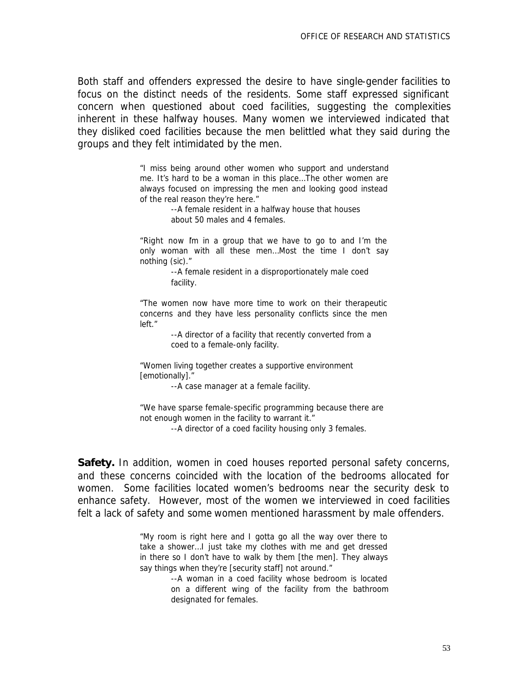Both staff and offenders expressed the desire to have single-gender facilities to focus on the distinct needs of the residents. Some staff expressed significant concern when questioned about coed facilities, suggesting the complexities inherent in these halfway houses. Many women we interviewed indicated that they disliked coed facilities because the men belittled what they said during the groups and they felt intimidated by the men.

> "I miss being around other women who support and understand me. It's hard to be a woman in this place…The other women are always focused on impressing the men and looking good instead of the real reason they're here."

*--A female resident in a halfway house that houses about 50 males and 4 females.*

"Right now Im in a group that we have to go to and I'm the only woman with all these men…Most the time I don't say nothing (sic)."

> *--A female resident in a disproportionately male coed facility.*

"The women now have more time to work on their therapeutic concerns and they have less personality conflicts since the men left."

> *--A director of a facility that recently converted from a coed to a female-only facility.*

"Women living together creates a supportive environment [emotionally]."

--*A case manager at a female facility.*

"We have sparse female-specific programming because there are not enough women in the facility to warrant it." *--A director of a coed facility housing only 3 females.*

**Safety.** In addition, women in coed houses reported personal safety concerns, and these concerns coincided with the location of the bedrooms allocated for women. Some facilities located women's bedrooms near the security desk to enhance safety. However, most of the women we interviewed in coed facilities felt a lack of safety and some women mentioned harassment by male offenders.

> "My room is right here and I gotta go all the way over there to take a shower…I just take my clothes with me and get dressed in there so I don't have to walk by them [the men]. They always say things when they're [security staff] not around."

*--A woman in a coed facility whose bedroom is located on a different wing of the facility from the bathroom designated for females.*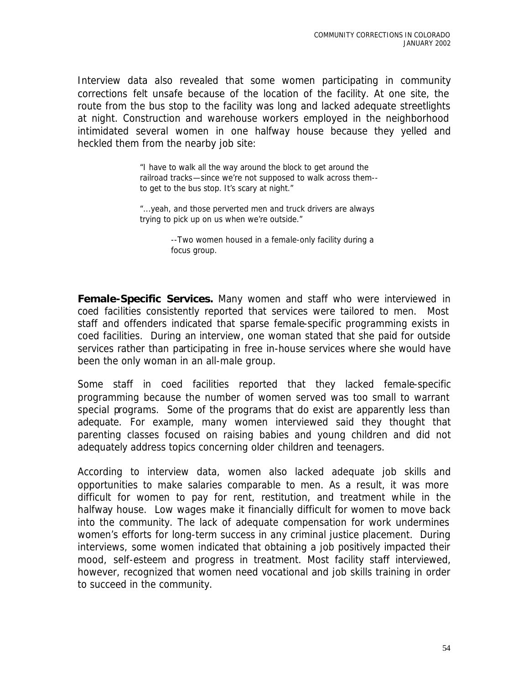Interview data also revealed that some women participating in community corrections felt unsafe because of the location of the facility. At one site, the route from the bus stop to the facility was long and lacked adequate streetlights at night. Construction and warehouse workers employed in the neighborhood intimidated several women in one halfway house because they yelled and heckled them from the nearby job site:

> "I have to walk all the way around the block to get around the railroad tracks—since we're not supposed to walk across them- to get to the bus stop. It's scary at night."

"...yeah, and those perverted men and truck drivers are always trying to pick up on us when we're outside."

> *--Two women housed in a female-only facility during a focus group.*

**Female-Specific Services.** Many women and staff who were interviewed in coed facilities consistently reported that services were tailored to men. Most staff and offenders indicated that sparse female-specific programming exists in coed facilities. During an interview, one woman stated that she paid for outside services rather than participating in free in-house services where she would have been the only woman in an all-male group.

Some staff in coed facilities reported that they lacked female-specific programming because the number of women served was too small to warrant special programs. Some of the programs that do exist are apparently less than adequate. For example, many women interviewed said they thought that parenting classes focused on raising babies and young children and did not adequately address topics concerning older children and teenagers.

According to interview data, women also lacked adequate job skills and opportunities to make salaries comparable to men. As a result, it was more difficult for women to pay for rent, restitution, and treatment while in the halfway house. Low wages make it financially difficult for women to move back into the community. The lack of adequate compensation for work undermines women's efforts for long-term success in any criminal justice placement. During interviews, some women indicated that obtaining a job positively impacted their mood, self-esteem and progress in treatment. Most facility staff interviewed, however, recognized that women need vocational and job skills training in order to succeed in the community.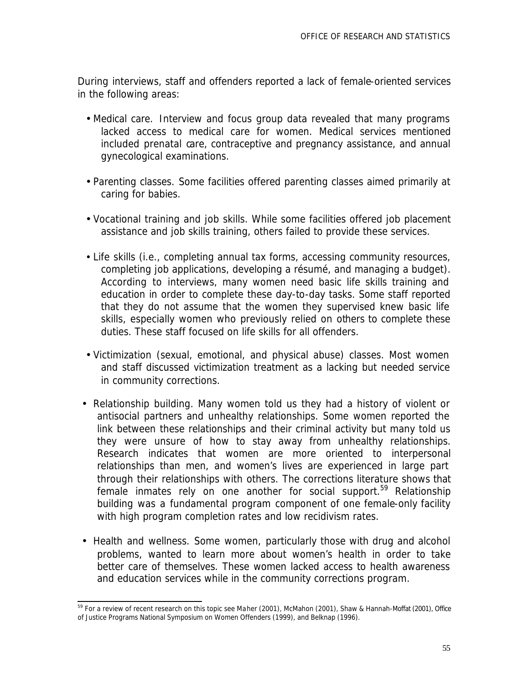During interviews, staff and offenders reported a lack of female-oriented services in the following areas:

- *Medical care.* Interview and focus group data revealed that many programs lacked access to medical care for women. Medical services mentioned included prenatal care, contraceptive and pregnancy assistance, and annual gynecological examinations.
- *Parenting classes.* Some facilities offered parenting classes aimed primarily at caring for babies.
- *Vocational training and job skills*. While some facilities offered job placement assistance and job skills training, others failed to provide these services.
- *Life skills* (i.e., completing annual tax forms, accessing community resources, completing job applications, developing a résumé, and managing a budget). According to interviews, many women need basic life skills training and education in order to complete these day-to-day tasks. Some staff reported that they do not assume that the women they supervised knew basic life skills, especially women who previously relied on others to complete these duties. These staff focused on life skills for all offenders.
- *Victimization* (sexual, emotional, and physical abuse) classes. Most women and staff discussed victimization treatment as a lacking but needed service in community corrections.
- *Relationship building*. Many women told us they had a history of violent or antisocial partners and unhealthy relationships. Some women reported the link between these relationships and their criminal activity but many told us they were unsure of how to stay away from unhealthy relationships. Research indicates that women are more oriented to interpersonal relationships than men, and women's lives are experienced in large part through their relationships with others. The corrections literature shows that female inmates rely on one another for social support.<sup>59</sup> Relationship building was a fundamental program component of one female-only facility with high program completion rates and low recidivism rates.
- *Health and wellness*. Some women, particularly those with drug and alcohol problems, wanted to learn more about women's health in order to take better care of themselves. These women lacked access to health awareness and education services while in the community corrections program.

l <sup>59</sup> For a review of recent research on this topic see Maher (2001), McMahon (2001), Shaw & Hannah-Moffat (2001), Office of Justice Programs National Symposium on Women Offenders (1999), and Belknap (1996).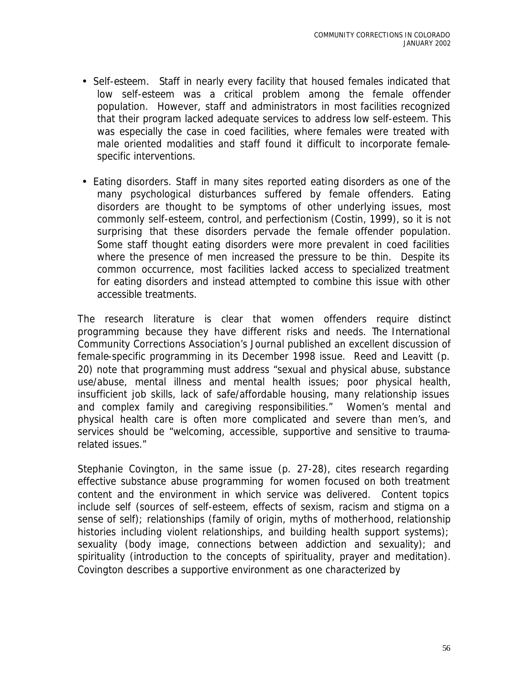- *Self-esteem*. Staff in nearly every facility that housed females indicated that low self-esteem was a critical problem among the female offender population. However, staff and administrators in most facilities recognized that their program lacked adequate services to address low self-esteem. This was especially the case in coed facilities, where females were treated with male oriented modalities and staff found it difficult to incorporate femalespecific interventions.
- *Eating disorders*. Staff in many sites reported eating disorders as one of the many psychological disturbances suffered by female offenders. Eating disorders are thought to be symptoms of other underlying issues, most commonly self-esteem, control, and perfectionism (Costin, 1999), so it is not surprising that these disorders pervade the female offender population. Some staff thought eating disorders were more prevalent in coed facilities where the presence of men increased the pressure to be thin. Despite its common occurrence, most facilities lacked access to specialized treatment for eating disorders and instead attempted to combine this issue with other accessible treatments.

The research literature is clear that women offenders require distinct programming because they have different risks and needs. The International Community Corrections Association's *Journal* published an excellent discussion of female-specific programming in its December 1998 issue. Reed and Leavitt (p. 20) note that programming must address "sexual and physical abuse, substance use/abuse, mental illness and mental health issues; poor physical health, insufficient job skills, lack of safe/affordable housing, many relationship issues and complex family and caregiving responsibilities." Women's mental and physical health care is often more complicated and severe than men's, and services should be "welcoming, accessible, supportive and sensitive to traumarelated issues."

Stephanie Covington, in the same issue (p. 27-28), cites research regarding effective substance abuse programming for women focused on both treatment content and the environment in which service was delivered. Content topics include *self* (sources of self-esteem, effects of sexism, racism and stigma on a sense of self); *relationships* (family of origin, myths of motherhood, relationship histories including violent relationships, and building health support systems); *sexuality* (body image, connections between addiction and sexuality); and *spirituality* (introduction to the concepts of spirituality, prayer and meditation). Covington describes a supportive environment as one characterized by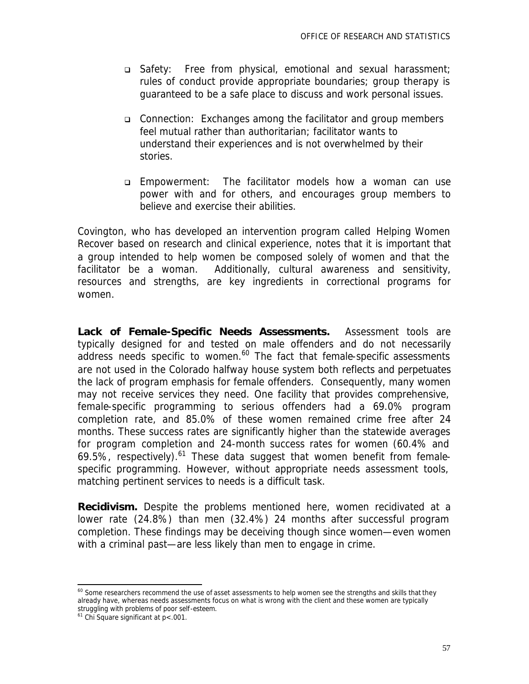- <sup>q</sup> Safety: Free from physical, emotional and sexual harassment; rules of conduct provide appropriate boundaries; group therapy is guaranteed to be a safe place to discuss and work personal issues.
- <sup>q</sup> Connection: Exchanges among the facilitator and group members feel mutual rather than authoritarian; facilitator wants to understand their experiences and is not overwhelmed by their stories.
- <sup>q</sup> Empowerment: The facilitator models how a woman can use power with and for others, and encourages group members to believe and exercise their abilities.

Covington, who has developed an intervention program called *Helping Women Recover* based on research and clinical experience, notes that it is important that a group intended to help women be composed solely of women and that the facilitator be a woman. Additionally, cultural awareness and sensitivity, resources and strengths, are key ingredients in correctional programs for women.

**Lack of Female-Specific Needs Assessments.** Assessment tools are typically designed for and tested on male offenders and do not necessarily  $\frac{3}{4}$  address needs specific to women.<sup>60</sup> The fact that female-specific assessments are not used in the Colorado halfway house system both reflects and perpetuates the lack of program emphasis for female offenders. Consequently, many women may not receive services they need. One facility that provides comprehensive, female-specific programming to serious offenders had a 69.0% program completion rate, and 85.0% of these women remained crime free after 24 months. These success rates are significantly higher than the statewide averages for program completion and 24-month success rates for women (60.4% and 69.5%, respectively).<sup>61</sup> These data suggest that women benefit from femalespecific programming. However, without appropriate needs assessment tools, matching pertinent services to needs is a difficult task.

**Recidivism.** Despite the problems mentioned here, women recidivated at a lower rate (24.8%) than men (32.4%) 24 months after successful program completion. These findings may be deceiving though since women—even women with a criminal past—are less likely than men to engage in crime.

l

<sup>60</sup> Some researchers recommend the use of *asset assessments* to help women see the strengths and skills that they already have, whereas needs assessments focus on what is wrong with the client and these women are typically struggling with problems of poor self-esteem.

 $61$  Chi Square significant at p<.001.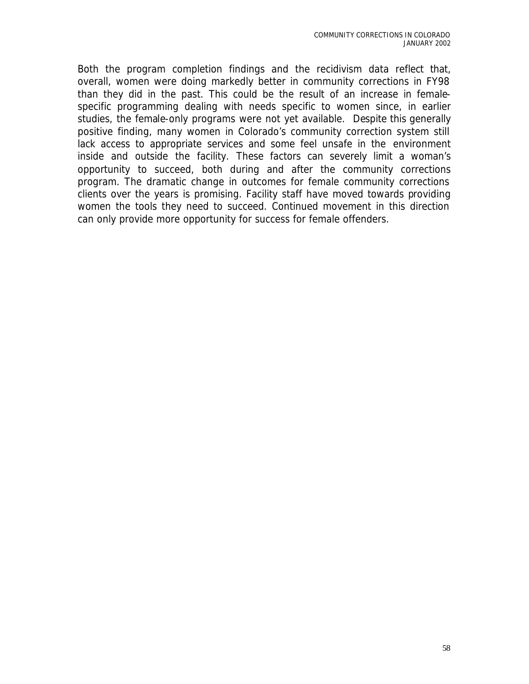Both the program completion findings and the recidivism data reflect that, overall, women were doing markedly better in community corrections in FY98 than they did in the past. This could be the result of an increase in femalespecific programming dealing with needs specific to women since, in earlier studies, the female-only programs were not yet available. Despite this generally positive finding, many women in Colorado's community correction system still lack access to appropriate services and some feel unsafe in the environment inside and outside the facility. These factors can severely limit a woman's opportunity to succeed, both during and after the community corrections program. The dramatic change in outcomes for female community corrections clients over the years is promising. Facility staff have moved towards providing women the tools they need to succeed. Continued movement in this direction can only provide more opportunity for success for female offenders.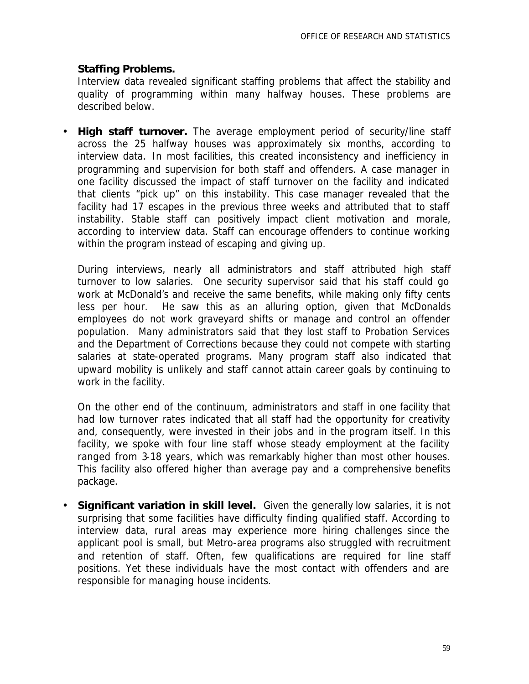### **Staffing Problems.**

Interview data revealed significant staffing problems that affect the stability and quality of programming within many halfway houses. These problems are described below.

• **High staff turnover.** The average employment period of security/line staff across the 25 halfway houses was approximately six months, according to interview data. In most facilities, this created inconsistency and inefficiency in programming and supervision for both staff and offenders. A case manager in one facility discussed the impact of staff turnover on the facility and indicated that clients "pick up" on this instability. This case manager revealed that the facility had 17 escapes in the previous three weeks and attributed that to staff instability. Stable staff can positively impact client motivation and morale, according to interview data. Staff can encourage offenders to continue working within the program instead of escaping and giving up.

During interviews, nearly all administrators and staff attributed high staff turnover to low salaries. One security supervisor said that his staff could go work at McDonald's and receive the same benefits, while making only fifty cents less per hour. He saw this as an alluring option, given that McDonalds employees do not work graveyard shifts or manage and control an offender population. Many administrators said that they lost staff to Probation Services and the Department of Corrections because they could not compete with starting salaries at state-operated programs. Many program staff also indicated that upward mobility is unlikely and staff cannot attain career goals by continuing to work in the facility.

On the other end of the continuum, administrators and staff in one facility that had low turnover rates indicated that all staff had the opportunity for creativity and, consequently, were invested in their jobs and in the program itself. In this facility, we spoke with four line staff whose steady employment at the facility ranged from 3-18 years, which was remarkably higher than most other houses. This facility also offered higher than average pay and a comprehensive benefits package.

• **Significant variation in skill level.** Given the generally low salaries, it is not surprising that some facilities have difficulty finding qualified staff. According to interview data, rural areas may experience more hiring challenges since the applicant pool is small, but Metro-area programs also struggled with recruitment and retention of staff. Often, few qualifications are required for line staff positions. Yet these individuals have the most contact with offenders and are responsible for managing house incidents.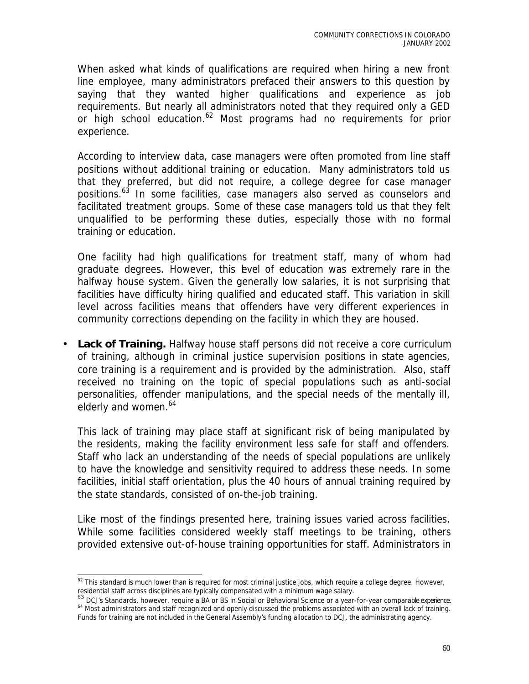When asked what kinds of qualifications are required when hiring a new front line employee, many administrators prefaced their answers to this question by saying that they wanted higher qualifications and experience as job requirements. But nearly all administrators noted that they required only a GED or high school education.<sup>62</sup> Most programs had no requirements for prior experience.

According to interview data, case managers were often promoted from line staff positions without additional training or education. Many administrators told us that they preferred, but did not require, a college degree for case manager positions.<sup>63</sup> In some facilities, case managers also served as counselors and facilitated treatment groups. Some of these case managers told us that they felt unqualified to be performing these duties, especially those with no formal training or education.

One facility had high qualifications for treatment staff, many of whom had graduate degrees. However, this level of education was extremely rare in the halfway house system. Given the generally low salaries, it is not surprising that facilities have difficulty hiring qualified and educated staff. This variation in skill level across facilities means that offenders have very different experiences in community corrections depending on the facility in which they are housed.

**Lack of Training.** Halfway house staff persons did not receive a core curriculum of training, although in criminal justice supervision positions in state agencies, core training is a requirement and is provided by the administration. Also, staff received no training on the topic of special populations such as anti-social personalities, offender manipulations, and the special needs of the mentally ill, elderly and women.<sup>64</sup>

This lack of training may place staff at significant risk of being manipulated by the residents, making the facility environment less safe for staff and offenders. Staff who lack an understanding of the needs of special populations are unlikely to have the knowledge and sensitivity required to address these needs. In some facilities, initial staff orientation, plus the 40 hours of annual training required by the state standards, consisted of on-the-job training.

Like most of the findings presented here, training issues varied across facilities. While some facilities considered weekly staff meetings to be training, others provided extensive out-of-house training opportunities for staff. Administrators in

l  $^{62}$  This standard is much lower than is required for most criminal justice jobs, which require a college degree. However, residential staff across disciplines are typically compensated with a minimum wage salary.

<sup>63</sup> DCJ's Standards, however, require a BA or BS in Social or Behavioral Science or a year-for-year comparable experience. <sup>64</sup> Most administrators and staff recognized and openly discussed the problems associated with an overall lack of training. Funds for training are not included in the General Assembly's funding allocation to DCJ, the administrating agency.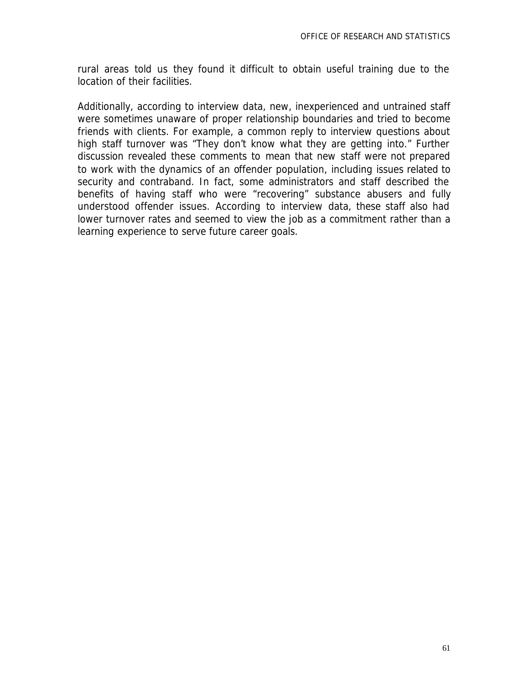rural areas told us they found it difficult to obtain useful training due to the location of their facilities.

Additionally, according to interview data, new, inexperienced and untrained staff were sometimes unaware of proper relationship boundaries and tried to become friends with clients. For example, a common reply to interview questions about high staff turnover was "They don't know what they are getting into." Further discussion revealed these comments to mean that new staff were not prepared to work with the dynamics of an offender population, including issues related to security and contraband. In fact, some administrators and staff described the benefits of having staff who were "recovering" substance abusers and fully understood offender issues. According to interview data, these staff also had lower turnover rates and seemed to view the job as a commitment rather than a learning experience to serve future career goals.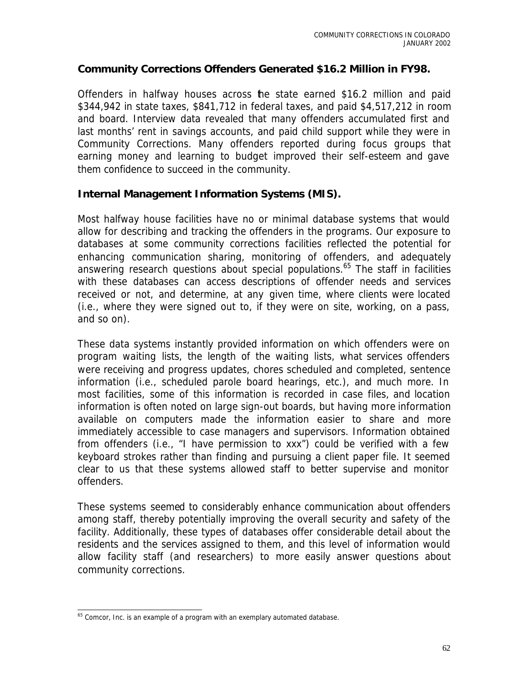### **Community Corrections Offenders Generated \$16.2 Million in FY98.**

Offenders in halfway houses across the state earned \$16.2 million and paid \$344,942 in state taxes, \$841,712 in federal taxes, and paid \$4,517,212 in room and board. Interview data revealed that many offenders accumulated first and last months' rent in savings accounts, and paid child support while they were in Community Corrections. Many offenders reported during focus groups that earning money and learning to budget improved their self-esteem and gave them confidence to succeed in the community.

#### **Internal Management Information Systems (MIS).**

Most halfway house facilities have no or minimal database systems that would allow for describing and tracking the offenders in the programs. Our exposure to databases at some community corrections facilities reflected the potential for enhancing communication sharing, monitoring of offenders, and adequately answering research questions about special populations.<sup>65</sup> The staff in facilities with these databases can access descriptions of offender needs and services received or not, and determine, at any given time, where clients were located (i.e., where they were signed out to, if they were on site, working, on a pass, and so on).

These data systems instantly provided information on which offenders were on program waiting lists, the length of the waiting lists, what services offenders were receiving and progress updates, chores scheduled and completed, sentence information (i.e., scheduled parole board hearings, etc.), and much more. In most facilities, some of this information is recorded in case files, and location information is often noted on large sign-out boards, but having *more* information available on computers made the information easier to share and more immediately accessible to case managers and supervisors. Information obtained from offenders (i.e., "I have permission to xxx") could be verified with a few keyboard strokes rather than finding and pursuing a client paper file. It seemed clear to us that these systems allowed staff to better supervise and monitor offenders.

These systems seemed to considerably enhance communication about offenders among staff, thereby potentially improving the overall security and safety of the facility. Additionally, these types of databases offer considerable detail about the residents and the services assigned to them, and this level of information would allow facility staff (and researchers) to more easily answer questions about community corrections.

l  $65$  Comcor, Inc. is an example of a program with an exemplary automated database.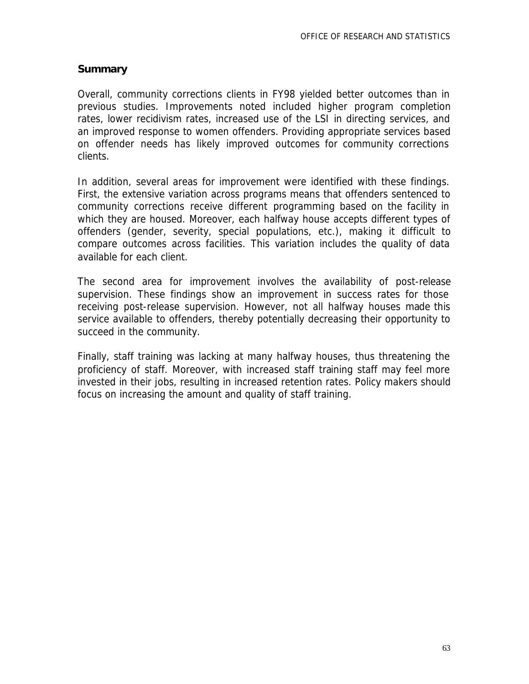### **Summary**

Overall, community corrections clients in FY98 yielded better outcomes than in previous studies. Improvements noted included higher program completion rates, lower recidivism rates, increased use of the LSI in directing services, and an improved response to women offenders. Providing appropriate services based on offender needs has likely improved outcomes for community corrections clients.

In addition, several areas for improvement were identified with these findings. First, the extensive variation across programs means that offenders sentenced to community corrections receive different programming based on the facility in which they are housed. Moreover, each halfway house accepts different types of offenders (gender, severity, special populations, etc.), making it difficult to compare outcomes across facilities. This variation includes the quality of data available for each client.

The second area for improvement involves the availability of post-release supervision. These findings show an improvement in success rates for those receiving post-release supervision. However, not all halfway houses made this service available to offenders, thereby potentially decreasing their opportunity to succeed in the community.

Finally, staff training was lacking at many halfway houses, thus threatening the proficiency of staff. Moreover, with increased staff training staff may feel more invested in their jobs, resulting in increased retention rates. Policy makers should focus on increasing the amount and quality of staff training.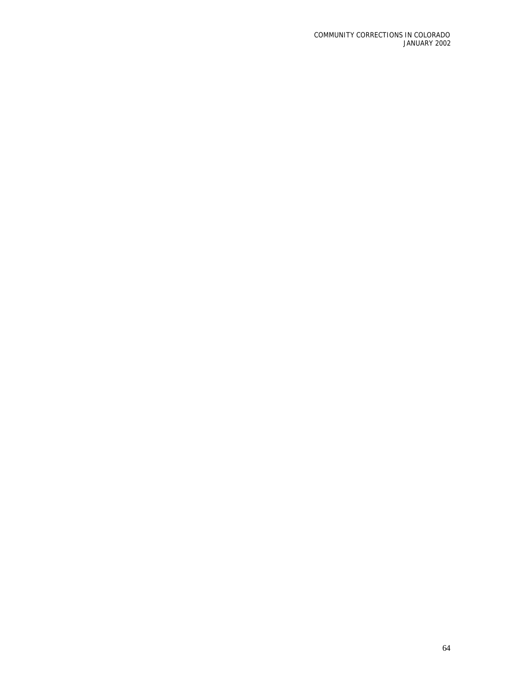COMMUNITY CORRECTIONS IN COLORADO JANUARY 2002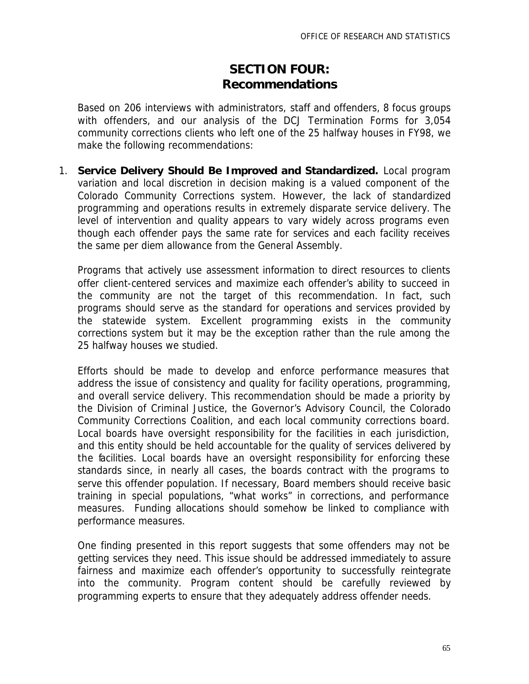## **SECTION FOUR: Recommendations**

Based on 206 interviews with administrators, staff and offenders, 8 focus groups with offenders, and our analysis of the DCJ Termination Forms for 3,054 community corrections clients who left one of the 25 halfway houses in FY98, we make the following recommendations:

1. **Service Delivery Should Be Improved and Standardized.** Local program variation and local discretion in decision making is a valued component of the Colorado Community Corrections system. However, the lack of standardized programming and operations results in extremely disparate service delivery. The level of intervention and quality appears to vary widely across programs even though each offender pays the same rate for services and each facility receives the same per diem allowance from the General Assembly.

Programs that actively use assessment information to direct resources to clients offer client-centered services and maximize each offender's ability to succeed in the community are not the target of this recommendation. In fact, such programs should serve as the standard for operations and services provided by the statewide system. Excellent programming exists in the community corrections system but it may be the exception rather than the rule among the 25 halfway houses we studied.

Efforts should be made to develop and enforce performance measures that address the issue of consistency and quality for facility operations, programming, and overall service delivery. This recommendation should be made a priority by the Division of Criminal Justice, the Governor's Advisory Council, the Colorado Community Corrections Coalition, and each local community corrections board. Local boards have oversight responsibility for the facilities in each jurisdiction, and this entity should be held accountable for the quality of services delivered by the facilities. Local boards have an oversight responsibility for enforcing these standards since, in nearly all cases, the boards contract with the programs to serve this offender population. If necessary, Board members should receive basic training in special populations, "what works" in corrections, and performance measures. Funding allocations should somehow be linked to compliance with performance measures.

One finding presented in this report suggests that some offenders may not be getting services they need. This issue should be addressed immediately to assure fairness and maximize each offender's opportunity to successfully reintegrate into the community. Program content should be carefully reviewed by programming experts to ensure that they adequately address offender needs.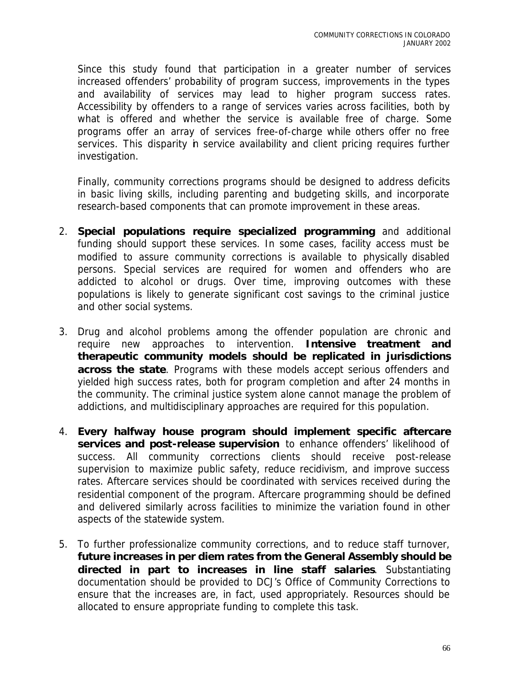Since this study found that participation in a greater number of services increased offenders' probability of program success, improvements in the types and availability of services may lead to higher program success rates. Accessibility by offenders to a range of services varies across facilities, both by what is offered and whether the service is available free of charge. Some programs offer an array of services free-of-charge while others offer no free services. This disparity in service availability and client pricing requires further investigation.

Finally, community corrections programs should be designed to address deficits in basic living skills, including parenting and budgeting skills, and incorporate research-based components that can promote improvement in these areas.

- 2. **Special populations require specialized programming** and additional funding should support these services. In some cases, facility access must be modified to assure community corrections is available to physically disabled persons. Special services are required for women and offenders who are addicted to alcohol or drugs. Over time, improving outcomes with these populations is likely to generate significant cost savings to the criminal justice and other social systems.
- 3. Drug and alcohol problems among the offender population are chronic and require new approaches to intervention. **Intensive treatment and therapeutic community models should be replicated in jurisdictions across the state**. Programs with these models accept serious offenders and yielded high success rates, both for program completion and after 24 months in the community. The criminal justice system alone cannot manage the problem of addictions, and multidisciplinary approaches are required for this population.
- 4. **Every halfway house program should implement specific aftercare services and post-release supervision** to enhance offenders' likelihood of success. All community corrections clients should receive post-release supervision to maximize public safety, reduce recidivism, and improve success rates. Aftercare services should be coordinated with services received during the residential component of the program. Aftercare programming should be defined and delivered similarly across facilities to minimize the variation found in other aspects of the statewide system.
- 5. To further professionalize community corrections, and to reduce staff turnover, **future increases in per diem rates from the General Assembly should be directed in part to increases in line staff salaries**. Substantiating documentation should be provided to DCJ's Office of Community Corrections to ensure that the increases are, in fact, used appropriately. Resources should be allocated to ensure appropriate funding to complete this task.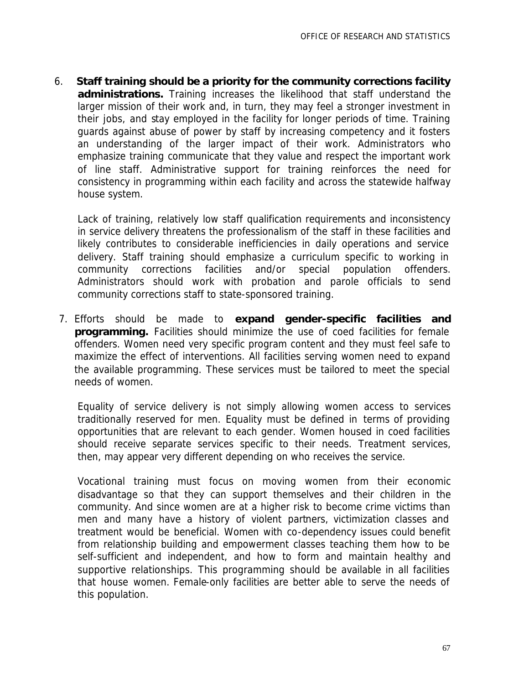6. **Staff training should be a priority for the community corrections facility administrations.** Training increases the likelihood that staff understand the larger mission of their work and, in turn, they may feel a stronger investment in their jobs, and stay employed in the facility for longer periods of time. Training guards against abuse of power by staff by increasing competency and it fosters an understanding of the larger impact of their work. Administrators who emphasize training communicate that they value and respect the important work of line staff. Administrative support for training reinforces the need for consistency in programming within each facility and across the statewide halfway house system.

Lack of training, relatively low staff qualification requirements and inconsistency in service delivery threatens the professionalism of the staff in these facilities and likely contributes to considerable inefficiencies in daily operations and service delivery. Staff training should emphasize a curriculum specific to working in community corrections facilities and/or special population offenders. Administrators should work with probation and parole officials to send community corrections staff to state-sponsored training.

7. Efforts should be made to **expand gender-specific facilities and programming.** Facilities should minimize the use of coed facilities for female offenders. Women need very specific program content and they must feel safe to maximize the effect of interventions. All facilities serving women need to expand the available programming. These services must be tailored to meet the special needs of women.

Equality of service delivery is not simply allowing women access to services traditionally reserved for men. Equality must be defined in terms of providing opportunities that are relevant to each gender. Women housed in coed facilities should receive separate services specific to their needs. Treatment services, then, may appear very different depending on who receives the service.

Vocational training must focus on moving women from their economic disadvantage so that they can support themselves and their children in the community. And since women are at a higher risk to become crime victims than men and many have a history of violent partners, victimization classes and treatment would be beneficial. Women with co-dependency issues could benefit from relationship building and empowerment classes teaching them how to be self-sufficient and independent, and how to form and maintain healthy and supportive relationships. This programming should be available in all facilities that house women. Female-only facilities are better able to serve the needs of this population.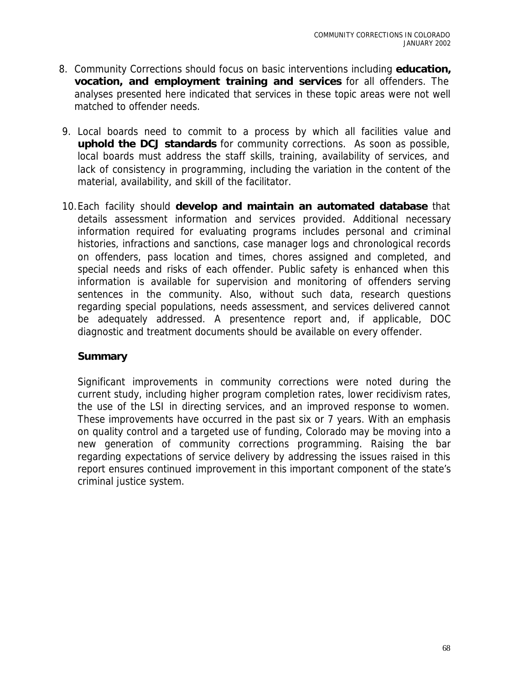- 8. Community Corrections should focus on basic interventions including **education, vocation, and employment training and services** for all offenders. The analyses presented here indicated that services in these topic areas were not well matched to offender needs.
- 9. Local boards need to commit to a process by which all facilities value and **uphold the DCJ standards** for community corrections. As soon as possible, local boards must address the staff skills, training, availability of services, and lack of consistency in programming, including the variation in the content of the material, availability, and skill of the facilitator.
- 10.Each facility should **develop and maintain an automated database** that details assessment information and services provided. Additional necessary information required for evaluating programs includes personal and criminal histories, infractions and sanctions, case manager logs and chronological records on offenders, pass location and times, chores assigned and completed, and special needs and risks of each offender. Public safety is enhanced when this information is available for supervision and monitoring of offenders serving sentences in the community. Also, without such data, research questions regarding special populations, needs assessment, and services delivered cannot be adequately addressed. A presentence report and, if applicable, DOC diagnostic and treatment documents should be available on every offender.

#### **Summary**

Significant improvements in community corrections were noted during the current study, including higher program completion rates, lower recidivism rates, the use of the LSI in directing services, and an improved response to women. These improvements have occurred in the past six or 7 years. With an emphasis on quality control and a targeted use of funding, Colorado may be moving into a new generation of community corrections programming. Raising the bar regarding expectations of service delivery by addressing the issues raised in this report ensures continued improvement in this important component of the state's criminal justice system.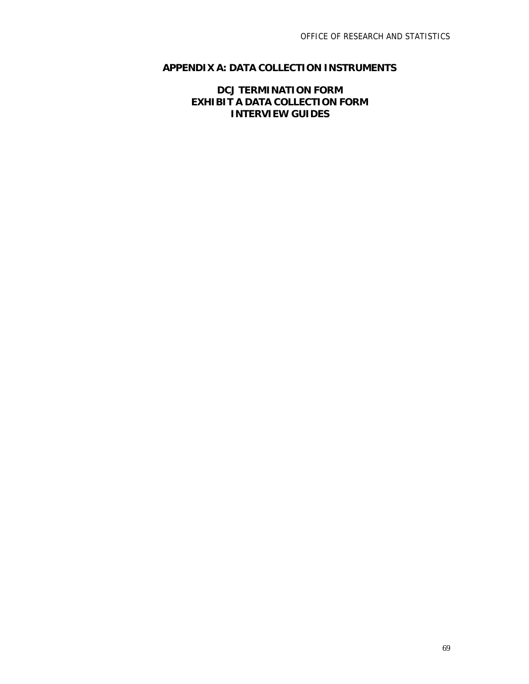#### **APPENDIX A: DATA COLLECTION INSTRUMENTS**

#### **DCJ TERMINATION FORM EXHIBIT A DATA COLLECTION FORM INTERVIEW GUIDES**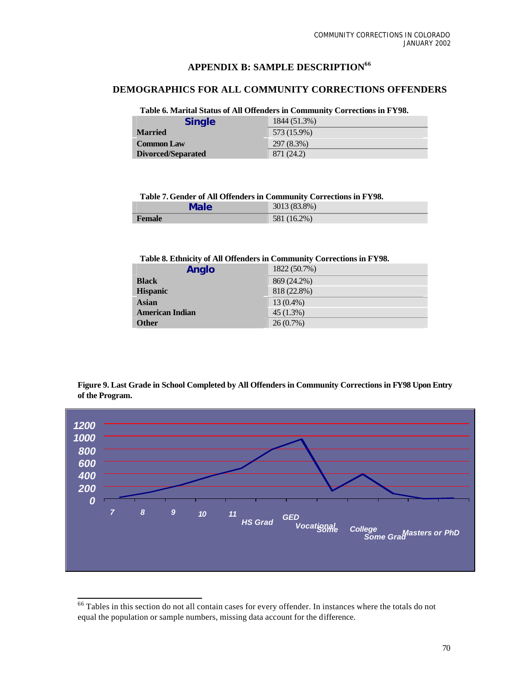#### **APPENDIX B: SAMPLE DESCRIPTION<sup>66</sup>**

#### **DEMOGRAPHICS FOR ALL COMMUNITY CORRECTIONS OFFENDERS**

**Table 6. Marital Status of All Offenders in Community Corrections in FY98.**

| <b>Single</b>      | 1844 (51.3%) |
|--------------------|--------------|
| <b>Married</b>     | 573 (15.9%)  |
| <b>Common Law</b>  | 297 (8.3%)   |
| Divorced/Separated | 871 (24.2)   |

|  |  |  | Table 7. Gender of All Offenders in Community Corrections in FY98. |  |
|--|--|--|--------------------------------------------------------------------|--|
|  |  |  |                                                                    |  |

| Male          | 3013 (83.8%) |
|---------------|--------------|
| <b>Female</b> | 581 (16.2%)  |

#### **Table 8. Ethnicity of All Offenders in Community Corrections in FY98.**

| Anglo                  | 1822 (50.7%) |
|------------------------|--------------|
| <b>Black</b>           | 869 (24.2%)  |
| <b>Hispanic</b>        | 818 (22.8%)  |
| <b>Asian</b>           | $13(0.4\%)$  |
| <b>American Indian</b> | $45(1.3\%)$  |
| <b>Other</b>           | $26(0.7\%)$  |

**Figure 9. Last Grade in School Completed by All Offenders in Community Corrections in FY98 Upon Entry of the Program.**



 $66$  Tables in this section do not all contain cases for every offender. In instances where the totals do not equal the population or sample numbers, missing data account for the difference.

l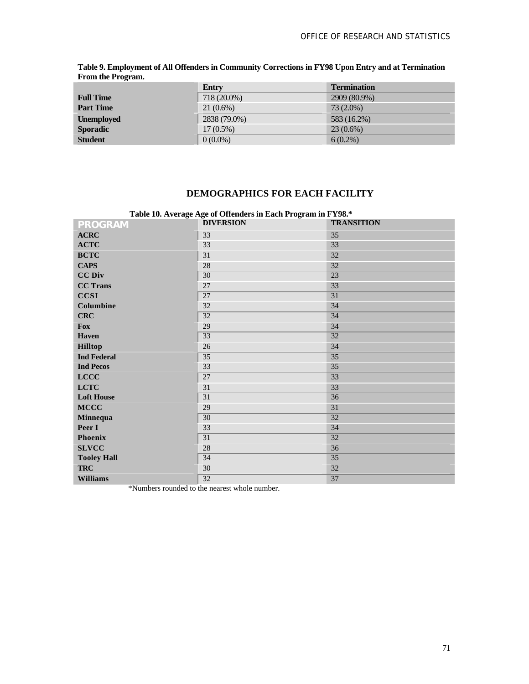|                   | Entry        | <b>Termination</b> |
|-------------------|--------------|--------------------|
| <b>Full Time</b>  | 718 (20.0%)  | 2909 (80.9%)       |
| <b>Part Time</b>  | $21(0.6\%)$  | 73 (2.0%)          |
| <b>Unemployed</b> | 2838 (79.0%) | 583 (16.2%)        |
| <b>Sporadic</b>   | $17(0.5\%)$  | $23(0.6\%)$        |
| <b>Student</b>    | $0(0.0\%)$   | $6(0.2\%)$         |

**Table 9. Employment of All Offenders in Community Corrections in FY98 Upon Entry and at Termination From the Program.**

### **DEMOGRAPHICS FOR EACH FACILITY**

| Table 10. Average Age of Offenders in Each Program in FY98.* |                  |                   |  |  |  |
|--------------------------------------------------------------|------------------|-------------------|--|--|--|
| <b>PROGRAM</b>                                               | <b>DIVERSION</b> | <b>TRANSITION</b> |  |  |  |
| <b>ACRC</b>                                                  | 33               | 35                |  |  |  |
| <b>ACTC</b>                                                  | 33               | 33                |  |  |  |
| <b>BCTC</b>                                                  | 31               | 32                |  |  |  |
| <b>CAPS</b>                                                  | 28               | 32                |  |  |  |
| <b>CC</b> Div                                                | $\overline{30}$  | $\overline{23}$   |  |  |  |
| <b>CC</b> Trans                                              | 27               | 33                |  |  |  |
| <b>CCSI</b>                                                  | 27               | 31                |  |  |  |
| Columbine                                                    | 32               | 34                |  |  |  |
| <b>CRC</b>                                                   | 32               | 34                |  |  |  |
| <b>Fox</b>                                                   | 29               | 34                |  |  |  |
| <b>Haven</b>                                                 | $\overline{33}$  | 32                |  |  |  |
| <b>Hilltop</b>                                               | 26               | 34                |  |  |  |
| <b>Ind Federal</b>                                           | 35               | 35                |  |  |  |
| <b>Ind Pecos</b>                                             | 33               | 35                |  |  |  |
| <b>LCCC</b>                                                  | 27               | 33                |  |  |  |
| <b>LCTC</b>                                                  | 31               | 33                |  |  |  |
| <b>Loft House</b>                                            | 31               | 36                |  |  |  |
| <b>MCCC</b>                                                  | 29               | 31                |  |  |  |
| Minnequa                                                     | 30               | 32                |  |  |  |
| Peer I                                                       | 33               | 34                |  |  |  |
| <b>Phoenix</b>                                               | $\overline{31}$  | 32                |  |  |  |
| <b>SLVCC</b>                                                 | 28               | 36                |  |  |  |
| <b>Tooley Hall</b>                                           | 34               | 35                |  |  |  |
| <b>TRC</b>                                                   | 30               | 32                |  |  |  |
| <b>Williams</b>                                              | 32               | 37                |  |  |  |

\*Numbers rounded to the nearest whole number.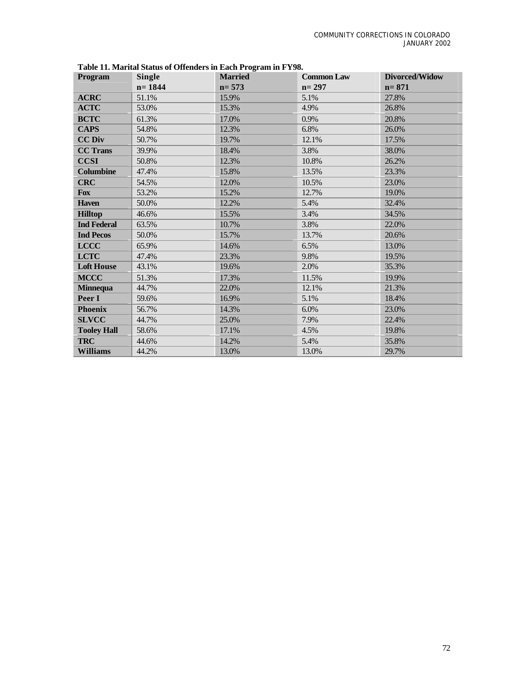| Program            | <b>Single</b> | <b>Married</b> | <b>Common Law</b> | Divorced/Widow |
|--------------------|---------------|----------------|-------------------|----------------|
|                    | $n = 1844$    | $n = 573$      | $n = 297$         | $n = 871$      |
| <b>ACRC</b>        | 51.1%         | 15.9%          | 5.1%              | 27.8%          |
| <b>ACTC</b>        | 53.0%         | 15.3%          | 4.9%              | 26.8%          |
| <b>BCTC</b>        | 61.3%         | 17.0%          | 0.9%              | 20.8%          |
| <b>CAPS</b>        | 54.8%         | 12.3%          | 6.8%              | 26.0%          |
| <b>CC</b> Div      | 50.7%         | 19.7%          | 12.1%             | 17.5%          |
| <b>CC</b> Trans    | 39.9%         | 18.4%          | 3.8%              | 38.0%          |
| <b>CCSI</b>        | 50.8%         | 12.3%          | 10.8%             | 26.2%          |
| <b>Columbine</b>   | 47.4%         | 15.8%          | 13.5%             | 23.3%          |
| <b>CRC</b>         | 54.5%         | 12.0%          | 10.5%             | 23.0%          |
| <b>Fox</b>         | 53.2%         | 15.2%          | 12.7%             | 19.0%          |
| <b>Haven</b>       | 50.0%         | 12.2%          | 5.4%              | 32.4%          |
| <b>Hilltop</b>     | 46.6%         | 15.5%          | 3.4%              | 34.5%          |
| <b>Ind Federal</b> | 63.5%         | 10.7%          | 3.8%              | 22.0%          |
| <b>Ind Pecos</b>   | 50.0%         | 15.7%          | 13.7%             | 20.6%          |
| <b>LCCC</b>        | 65.9%         | 14.6%          | 6.5%              | 13.0%          |
| <b>LCTC</b>        | 47.4%         | 23.3%          | 9.8%              | 19.5%          |
| <b>Loft House</b>  | 43.1%         | 19.6%          | 2.0%              | 35.3%          |
| <b>MCCC</b>        | 51.3%         | 17.3%          | 11.5%             | 19.9%          |
| <b>Minnequa</b>    | 44.7%         | 22.0%          | 12.1%             | 21.3%          |
| Peer I             | 59.6%         | 16.9%          | 5.1%              | 18.4%          |
| <b>Phoenix</b>     | 56.7%         | 14.3%          | 6.0%              | 23.0%          |
| <b>SLVCC</b>       | 44.7%         | 25.0%          | 7.9%              | 22.4%          |
| <b>Tooley Hall</b> | 58.6%         | 17.1%          | 4.5%              | 19.8%          |
| <b>TRC</b>         | 44.6%         | 14.2%          | 5.4%              | 35.8%          |
| <b>Williams</b>    | 44.2%         | 13.0%          | 13.0%             | 29.7%          |

**Table 11. Marital Status of Offenders in Each Program in FY98.**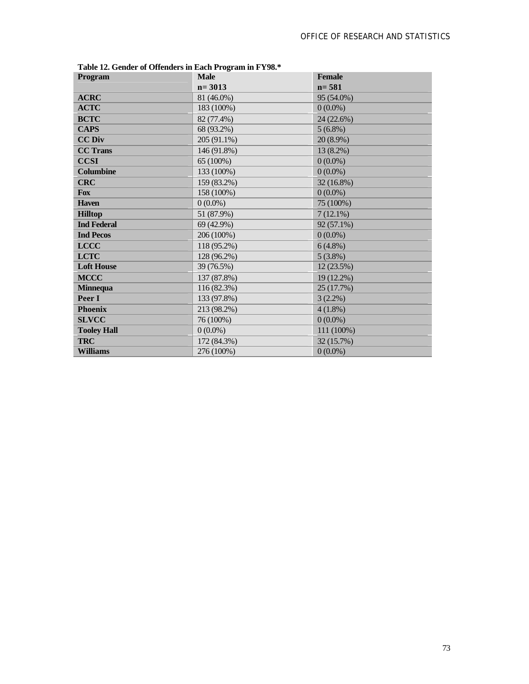| Program            | $\alpha$ occurred to chemically in Euch I regram in I 170.<br><b>Male</b> | Female      |  |  |  |  |  |
|--------------------|---------------------------------------------------------------------------|-------------|--|--|--|--|--|
|                    | $n = 3013$                                                                | $n = 581$   |  |  |  |  |  |
| <b>ACRC</b>        | 81 (46.0%)                                                                | 95 (54.0%)  |  |  |  |  |  |
| <b>ACTC</b>        | 183 (100%)                                                                | $0(0.0\%)$  |  |  |  |  |  |
| <b>BCTC</b>        | 82 (77.4%)                                                                | 24 (22.6%)  |  |  |  |  |  |
| <b>CAPS</b>        | 68 (93.2%)                                                                | $5(6.8\%)$  |  |  |  |  |  |
| <b>CC</b> Div      | 205 (91.1%)                                                               | 20 (8.9%)   |  |  |  |  |  |
| <b>CC</b> Trans    | 146 (91.8%)                                                               | 13 (8.2%)   |  |  |  |  |  |
| <b>CCSI</b>        | 65 (100%)                                                                 | $0(0.0\%)$  |  |  |  |  |  |
| <b>Columbine</b>   | 133 (100%)                                                                | $0(0.0\%)$  |  |  |  |  |  |
| <b>CRC</b>         | 159 (83.2%)                                                               | 32 (16.8%)  |  |  |  |  |  |
| <b>Fox</b>         | 158 (100%)                                                                | $0(0.0\%)$  |  |  |  |  |  |
| <b>Haven</b>       | $0(0.0\%)$                                                                | 75 (100%)   |  |  |  |  |  |
| <b>Hilltop</b>     | 51 (87.9%)                                                                | $7(12.1\%)$ |  |  |  |  |  |
| <b>Ind Federal</b> | 69 (42.9%)                                                                | 92 (57.1%)  |  |  |  |  |  |
| <b>Ind Pecos</b>   | 206 (100%)                                                                | $0(0.0\%)$  |  |  |  |  |  |
| <b>LCCC</b>        | 118 (95.2%)                                                               | $6(4.8\%)$  |  |  |  |  |  |
| <b>LCTC</b>        | 128 (96.2%)                                                               | $5(3.8\%)$  |  |  |  |  |  |
| <b>Loft House</b>  | 39 (76.5%)                                                                | 12(23.5%)   |  |  |  |  |  |
| <b>MCCC</b>        | 137 (87.8%)                                                               | 19 (12.2%)  |  |  |  |  |  |
| <b>Minnequa</b>    | $116(82.3\%)$                                                             | 25(17.7%)   |  |  |  |  |  |
| Peer I             | 133 (97.8%)                                                               | $3(2.2\%)$  |  |  |  |  |  |
| <b>Phoenix</b>     | 213 (98.2%)                                                               | $4(1.8\%)$  |  |  |  |  |  |
| <b>SLVCC</b>       | 76 (100%)                                                                 | $0(0.0\%)$  |  |  |  |  |  |
| <b>Tooley Hall</b> | $0(0.0\%)$                                                                | 111 (100%)  |  |  |  |  |  |
| <b>TRC</b>         | 172 (84.3%)                                                               | 32 (15.7%)  |  |  |  |  |  |
| <b>Williams</b>    | 276 (100%)                                                                | $0(0.0\%)$  |  |  |  |  |  |

**Table 12. Gender of Offenders in Each Program in FY98.\***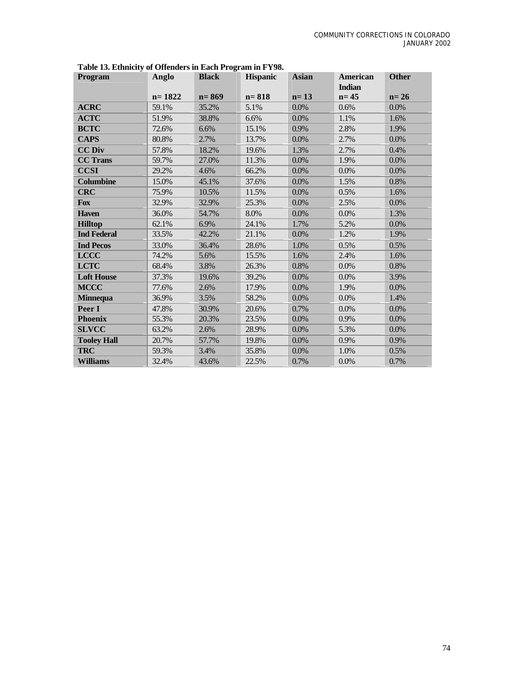| <b>Program</b>     | Anglo    | <b>Black</b> | Hispanic  | <b>Asian</b> | American<br><b>Indian</b> | <b>Other</b> |
|--------------------|----------|--------------|-----------|--------------|---------------------------|--------------|
|                    | $n=1822$ | $n = 869$    | $n = 818$ | $n=13$       | $n=45$                    | $n=26$       |
| <b>ACRC</b>        | 59.1%    | 35.2%        | 5.1%      | $0.0\%$      | 0.6%                      | $0.0\%$      |
| <b>ACTC</b>        | 51.9%    | 38.8%        | 6.6%      | $0.0\%$      | 1.1%                      | 1.6%         |
| <b>BCTC</b>        | 72.6%    | 6.6%         | 15.1%     | 0.9%         | 2.8%                      | 1.9%         |
| <b>CAPS</b>        | 80.8%    | 2.7%         | 13.7%     | $0.0\%$      | 2.7%                      | $0.0\%$      |
| <b>CC</b> Div      | 57.8%    | 18.2%        | 19.6%     | 1.3%         | 2.7%                      | 0.4%         |
| <b>CC</b> Trans    | 59.7%    | 27.0%        | 11.3%     | 0.0%         | 1.9%                      | 0.0%         |
| <b>CCSI</b>        | 29.2%    | 4.6%         | 66.2%     | $0.0\%$      | $0.0\%$                   | $0.0\%$      |
| <b>Columbine</b>   | 15.0%    | 45.1%        | 37.6%     | $0.0\%$      | 1.5%                      | 0.8%         |
| <b>CRC</b>         | 75.9%    | 10.5%        | 11.5%     | 0.0%         | 0.5%                      | 1.6%         |
| <b>Fox</b>         | 32.9%    | 32.9%        | 25.3%     | $0.0\%$      | 2.5%                      | $0.0\%$      |
| <b>Haven</b>       | 36.0%    | 54.7%        | 8.0%      | $0.0\%$      | $0.0\%$                   | 1.3%         |
| <b>Hilltop</b>     | 62.1%    | 6.9%         | 24.1%     | 1.7%         | 5.2%                      | $0.0\%$      |
| <b>Ind Federal</b> | 33.5%    | 42.2%        | 21.1%     | $0.0\%$      | 1.2%                      | 1.9%         |
| <b>Ind Pecos</b>   | 33.0%    | 36.4%        | 28.6%     | 1.0%         | 0.5%                      | 0.5%         |
| <b>LCCC</b>        | 74.2%    | 5.6%         | 15.5%     | 1.6%         | 2.4%                      | 1.6%         |
| <b>LCTC</b>        | 68.4%    | 3.8%         | 26.3%     | 0.8%         | $0.0\%$                   | 0.8%         |
| <b>Loft House</b>  | 37.3%    | 19.6%        | 39.2%     | $0.0\%$      | $0.0\%$                   | 3.9%         |
| <b>MCCC</b>        | 77.6%    | 2.6%         | 17.9%     | 0.0%         | 1.9%                      | $0.0\%$      |
| <b>Minnequa</b>    | 36.9%    | 3.5%         | 58.2%     | $0.0\%$      | $0.0\%$                   | 1.4%         |
| Peer I             | 47.8%    | 30.9%        | 20.6%     | 0.7%         | $0.0\%$                   | $0.0\%$      |
| <b>Phoenix</b>     | 55.3%    | 20.3%        | 23.5%     | $0.0\%$      | 0.9%                      | $0.0\%$      |
| <b>SLVCC</b>       | 63.2%    | 2.6%         | 28.9%     | 0.0%         | 5.3%                      | $0.0\%$      |
| <b>Tooley Hall</b> | 20.7%    | 57.7%        | 19.8%     | $0.0\%$      | 0.9%                      | 0.9%         |
| <b>TRC</b>         | 59.3%    | 3.4%         | 35.8%     | $0.0\%$      | 1.0%                      | 0.5%         |
| <b>Williams</b>    | 32.4%    | 43.6%        | 22.5%     | 0.7%         | $0.0\%$                   | 0.7%         |

**Table 13. Ethnicity of Offenders in Each Program in FY98.**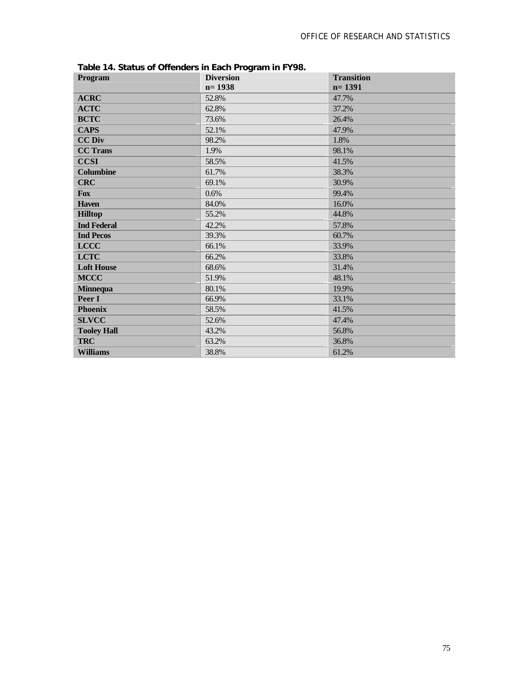| 200 - Filotatus of Offortuois III Eucht Fogrum III F70.<br>Program | <b>Diversion</b> | <b>Transition</b> |  |  |  |  |  |
|--------------------------------------------------------------------|------------------|-------------------|--|--|--|--|--|
|                                                                    | $n = 1938$       | $n = 1391$        |  |  |  |  |  |
| <b>ACRC</b>                                                        | 52.8%            | 47.7%             |  |  |  |  |  |
| <b>ACTC</b>                                                        | 62.8%            | 37.2%             |  |  |  |  |  |
| <b>BCTC</b>                                                        | 73.6%            | 26.4%             |  |  |  |  |  |
| <b>CAPS</b>                                                        | 52.1%            | 47.9%             |  |  |  |  |  |
| <b>CC</b> Div                                                      | 98.2%            | 1.8%              |  |  |  |  |  |
| <b>CC Trans</b>                                                    | 1.9%             | 98.1%             |  |  |  |  |  |
| <b>CCSI</b>                                                        | 58.5%            | 41.5%             |  |  |  |  |  |
| <b>Columbine</b>                                                   | 61.7%            | 38.3%             |  |  |  |  |  |
| <b>CRC</b>                                                         | 69.1%            | 30.9%             |  |  |  |  |  |
| <b>Fox</b>                                                         | 0.6%             | 99.4%             |  |  |  |  |  |
| <b>Haven</b>                                                       | 84.0%            | 16.0%             |  |  |  |  |  |
| <b>Hilltop</b>                                                     | 55.2%            | 44.8%             |  |  |  |  |  |
| <b>Ind Federal</b>                                                 | 42.2%            | 57.8%             |  |  |  |  |  |
| <b>Ind Pecos</b>                                                   | 39.3%            | 60.7%             |  |  |  |  |  |
| <b>LCCC</b>                                                        | 66.1%            | 33.9%             |  |  |  |  |  |
| <b>LCTC</b>                                                        | 66.2%            | 33.8%             |  |  |  |  |  |
| <b>Loft House</b>                                                  | 68.6%            | 31.4%             |  |  |  |  |  |
| <b>MCCC</b>                                                        | 51.9%            | 48.1%             |  |  |  |  |  |
| <b>Minnequa</b>                                                    | 80.1%            | 19.9%             |  |  |  |  |  |
| Peer I                                                             | 66.9%            | 33.1%             |  |  |  |  |  |
| <b>Phoenix</b>                                                     | 58.5%            | 41.5%             |  |  |  |  |  |
| <b>SLVCC</b>                                                       | 52.6%            | 47.4%             |  |  |  |  |  |
| <b>Tooley Hall</b>                                                 | 43.2%            | 56.8%             |  |  |  |  |  |
| <b>TRC</b>                                                         | 63.2%            | 36.8%             |  |  |  |  |  |
| <b>Williams</b>                                                    | 38.8%            | 61.2%             |  |  |  |  |  |

**Table 14. Status of Offenders in Each Program in FY98.**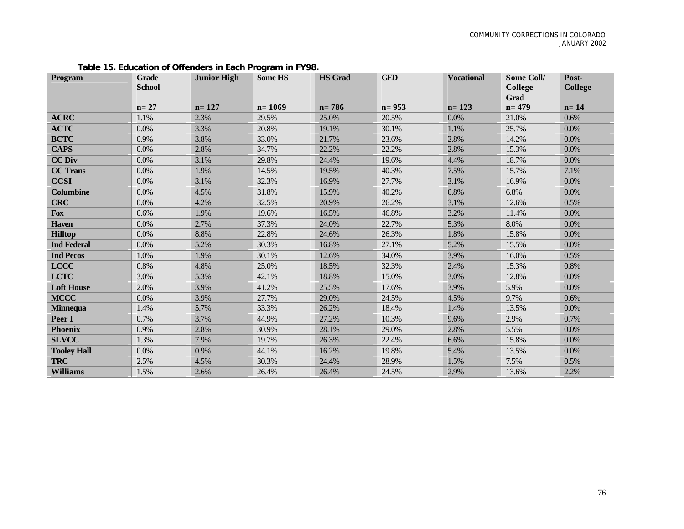| Program            | Grade         | rabic 15. Education or Onchacts in Each Hogi annun 170.<br><b>Junior High</b> | <b>Some HS</b>          | <b>HS</b> Grad | <b>GED</b> | <b>Vocational</b> | Some Coll/     | Post-          |  |  |
|--------------------|---------------|-------------------------------------------------------------------------------|-------------------------|----------------|------------|-------------------|----------------|----------------|--|--|
|                    | <b>School</b> |                                                                               |                         |                |            |                   | <b>College</b> | <b>College</b> |  |  |
|                    |               |                                                                               |                         |                |            |                   | Grad           |                |  |  |
|                    | $n = 27$      | $n = 127$                                                                     | $n = 1069$              | $n = 786$      | $n = 953$  | $n = 123$         | $n = 479$      | $n=14$         |  |  |
| <b>ACRC</b>        | 1.1%          | 2.3%                                                                          | 29.5%                   | 25.0%          | 20.5%      | 0.0%              | 21.0%          | 0.6%           |  |  |
| <b>ACTC</b>        | $0.0\%$       | 3.3%                                                                          | 20.8%                   | 19.1%          | 30.1%      | 1.1%              | 25.7%          | $0.0\%$        |  |  |
| <b>BCTC</b>        | 0.9%          | 3.8%                                                                          | 33.0%                   | 21.7%          | 23.6%      | 2.8%              | 14.2%          | $0.0\%$        |  |  |
| <b>CAPS</b>        | 0.0%          | 2.8%                                                                          | 34.7%<br>22.2%<br>22.2% |                | 2.8%       | 15.3%             | $0.0\%$        |                |  |  |
| <b>CC</b> Div      | 0.0%          | 3.1%                                                                          | 29.8%                   | 24.4%          | 19.6%      | 4.4%              | 18.7%          | 0.0%           |  |  |
| <b>CC Trans</b>    | 0.0%          | 1.9%                                                                          | 14.5%                   | 19.5%          | 40.3%      | 7.5%              | 15.7%          | 7.1%           |  |  |
| <b>CCSI</b>        | 0.0%          | 3.1%                                                                          |                         | 16.9%          | 27.7%      | 3.1%              | 16.9%          | 0.0%           |  |  |
| <b>Columbine</b>   | 0.0%<br>4.5%  |                                                                               | 31.8%                   | 15.9%          | 40.2%      | 0.8%              | 6.8%           | 0.0%           |  |  |
| <b>CRC</b>         | 0.0%          | 4.2%                                                                          | 32.5%                   | 20.9%          | 26.2%      | 3.1%              | 12.6%          | 0.5%           |  |  |
| <b>Fox</b>         | 0.6%          | 1.9%                                                                          | 19.6%                   | 16.5%          | 46.8%      | 3.2%              | 11.4%          | 0.0%           |  |  |
| <b>Haven</b>       | 0.0%          | 2.7%                                                                          | 37.3%                   | 24.0%          | 22.7%      | 5.3%              | 8.0%           | $0.0\%$        |  |  |
| <b>Hilltop</b>     | 0.0%          | 8.8%                                                                          | 22.8%                   | 24.6%          | 26.3%      | 1.8%              | 15.8%          | $0.0\%$        |  |  |
| <b>Ind Federal</b> | 0.0%          | 5.2%                                                                          | 30.3%                   | 16.8%          | 27.1%      | 5.2%              | 15.5%          | $0.0\%$        |  |  |
| <b>Ind Pecos</b>   | 1.0%          | 1.9%                                                                          | 30.1%                   | 12.6%          | 34.0%      | 3.9%              | 16.0%          | 0.5%           |  |  |
| <b>LCCC</b>        | 0.8%          | 4.8%                                                                          | 25.0%                   | 18.5%          | 32.3%      | 2.4%              | 15.3%          | 0.8%           |  |  |
| <b>LCTC</b>        | 3.0%          | 5.3%                                                                          | 42.1%                   | 18.8%          | 15.0%      | 3.0%              | 12.8%          | $0.0\%$        |  |  |
| <b>Loft House</b>  | 2.0%          | 3.9%                                                                          | 41.2%                   | 25.5%          | 17.6%      | 3.9%              | 5.9%           | 0.0%           |  |  |
| <b>MCCC</b>        | 0.0%          | 3.9%                                                                          | 27.7%                   | 29.0%          | 24.5%      | 4.5%              | 9.7%           | 0.6%           |  |  |
| <b>Minnequa</b>    | 1.4%          | 5.7%                                                                          | 33.3%                   | 26.2%          | 18.4%      | 1.4%              | 13.5%          | 0.0%           |  |  |
| Peer I             | 0.7%          | 3.7%                                                                          | 44.9%                   | 27.2%          | 10.3%      | 9.6%              | 2.9%           | 0.7%           |  |  |
| <b>Phoenix</b>     | 0.9%          | 2.8%                                                                          | 30.9%                   | 28.1%          | 29.0%      | 2.8%              | 5.5%           | $0.0\%$        |  |  |
| <b>SLVCC</b>       | 1.3%          | 7.9%                                                                          | 19.7%                   | 26.3%          | 22.4%      | 6.6%              | 15.8%          | 0.0%           |  |  |
| <b>Tooley Hall</b> | $0.0\%$       | 0.9%                                                                          | 44.1%                   | 16.2%          | 19.8%      | 5.4%              | 13.5%          | $0.0\%$        |  |  |
| <b>TRC</b>         | 2.5%          | 4.5%                                                                          | 30.3%                   | 24.4%          | 28.9%      | 1.5%              | 7.5%           | 0.5%           |  |  |
| <b>Williams</b>    | 1.5%          | 2.6%                                                                          | 26.4%                   | 26.4%          | 24.5%      | 2.9%              | 13.6%          | 2.2%           |  |  |

## **Table 15. Education of Offenders in Each Program in FY98.**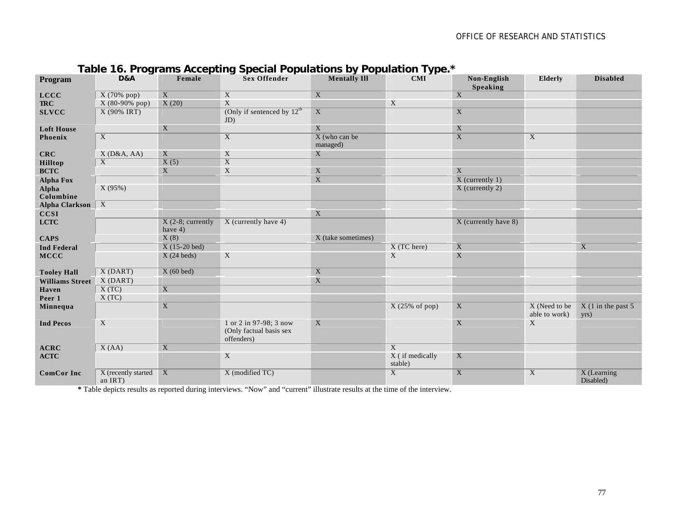| Program                | $\overline{\phantom{a}}$<br>D&A | Female                           | <b>Sex Offender</b>                                             | Mentally Ill                | <b>CMI</b>                   | Non-English                       | Elderly                          | <b>Disabled</b>              |  |  |
|------------------------|---------------------------------|----------------------------------|-----------------------------------------------------------------|-----------------------------|------------------------------|-----------------------------------|----------------------------------|------------------------------|--|--|
| <b>LCCC</b>            | X(70% pop)                      | $\overline{X}$                   | $\overline{X}$                                                  | $\overline{X}$              |                              | <b>Speaking</b><br>$\overline{X}$ |                                  |                              |  |  |
| <b>TRC</b>             | X (80-90% pop)                  | X(20)                            | X                                                               |                             | X                            |                                   |                                  |                              |  |  |
| <b>SLVCC</b>           | X (90% IRT)                     |                                  | (Only if sentenced by $12^{\text{th}}$<br>JD)                   | $\mathbf X$                 |                              | $\overline{X}$                    |                                  |                              |  |  |
| <b>Loft House</b>      |                                 | $\mathbf X$                      |                                                                 | X                           |                              | X                                 |                                  |                              |  |  |
| Phoenix                | $\overline{X}$                  |                                  | X                                                               | $X$ (who can be<br>managed) |                              | $\overline{X}$                    | $\overline{X}$                   |                              |  |  |
| <b>CRC</b>             | $X$ (D&A, AA)                   | X                                | X                                                               | X                           |                              |                                   |                                  |                              |  |  |
| <b>Hilltop</b>         | $\overline{X}$                  | X(5)                             | $\overline{\mathbf{X}}$                                         |                             |                              |                                   |                                  |                              |  |  |
| <b>BCTC</b>            |                                 | X                                | $\mathbf X$                                                     | $\mathbf{X}$                |                              | X                                 |                                  |                              |  |  |
| <b>Alpha Fox</b>       |                                 |                                  |                                                                 | $\overline{X}$              |                              | $X$ (currently 1)                 |                                  |                              |  |  |
| Alpha<br>Columbine     | X(95%)                          |                                  |                                                                 |                             |                              | $X$ (currently 2)                 |                                  |                              |  |  |
| Alpha Clarkson         | X                               |                                  |                                                                 |                             |                              |                                   |                                  |                              |  |  |
| <b>CCSI</b>            |                                 |                                  |                                                                 | X                           |                              |                                   |                                  |                              |  |  |
| <b>LCTC</b>            |                                 | $X$ (2-8; currently<br>have $4)$ | $X$ (currently have 4)                                          |                             |                              | $X$ (currently have 8)            |                                  |                              |  |  |
| <b>CAPS</b>            |                                 | X(8)                             |                                                                 | X (take sometimes)          |                              |                                   |                                  |                              |  |  |
| <b>Ind Federal</b>     |                                 | $X(15-20$ bed)                   |                                                                 |                             | X(TC here)                   | $\overline{\mathbf{X}}$           |                                  | $\overline{X}$               |  |  |
| <b>MCCC</b>            |                                 | $X(24$ beds)                     | X                                                               |                             | $\mathbf X$                  | X                                 |                                  |                              |  |  |
| <b>Tooley Hall</b>     | X(DART)                         | $X(60$ bed)                      |                                                                 | $\boldsymbol{\mathrm{X}}$   |                              |                                   |                                  |                              |  |  |
| <b>Williams Street</b> | $X$ (DART)                      |                                  |                                                                 | X                           |                              |                                   |                                  |                              |  |  |
| Haven                  | X(TC)                           | $\overline{X}$                   |                                                                 |                             |                              |                                   |                                  |                              |  |  |
| Peer 1                 | X(TC)                           |                                  |                                                                 |                             |                              |                                   |                                  |                              |  |  |
| Minnequa               |                                 | $\overline{X}$                   |                                                                 |                             | $X$ (25% of pop)             | $\mathbf{X}$                      | $X$ (Need to be<br>able to work) | $X(1)$ in the past 5<br>yrs) |  |  |
| <b>Ind Pecos</b>       | $\boldsymbol{\mathrm{X}}$       |                                  | 1 or 2 in 97-98; 3 now<br>(Only factual basis sex<br>offenders) | $\mathbf X$                 |                              | X                                 | X                                |                              |  |  |
| <b>ACRC</b>            | X(AA)                           | X                                |                                                                 |                             | $\overline{X}$               |                                   |                                  |                              |  |  |
| <b>ACTC</b>            |                                 |                                  | $\mathbf X$                                                     |                             | $X$ (if medically<br>stable) | X                                 |                                  |                              |  |  |
| <b>ComCor Inc</b>      | X (recently started<br>an IRT)  | X                                | X (modified TC)                                                 |                             | $\overline{X}$               | $\overline{X}$                    | $\overline{X}$                   | $X$ (Learning<br>Disabled)   |  |  |

# **Table 16. Programs Accepting Special Populations by Population Type.\***

**\*** Table depicts results as reported during interviews. "Now" and "current" illustrate results at the time of the interview.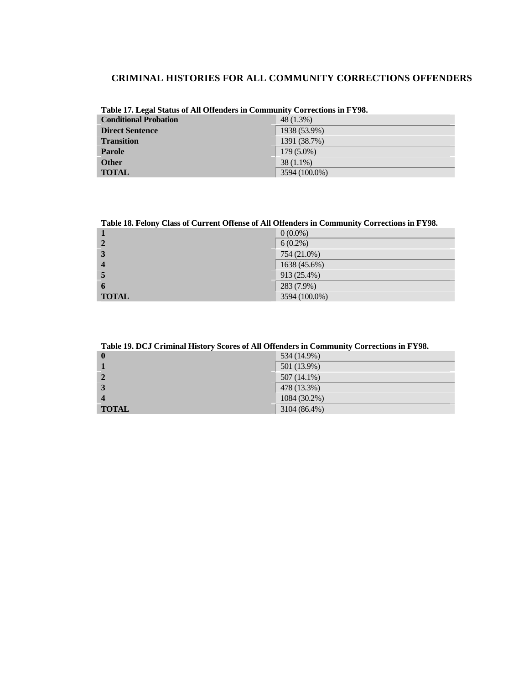### **CRIMINAL HISTORIES FOR ALL COMMUNITY CORRECTIONS OFFENDERS**

| <b>Conditional Probation</b> | $48(1.3\%)$   |
|------------------------------|---------------|
| <b>Direct Sentence</b>       | 1938 (53.9%)  |
| <b>Transition</b>            | 1391 (38.7%)  |
| Parole                       | $179(5.0\%)$  |
| <b>Other</b>                 | $38(1.1\%)$   |
| <b>TOTAL</b>                 | 3594 (100.0%) |

#### **Table 17. Legal Status of All Offenders in Community Corrections in FY98.**

**Table 18. Felony Class of Current Offense of All Offenders in Community Corrections in FY98.**

|              | $0(0.0\%)$    |
|--------------|---------------|
| $\mathbf{2}$ | $6(0.2\%)$    |
|              | 754 (21.0%)   |
| 4            | 1638 (45.6%)  |
|              | 913 (25.4%)   |
| 6            | 283 (7.9%)    |
| <b>TOTAL</b> | 3594 (100.0%) |

| Table 19. DCJ Criminal History Scores of All Offenders in Community Corrections in FY98. |              |
|------------------------------------------------------------------------------------------|--------------|
|                                                                                          | 534 (14.9%)  |
|                                                                                          | 501 (13.9%)  |
|                                                                                          | 507 (14.1%)  |
| 3                                                                                        | 478 (13.3%)  |
|                                                                                          | 1084 (30.2%) |
| <b>TOTAL</b>                                                                             | 3104 (86.4%) |

## **Table 19. DCJ Criminal History Scores of All Offenders in Community Corrections in FY98.**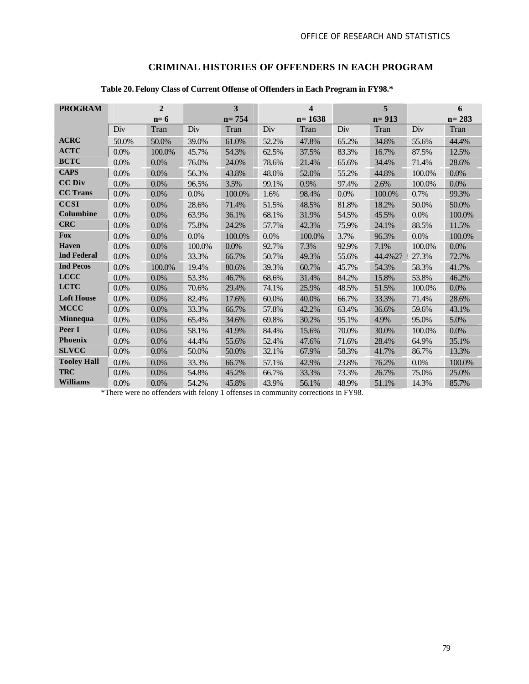## **CRIMINAL HISTORIES OF OFFENDERS IN EACH PROGRAM**

| <b>PROGRAM</b>     |         | $\overline{2}$ |        | 3         |       | $\overline{\mathbf{4}}$ |         | 5         |                | 6         |  |  |
|--------------------|---------|----------------|--------|-----------|-------|-------------------------|---------|-----------|----------------|-----------|--|--|
|                    |         | $n=6$          |        | $n = 754$ |       | $n = 1638$              |         | $n = 913$ |                | $n = 283$ |  |  |
|                    | Div     | Tran           | Div    | Tran      | Div   | Tran                    | Div     | Tran      | Div            | Tran      |  |  |
| <b>ACRC</b>        | 50.0%   | 50.0%          | 39.0%  | 61.0%     | 52.2% | 47.8%                   | 65.2%   | 34.8%     | 55.6%          | 44.4%     |  |  |
| <b>ACTC</b>        | 0.0%    | 100.0%         | 45.7%  | 54.3%     | 62.5% | 37.5%                   | 83.3%   | 16.7%     | 87.5%          | 12.5%     |  |  |
| <b>BCTC</b>        | 0.0%    | 0.0%           | 76.0%  | 24.0%     | 78.6% | 21.4%                   | 65.6%   | 34.4%     | 71.4%          | 28.6%     |  |  |
| <b>CAPS</b>        | 0.0%    | 0.0%           | 56.3%  | 43.8%     | 48.0% | 52.0%                   | 55.2%   | 44.8%     | 100.0%         | 0.0%      |  |  |
| <b>CC Div</b>      | $0.0\%$ | 0.0%           | 96.5%  | 3.5%      | 99.1% | 0.9%                    | 97.4%   | 2.6%      | 100.0%         | 0.0%      |  |  |
| <b>CC</b> Trans    | $0.0\%$ | $0.0\%$        | 0.0%   | 100.0%    | 1.6%  | 98.4%                   | $0.0\%$ | 100.0%    | 0.7%           | 99.3%     |  |  |
| <b>CCSI</b>        | 0.0%    | $0.0\%$        | 28.6%  | 71.4%     | 51.5% | 48.5%                   | 81.8%   | 18.2%     | 50.0%<br>50.0% |           |  |  |
| Columbine          | $0.0\%$ | 0.0%           | 63.9%  | 36.1%     | 68.1% | 31.9%                   | 54.5%   | 45.5%     | $0.0\%$        | 100.0%    |  |  |
| <b>CRC</b>         | 0.0%    | $0.0\%$        | 75.8%  | 24.2%     | 57.7% | 42.3%                   | 75.9%   | 24.1%     | 88.5%          | 11.5%     |  |  |
| <b>Fox</b>         | 0.0%    | $0.0\%$        | 0.0%   | 100.0%    | 0.0%  | 100.0%                  | 3.7%    | 96.3%     | 0.0%           | 100.0%    |  |  |
| <b>Haven</b>       | 0.0%    | $0.0\%$        | 100.0% | $0.0\%$   | 92.7% | 7.3%                    | 92.9%   | 7.1%      | 100.0%         | 0.0%      |  |  |
| <b>Ind Federal</b> | 0.0%    | $0.0\%$        | 33.3%  | 66.7%     | 50.7% | 49.3%                   | 55.6%   | 44.4%27   | 27.3%          | 72.7%     |  |  |
| <b>Ind Pecos</b>   | 0.0%    | 100.0%         | 19.4%  | 80.6%     | 39.3% | 60.7%                   | 45.7%   | 54.3%     | 58.3%          | 41.7%     |  |  |
| <b>LCCC</b>        | $0.0\%$ | 0.0%           | 53.3%  | 46.7%     | 68.6% | 31.4%                   | 84.2%   | 15.8%     | 53.8%          | 46.2%     |  |  |
| <b>LCTC</b>        | $0.0\%$ | 0.0%           | 70.6%  | 29.4%     | 74.1% | 25.9%                   | 48.5%   | 51.5%     | 100.0%         | $0.0\%$   |  |  |
| <b>Loft House</b>  | $0.0\%$ | 0.0%           | 82.4%  | 17.6%     | 60.0% | 40.0%                   | 66.7%   | 33.3%     | 71.4%          | 28.6%     |  |  |
| <b>MCCC</b>        | 0.0%    | 0.0%           | 33.3%  | 66.7%     | 57.8% | 42.2%                   | 63.4%   | 36.6%     | 59.6%          | 43.1%     |  |  |
| <b>Minnequa</b>    | 0.0%    | 0.0%           | 65.4%  | 34.6%     | 69.8% | 30.2%                   | 95.1%   | 4.9%      | 95.0%          | 5.0%      |  |  |
| Peer I             | 0.0%    | 0.0%           | 58.1%  | 41.9%     | 84.4% | 15.6%                   | 70.0%   | 30.0%     | 100.0%         | 0.0%      |  |  |
| <b>Phoenix</b>     | 0.0%    | $0.0\%$        | 44.4%  | 55.6%     | 52.4% | 47.6%                   | 71.6%   | 28.4%     | 64.9%          | 35.1%     |  |  |
| <b>SLVCC</b>       | 0.0%    | $0.0\%$        | 50.0%  | 50.0%     | 32.1% | 67.9%                   | 58.3%   | 41.7%     | 86.7%          | 13.3%     |  |  |
| <b>Tooley Hall</b> | 0.0%    | 0.0%           | 33.3%  | 66.7%     | 57.1% | 42.9%                   | 23.8%   | 76.2%     | 0.0%           | 100.0%    |  |  |
| <b>TRC</b>         | 0.0%    | 0.0%           | 54.8%  | 45.2%     | 66.7% | 33.3%                   | 73.3%   | 26.7%     | 75.0%          | 25.0%     |  |  |
| <b>Williams</b>    | 0.0%    | 0.0%           | 54.2%  | 45.8%     | 43.9% | 56.1%                   | 48.9%   | 51.1%     | 14.3%          | 85.7%     |  |  |

#### **Table 20. Felony Class of Current Offense of Offenders in Each Program in FY98.\***

\*There were no offenders with felony 1 offenses in community corrections in FY98.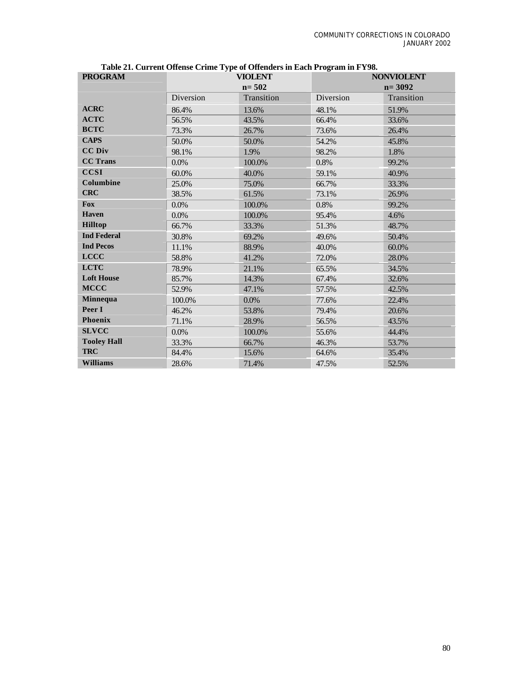| <b>PROGRAM</b>     |           | <b>VIOLENT</b> | <b>NONVIOLENT</b> |            |  |  |  |  |
|--------------------|-----------|----------------|-------------------|------------|--|--|--|--|
|                    |           | $n = 502$      |                   | $n = 3092$ |  |  |  |  |
|                    | Diversion | Transition     | Diversion         | Transition |  |  |  |  |
| <b>ACRC</b>        | 86.4%     | 13.6%          | 48.1%             | 51.9%      |  |  |  |  |
| <b>ACTC</b>        | 56.5%     | 43.5%          | 66.4%             | 33.6%      |  |  |  |  |
| <b>BCTC</b>        | 73.3%     | 26.7%          | 73.6%             | 26.4%      |  |  |  |  |
| <b>CAPS</b>        | 50.0%     | 50.0%          | 54.2%             | 45.8%      |  |  |  |  |
| <b>CC</b> Div      | 98.1%     | 1.9%           | 98.2%             | 1.8%       |  |  |  |  |
| <b>CC Trans</b>    | $0.0\%$   | 100.0%         | 0.8%              | 99.2%      |  |  |  |  |
| <b>CCSI</b>        | 60.0%     | 40.0%          | 59.1%             | 40.9%      |  |  |  |  |
| Columbine          | 25.0%     | 75.0%          | 66.7%             | 33.3%      |  |  |  |  |
| <b>CRC</b>         | 38.5%     | 61.5%          | 73.1%             | 26.9%      |  |  |  |  |
| <b>Fox</b>         | 0.0%      | 100.0%         | 0.8%              | 99.2%      |  |  |  |  |
| <b>Haven</b>       | $0.0\%$   | 100.0%         | 95.4%             | 4.6%       |  |  |  |  |
| <b>Hilltop</b>     | 66.7%     | 33.3%          | 51.3%             | 48.7%      |  |  |  |  |
| <b>Ind Federal</b> | 30.8%     | 69.2%          | 49.6%             | 50.4%      |  |  |  |  |
| <b>Ind Pecos</b>   | 11.1%     | 88.9%          | 40.0%             | 60.0%      |  |  |  |  |
| <b>LCCC</b>        | 58.8%     | 41.2%          | 72.0%             | 28.0%      |  |  |  |  |
| <b>LCTC</b>        | 78.9%     | 21.1%          | 65.5%             | 34.5%      |  |  |  |  |
| <b>Loft House</b>  | 85.7%     | 14.3%          | 67.4%             | 32.6%      |  |  |  |  |
| <b>MCCC</b>        | 52.9%     | 47.1%          | 57.5%             | 42.5%      |  |  |  |  |
| <b>Minnequa</b>    | 100.0%    | $0.0\%$        | 77.6%             | 22.4%      |  |  |  |  |
| Peer I             | 46.2%     | 53.8%          | 79.4%             | 20.6%      |  |  |  |  |
| <b>Phoenix</b>     | 71.1%     | 28.9%          | 56.5%             | 43.5%      |  |  |  |  |
| <b>SLVCC</b>       | 0.0%      | 100.0%         | 55.6%             | 44.4%      |  |  |  |  |
| <b>Tooley Hall</b> | 33.3%     | 66.7%          | 46.3%             | 53.7%      |  |  |  |  |
| <b>TRC</b>         | 84.4%     | 15.6%          | 64.6%             | 35.4%      |  |  |  |  |
| <b>Williams</b>    | 28.6%     | 71.4%          | 47.5%             | 52.5%      |  |  |  |  |

#### **Table 21. Current Offense Crime Type of Offenders in Each Program in FY98.**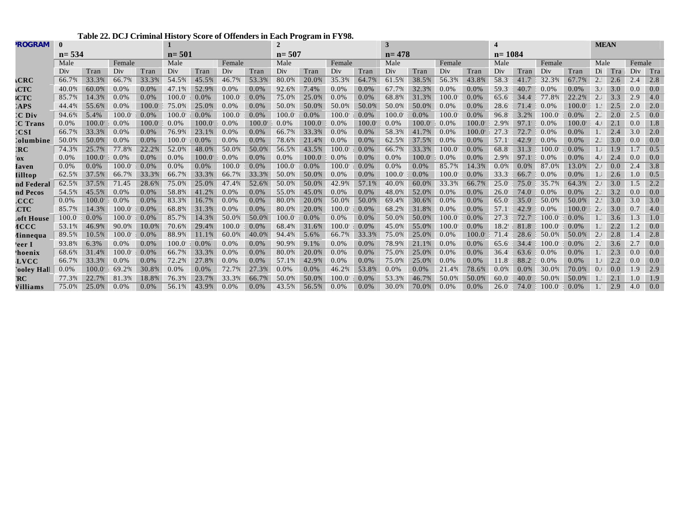| Table 22. DCJ Criminal History Score of Offenders in Each Program in FY98. |  |  |  |  |  |  |
|----------------------------------------------------------------------------|--|--|--|--|--|--|
|                                                                            |  |  |  |  |  |  |

| <b>ROGRAM</b>            | $\mathbf 0$ |       |         |         |           |         |         |         |           |       |         |         |           |         |         |         |                |                |                 | <b>MEAN</b>     |      |     |        |     |
|--------------------------|-------------|-------|---------|---------|-----------|---------|---------|---------|-----------|-------|---------|---------|-----------|---------|---------|---------|----------------|----------------|-----------------|-----------------|------|-----|--------|-----|
|                          | $n = 534$   |       |         |         | $n = 501$ |         |         |         | $n = 507$ |       |         |         | $n = 478$ |         |         |         | $n = 1084$     |                |                 |                 |      |     |        |     |
|                          | Male        |       | Female  |         | Male      |         | Female  |         | Male      |       | Female  |         | Male      |         | Female  |         | Male           |                | Female          |                 | Male |     | Female |     |
|                          | Div         | Tran  | Div     | Tran    | Div       | Tran    | Div     | Tran    | Div       | Tran  | Div     | Tran    | Div       | Tran    | Div     | Tran    | Div            | Tran           | Div             | Tran            | Di   | Tra | Div    | Tra |
| $\mathbf C$ RC           | 66.7%       | 33.3% | 66.7%   | 33.3%   | 54.5%     | 45.5%   | 46.7%   | 53.3%   | 80.0%     | 20.0% | 35.3%   | 64.7%   | 61.5%     | 38.5%   | 56.3%   | 43.8%   | 58.3           | 41.7           | 32.3%           | 67.7%           | 2.1  | 2.6 | 2.4    | 2.8 |
| <b>CTC</b>               | 40.0%       | 60.0% | $0.0\%$ | 0.0%    | 47.1%     | 52.9%   | 0.0%    | 0.0%    | 92.6%     | 7.4%  | 0.0%    | 0.0%    | 67.7%     | 32.3%   | $0.0\%$ | 0.0%    | 59.3           | 40.7           | $0.0\%$         | 0.0%            | 3.1  | 3.0 | 0.0    | 0.0 |
| ιCTC                     | 85.7%       | 14.3% | 0.0%    | $0.0\%$ | 100.0     | 0.0%    | 100.0   | 0.0%    | 75.0%     | 25.0% | 0.0%    | 0.0%    | 68.8%     | 31.3%   | 100.0   | $0.0\%$ | 65.6           | 34.4           | 77.8%           | 22.2%           |      | 3.3 | 2.9    | 4.0 |
| <b>APS</b>               | 44.4%       | 55.6% | $0.0\%$ | 100.0   | 75.0%     | 25.0%   | $0.0\%$ | 0.0%    | 50.0%     | 50.0% | 50.0%   | 50.0%   | 50.0%     | 50.0%   | $0.0\%$ | 0.0%    | 28.6           | 71.4           | $0.0\%$         | 100.0           |      | 2.5 | 2.0    | 2.0 |
| C Div                    | 94.6%       | 5.4%  | 100.0   | 0.0%    | 100.0     | 0.0%    | 100.0   | 0.0%    | 100.0     | 0.0%  | 100.0   | 0.0%    | 100.0     | $0.0\%$ | 100.0   | 0.0%    | 96.8           | 3.2%           | 100.0           | 0.0%            |      | 2.0 | 2.5    | 0.0 |
| C Trans                  | $0.0\%$     | 100.0 | 0.0%    | 100.0   | 0.0%      | 100.0   | 0.0%    | 100.0   | 0.0%      | 100.0 | 0.0%    | 100.0   | 0.0%      | 100.0   | $0.0\%$ | 100.0   | 2.9%           | 97.1           | $0.0\%$         | 100.0           | 4.1  | 2.1 | 0.0    | 1.8 |
| <b>CSI</b>               | 66.7%       | 33.3% | 0.0%    | 0.0%    | 76.9%     | 23.1%   | 0.0%    | 0.0%    | 66.7%     | 33.3% | 0.0%    | 0.0%    | 58.3%     | 41.7%   | 0.0%    | 100.0   | 27.3           | 72.7           | $0.0\%$         | 0.0%            |      | 2.4 | 3.0    | 2.0 |
| <b>Columbine</b>         | 50.0%       | 50.0% | $0.0\%$ | $0.0\%$ | 100.0     | $0.0\%$ | 0.0%    | $0.0\%$ | 78.6%     | 21.4% | 0.0%    | $0.0\%$ | 62.5%     | 37.5%   | $0.0\%$ | $0.0\%$ | 57.1           | $42.9^{\circ}$ | $0.0\%$         | $0.0\%$         | 2:   | 3.0 | 0.0    | 0.0 |
| `RC                      | 74.3%       | 25.7% | 77.8%   | 22.2%   | 52.0%     | 48.0%   | 50.0%   | 50.0%   | 56.5%     | 43.5% | 100.0   | $0.0\%$ | 66.7%     | 33.3%   | 100.0   | 0.0%    | 68.8           | 31.3           | 100.0           | 0.0%            |      |     |        | 0.5 |
| $\mathbf{O}(\mathbf{X})$ | $0.0\%$     | 100.0 | $0.0\%$ | $0.0\%$ | 0.0%      | 100.0   | 0.0%    | $0.0\%$ | 0.0%      | 100.0 | $0.0\%$ | $0.0\%$ | $0.0\%$   | 100.0   | $0.0\%$ | $0.0\%$ | 2.9%           | 97.1           | $0.0\%$         | 0.0%            | 4.1  |     | 0.0    | 0.0 |
| laven                    | $0.0\%$     | 0.0%  | 100.0   | 0.0%    | 0.0%      | 0.0%    | 100.0   | 0.0%    | 100.0     | 0.0%  | 100.0   | 0.0%    | $0.0\%$   | 0.0%    | 85.7%   | 14.3%   | $0.0\%$        | 0.0%           | 87.0%           | 13.0%           | 2.1  | 0.0 | 2.4    | 3.8 |
| Iilltop                  | 62.5%       | 37.5% | 66.7%   | 33.3%   | 66.7%     | 33.3%   | 66.7%   | 33.3%   | 50.0%     | 50.0% | 0.0%    | $0.0\%$ | 100.0     | $0.0\%$ | 100.0   | $0.0\%$ | 33.3           | 66.7           | $0.0\%$         | 0.0%            |      | 2.6 | 1.0    | 0.5 |
| nd Federal               | 62.5%       | 37.5% | 71.45   | 28.6%   | 75.0%     | 25.0%   | 47.4%   | 52.6%   | 50.0%     | 50.0% | 42.9%   | 57.1%   | 40.0%     | 60.0%   | 33.3%   | 66.7%   | 25.0           | 75.0           | 35.7%           | 64.3%           | 2.1  | 3.0 | 1.5    | 2.2 |
| nd Pecos                 | 54.5%       | 45.5% | $0.0\%$ | $0.0\%$ | 58.8%     | 41.2%   | 0.0%    | 0.0%    | 55.0%     | 45.0% | 0.0%    | $0.0\%$ | 48.0%     | 52.0%   | $0.0\%$ | 0.0%    | 26.0           | 74.0           | $0.0\%$         | 0.0%            | 2.   | 3.2 | 0.0    | 0.0 |
| <b>CCC</b>               | $0.0\%$     | 100.0 | $0.0\%$ | $0.0\%$ | 83.3%     | 16.7%   | 0.0%    | 0.0%    | 80.0%     | 20.0% | 50.0%   | 50.0%   | 69.4%     | 30.6%   | 0.0%    | 0.0%    | 65.0           | 35.0           | 50.0%           | 50.0%           | 2.1  | 3.0 | 3.0    | 3.0 |
| <b>CTC</b>               | 85.7%       | 14.3% | 100.0   | $0.0\%$ | 68.8%     | 31.3%   | 0.0%    | $0.0\%$ | 80.0%     | 20.0% | 100.0   | 0.0%    | 68.2%     | 31.8%   | $0.0\%$ | $0.0\%$ | 57.1           | $42.9^{\circ}$ | $0.0\%$         | $100.0^{\circ}$ | 2.4  | 3.0 | 0.7    | 4.0 |
| oft House                | 100.0       | 0.0%  | 100.0   | 0.0%    | 85.7%     | 14.3%   | 50.0%   | 50.0%   | 100.0     | 0.0%  | 0.0%    | 0.0%    | 50.0%     | 50.0%   | 100.0   | 0.0%    | $27.3^{\circ}$ | 72.7           | 100.0           | 0.0%            |      | 3.6 | 1.3    | 1.0 |
| <b>ACCC</b>              | 53.1%       | 46.9% | 90.0%   | 10.0%   | 70.6%     | 29.4%   | 100.0   | $0.0\%$ | 68.4%     | 31.6% | 100.0   | $0.0\%$ | 45.0%     | 55.0%   | 100.0   | $0.0\%$ | $18.2^{\circ}$ | 81.8           | 100.0           | $0.0\%$         |      |     | 1.2    | 0.0 |
| <b><i>Ainnequa</i></b>   | 89.5%       | 10.5% | 100.0   | 0.0%    | 88.9%     | 11.1%   | 60.0%   | 40.0%   | 94.4%     | 5.6%  | 66.7%   | 33.3%   | 75.0%     | 25.0%   | 0.0%    | 100.0   | 71.4           | 28.6           | 50.0%           | 50.0%           |      |     | 1.4    | 2.8 |
| 'eer I                   | 93.8%       | 6.3%  | 0.0%    | $0.0\%$ | 100.0     | 0.0%    | 0.0%    | $0.0\%$ | 90.9%     | 9.1%  | 0.0%    | 0.0%    | 78.9%     | 21.1%   | $0.0\%$ | 0.0%    | 65.6           | 34.4           | 100.0           | $0.0\%$         | 2.1  | 3.6 |        | 0.0 |
| 'hoenix                  | 68.6%       | 31.4% | 100.0   | $0.0\%$ | 66.7%     | 33.3%   | 0.0%    | $0.0\%$ | 80.0%     | 20.0% | 0.0%    | $0.0\%$ | 75.0%     | 25.0%   | $0.0\%$ | $0.0\%$ | 36.4           | 63.6           | $0.0\%$         | 0.0%            |      |     | 0.0    | 0.0 |
| <b>LVCC</b>              | 66.7%       | 33.3% | $0.0\%$ | $0.0\%$ | 72.2%     | 27.8%   | 0.0%    | $0.0\%$ | 57.1%     | 42.9% | $0.0\%$ | $0.0\%$ | 75.0%     | 25.0%   | $0.0\%$ | $0.0\%$ | 11.8           | 88.2           | $0.0\%$         | $0.0\%$         | 1.1  | 2.2 | 0.0    | 0.0 |
| <b>Tooley Hall</b>       | $0.0\%$     | 100.0 | 69.2%   | 30.8%   | 0.0%      | 0.0%    | 72.7%   | 27.3%   | 0.0%      | 0.0%  | 46.2%   | 53.8%   | $0.0\%$   | $0.0\%$ | 21.4%   | 78.6%   | $0.0\%$        | $0.0\%$        | 30.0%           | 70.0%           | 0.1  | 0.0 | 1.9    | 2.9 |
| <b>RC</b>                | 77.3%       | 22.7% | 81.3%   | 18.8%   | 76.3%     | 23.7%   | 33.3%   | 66.7%   | 50.0%     | 50.0% | 100.0   | $0.0\%$ | 53.3%     | 46.7%   | 50.0%   | 50.0%   | 60.0           | 40.0           | 50.0%           | 50.0%           |      |     | 1.0    | 1.9 |
| Villiams                 | 75.0%       | 25.0% | $0.0\%$ | $0.0\%$ | 56.1%     | 43.9%   | $0.0\%$ | $0.0\%$ | 43.5%     | 56.5% | 0.0%    | $0.0\%$ | 30.0%     | 70.0%   | $0.0\%$ | 0.0%    | 26.0           | $74.0$ ;       | $100.0^{\circ}$ | $0.0\%$         |      | 2.9 | 4.0    | 0.0 |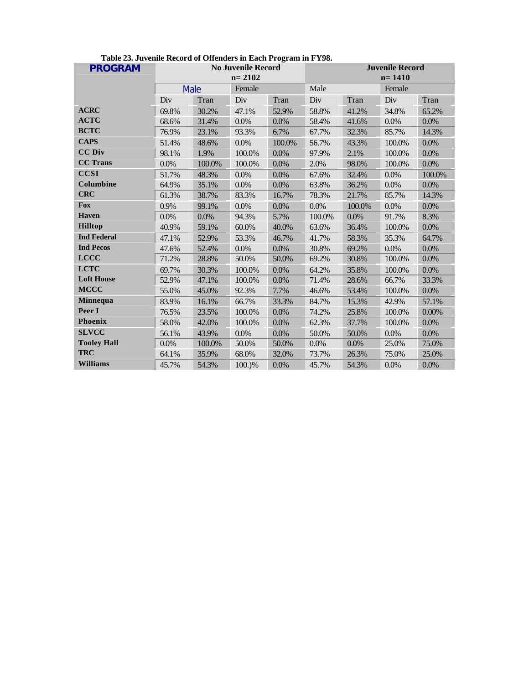| <b>PROGRAM</b>     |         |             | <b>No Juvenile Record</b><br>$n = 2102$ |         | <b>Juvenile Record</b><br>$n = 1410$ |         |         |         |  |  |  |
|--------------------|---------|-------------|-----------------------------------------|---------|--------------------------------------|---------|---------|---------|--|--|--|
|                    |         | <b>Male</b> | Female                                  |         | Male                                 |         | Female  |         |  |  |  |
|                    | Div     | Tran        | Div                                     | Tran    | Div                                  | Tran    | Div     | Tran    |  |  |  |
| <b>ACRC</b>        | 69.8%   | 30.2%       | 47.1%                                   | 52.9%   | 58.8%                                | 41.2%   | 34.8%   | 65.2%   |  |  |  |
| <b>ACTC</b>        | 68.6%   | 31.4%       | 0.0%                                    | $0.0\%$ | 58.4%                                | 41.6%   | $0.0\%$ | $0.0\%$ |  |  |  |
| <b>BCTC</b>        | 76.9%   | 23.1%       | 93.3%                                   | 6.7%    | 67.7%                                | 32.3%   | 85.7%   | 14.3%   |  |  |  |
| <b>CAPS</b>        | 51.4%   | 48.6%       | $0.0\%$                                 | 100.0%  | 56.7%                                | 43.3%   | 100.0%  | 0.0%    |  |  |  |
| <b>CC Div</b>      | 98.1%   | 1.9%        | 100.0%                                  | $0.0\%$ | 97.9%                                | 2.1%    | 100.0%  | 0.0%    |  |  |  |
| <b>CC</b> Trans    | $0.0\%$ | 100.0%      | 100.0%                                  | 0.0%    | 2.0%                                 | 98.0%   | 100.0%  | 0.0%    |  |  |  |
| <b>CCSI</b>        | 51.7%   | 48.3%       | $0.0\%$                                 | 0.0%    | 67.6%                                | 32.4%   | $0.0\%$ | 100.0%  |  |  |  |
| Columbine          | 64.9%   | 35.1%       | 0.0%                                    | 0.0%    | 63.8%                                | 36.2%   | 0.0%    | 0.0%    |  |  |  |
| <b>CRC</b>         | 61.3%   | 38.7%       | 83.3%                                   | 16.7%   | 78.3%                                | 21.7%   | 85.7%   | 14.3%   |  |  |  |
| <b>Fox</b>         | 0.9%    | 99.1%       | 0.0%                                    | $0.0\%$ | 0.0%                                 | 100.0%  | 0.0%    | 0.0%    |  |  |  |
| <b>Haven</b>       | 0.0%    | 0.0%        | 94.3%                                   | 5.7%    | 100.0%                               | 0.0%    | 91.7%   | 8.3%    |  |  |  |
| <b>Hilltop</b>     | 40.9%   | 59.1%       | 60.0%                                   | 40.0%   | 63.6%                                | 36.4%   | 100.0%  | 0.0%    |  |  |  |
| <b>Ind Federal</b> | 47.1%   | 52.9%       | 53.3%                                   | 46.7%   | 41.7%                                | 58.3%   | 35.3%   | 64.7%   |  |  |  |
| <b>Ind Pecos</b>   | 47.6%   | 52.4%       | $0.0\%$                                 | $0.0\%$ | 30.8%                                | 69.2%   | $0.0\%$ | $0.0\%$ |  |  |  |
| <b>LCCC</b>        | 71.2%   | 28.8%       | 50.0%                                   | 50.0%   | 69.2%                                | 30.8%   | 100.0%  | 0.0%    |  |  |  |
| <b>LCTC</b>        | 69.7%   | 30.3%       | 100.0%                                  | 0.0%    | 64.2%                                | 35.8%   | 100.0%  | 0.0%    |  |  |  |
| <b>Loft House</b>  | 52.9%   | 47.1%       | 100.0%                                  | $0.0\%$ | 71.4%                                | 28.6%   | 66.7%   | 33.3%   |  |  |  |
| <b>MCCC</b>        | 55.0%   | 45.0%       | 92.3%                                   | 7.7%    | 46.6%                                | 53.4%   | 100.0%  | 0.0%    |  |  |  |
| <b>Minnequa</b>    | 83.9%   | 16.1%       | 66.7%                                   | 33.3%   | 84.7%                                | 15.3%   | 42.9%   | 57.1%   |  |  |  |
| Peer I             | 76.5%   | 23.5%       | 100.0%                                  | 0.0%    | 74.2%                                | 25.8%   | 100.0%  | 0.00%   |  |  |  |
| <b>Phoenix</b>     | 58.0%   | 42.0%       | 100.0%                                  | $0.0\%$ | 62.3%                                | 37.7%   | 100.0%  | $0.0\%$ |  |  |  |
| <b>SLVCC</b>       | 56.1%   | 43.9%       | $0.0\%$                                 | $0.0\%$ | 50.0%                                | 50.0%   | $0.0\%$ | 0.0%    |  |  |  |
| <b>Tooley Hall</b> | 0.0%    | 100.0%      | 50.0%                                   | 50.0%   | 0.0%                                 | $0.0\%$ | 25.0%   | 75.0%   |  |  |  |
| <b>TRC</b>         | 64.1%   | 35.9%       | 68.0%                                   | 32.0%   | 73.7%                                | 26.3%   | 75.0%   | 25.0%   |  |  |  |
| <b>Williams</b>    | 45.7%   | 54.3%       | 100.9%                                  | $0.0\%$ | 45.7%                                | 54.3%   | $0.0\%$ | $0.0\%$ |  |  |  |

## **Table 23. Juvenile Record of Offenders in Each Program in FY98.**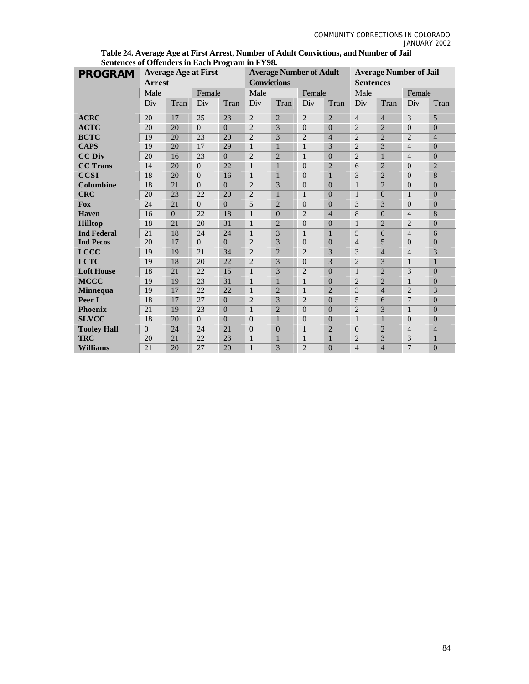JANUARY 2002

| <b>PROGRAM</b>     | <b>Arrest</b>  |                | <b>Average Age at First</b> |                | <b>Convictions</b> |                | <b>Average Number of Adult</b> |                | <b>Average Number of Jail</b><br><b>Sentences</b> |                |                |                |  |
|--------------------|----------------|----------------|-----------------------------|----------------|--------------------|----------------|--------------------------------|----------------|---------------------------------------------------|----------------|----------------|----------------|--|
|                    | Male           |                | Female                      |                | Male               |                | Female                         |                | Male                                              |                | Female         |                |  |
|                    | Div            | Tran           | Div                         | Tran           | Div                | Tran           | Div                            | Tran           | Div                                               | Tran           | Div            | Tran           |  |
| <b>ACRC</b>        | 20             | 17             | 25                          | 23             | $\overline{2}$     | $\overline{2}$ | $\overline{2}$                 | $\overline{2}$ | $\overline{4}$                                    | $\overline{4}$ | 3              | 5              |  |
| <b>ACTC</b>        | 20             | 20             | $\overline{0}$              | $\Omega$       | $\overline{2}$     | 3              | $\Omega$                       | $\overline{0}$ | $\overline{2}$                                    | $\overline{2}$ | $\theta$       | $\Omega$       |  |
| <b>BCTC</b>        | 19             | 20             | 23                          | 20             | $\overline{2}$     | 3              | $\overline{2}$                 | 4              | $\overline{2}$                                    | $\overline{2}$ | $\overline{2}$ | $\overline{4}$ |  |
| <b>CAPS</b>        | 19             | 20             | 17                          | 29             | $\mathbf{1}$       | 1              | 1                              | 3              | $\overline{2}$                                    | 3              | $\overline{4}$ | $\overline{0}$ |  |
| <b>CC</b> Div      | 20             | 16             | 23                          | $\overline{0}$ | $\overline{2}$     | 2              | 1                              | $\overline{0}$ | $\overline{2}$                                    | 1              | $\overline{4}$ | $\Omega$       |  |
| <b>CC</b> Trans    | 14             | 20             | $\mathbf{0}$                | 22             | $\mathbf{1}$       | 1              | $\overline{0}$                 | $\overline{2}$ | 6                                                 | $\overline{2}$ | $\overline{0}$ | $\overline{2}$ |  |
| <b>CCSI</b>        | 18             | 20             | $\overline{0}$              | 16             | $\mathbf{1}$       | 1              | $\Omega$                       | $\mathbf{1}$   | 3                                                 | $\overline{2}$ | $\theta$       | 8              |  |
| <b>Columbine</b>   | 18             | 21             | $\overline{0}$              | $\Omega$       | $\overline{2}$     | 3              | $\overline{0}$                 | $\overline{0}$ | 1                                                 | $\overline{2}$ | $\overline{0}$ | $\Omega$       |  |
| <b>CRC</b>         | 20             | 23             | 22                          | 20             | $\overline{2}$     | 1              | $\mathbf{1}$                   | $\overline{0}$ | $\mathbf{1}$                                      | $\Omega$       | $\mathbf{1}$   | $\Omega$       |  |
| <b>Fox</b>         | 24             | 21             | $\overline{0}$              | $\Omega$       | 5                  | $\overline{2}$ | $\Omega$                       | $\overline{0}$ | 3                                                 | 3              | $\overline{0}$ | $\Omega$       |  |
| <b>Haven</b>       | 16             | $\overline{0}$ | 22                          | 18             | $\mathbf{1}$       | $\overline{0}$ | $\overline{2}$                 | 4              | 8                                                 | $\Omega$       | $\overline{4}$ | 8              |  |
| <b>Hilltop</b>     | 18             | 21             | 20                          | 31             | 1                  | $\overline{2}$ | $\overline{0}$                 | $\overline{0}$ | 1                                                 | $\overline{2}$ | $\overline{2}$ | $\Omega$       |  |
| <b>Ind Federal</b> | 21             | 18             | 24                          | 24             | $\mathbf{1}$       | 3              | $\mathbf{1}$                   | $\mathbf{1}$   | 5                                                 | 6              | $\overline{4}$ | 6              |  |
| <b>Ind Pecos</b>   | 20             | 17             | $\overline{0}$              | $\Omega$       | $\overline{2}$     | 3              | $\overline{0}$                 | $\overline{0}$ | $\overline{4}$                                    | 5              | $\theta$       | $\Omega$       |  |
| <b>LCCC</b>        | 19             | 19             | 21                          | 34             | $\overline{2}$     | $\overline{2}$ | $\overline{2}$                 | 3              | 3                                                 | $\overline{4}$ | $\overline{4}$ | 3              |  |
| <b>LCTC</b>        | 19             | 18             | 20                          | 22             | $\overline{2}$     | 3              | $\overline{0}$                 | 3              | $\overline{2}$                                    | 3              | 1              | $\mathbf{1}$   |  |
| <b>Loft House</b>  | 18             | 21             | 22                          | 15             | $\mathbf{1}$       | 3              | $\overline{2}$                 | $\overline{0}$ | $\mathbf{1}$                                      | $\overline{2}$ | 3              | $\Omega$       |  |
| <b>MCCC</b>        | 19             | 19             | 23                          | 31             | $\mathbf{1}$       | 1              | 1                              | $\overline{0}$ | $\overline{2}$                                    | $\overline{2}$ | 1              | $\overline{0}$ |  |
| <b>Minnequa</b>    | 19             | 17             | 22                          | 22             | $\mathbf{1}$       | $\overline{2}$ | $\mathbf{1}$                   | $\overline{2}$ | 3                                                 | $\overline{4}$ | $\overline{2}$ | 3              |  |
| Peer I             | 18             | 17             | 27                          | $\Omega$       | $\overline{2}$     | 3              | $\overline{2}$                 | $\overline{0}$ | 5                                                 | 6              | 7              | $\Omega$       |  |
| <b>Phoenix</b>     | 21             | 19             | 23                          | $\overline{0}$ | $\mathbf{1}$       | $\overline{2}$ | $\overline{0}$                 | $\overline{0}$ | $\overline{2}$                                    | 3              | $\mathbf{1}$   | $\overline{0}$ |  |
| <b>SLVCC</b>       | 18             | 20             | $\overline{0}$              | $\Omega$       | $\theta$           | 1              | $\boldsymbol{0}$               | $\overline{0}$ | 1                                                 | 1              | $\theta$       | $\Omega$       |  |
| <b>Tooley Hall</b> | $\overline{0}$ | 24             | 24                          | 21             | $\overline{0}$     | $\overline{0}$ | $\mathbf{1}$                   | $\overline{2}$ | $\Omega$                                          | $\overline{2}$ | $\overline{4}$ | $\overline{4}$ |  |
| <b>TRC</b>         | 20             | 21             | 22                          | 23             | $\mathbf{1}$       | 1              | 1                              | $\mathbf{1}$   | $\overline{2}$                                    | 3              | 3              | 1              |  |
| <b>Williams</b>    | 21             | 20             | 27                          | 20             | $\mathbf{1}$       | 3              | $\overline{2}$                 | $\Omega$       | $\overline{4}$                                    | $\overline{4}$ | 7              | $\theta$       |  |

| Table 24. Average Age at First Arrest, Number of Adult Convictions, and Number of Jail |
|----------------------------------------------------------------------------------------|
| Sentences of Offenders in Each Program in FY98.                                        |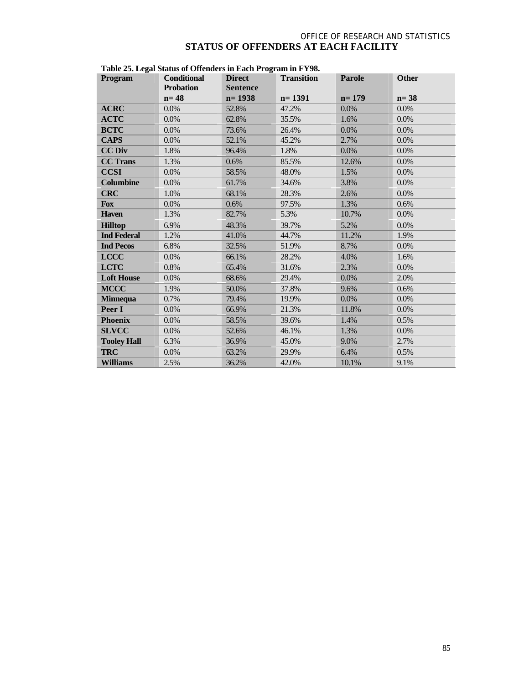### OFFICE OF RESEARCH AND STATISTICS **STATUS OF OFFENDERS AT EACH FACILITY**

| Program            | Table 25. Legal Status of Offenders in Each Program in F Y 98.<br><b>Conditional</b> | <b>Direct</b>   | <b>Transition</b> | <b>Parole</b> | <b>Other</b> |
|--------------------|--------------------------------------------------------------------------------------|-----------------|-------------------|---------------|--------------|
|                    | <b>Probation</b>                                                                     | <b>Sentence</b> |                   |               |              |
|                    | $n=48$                                                                               | $n = 1938$      | $n = 1391$        | $n = 179$     | $n=38$       |
| <b>ACRC</b>        | $0.0\%$                                                                              | 52.8%           | 47.2%             | $0.0\%$       | $0.0\%$      |
| <b>ACTC</b>        | $0.0\%$                                                                              | 62.8%           | 35.5%             | 1.6%          | $0.0\%$      |
| <b>BCTC</b>        | $0.0\%$                                                                              | 73.6%           | 26.4%             | $0.0\%$       | $0.0\%$      |
| <b>CAPS</b>        | 0.0%                                                                                 | 52.1%           | 45.2%             | 2.7%          | 0.0%         |
| <b>CC</b> Div      | 1.8%                                                                                 | 96.4%           | 1.8%              | $0.0\%$       | $0.0\%$      |
| <b>CC</b> Trans    | 1.3%                                                                                 | $0.6\%$         | 85.5%             | 12.6%         | $0.0\%$      |
| <b>CCSI</b>        | 0.0%                                                                                 | 58.5%           | 48.0%             | 1.5%          | 0.0%         |
| <b>Columbine</b>   | $0.0\%$                                                                              | 61.7%           | 34.6%             | 3.8%          | $0.0\%$      |
| <b>CRC</b>         | 1.0%                                                                                 | 68.1%           | 28.3%             | 2.6%          | $0.0\%$      |
| <b>Fox</b>         | 0.0%                                                                                 | 0.6%            | 97.5%             | 1.3%          | 0.6%         |
| <b>Haven</b>       | 1.3%                                                                                 | 82.7%           | 5.3%              | 10.7%         | $0.0\%$      |
| <b>Hilltop</b>     | 6.9%                                                                                 | 48.3%           | 39.7%             | 5.2%          | $0.0\%$      |
| <b>Ind Federal</b> | 1.2%                                                                                 | 41.0%           | 44.7%             | 11.2%         | 1.9%         |
| <b>Ind Pecos</b>   | 6.8%                                                                                 | 32.5%           | 51.9%             | 8.7%          | 0.0%         |
| <b>LCCC</b>        | $0.0\%$                                                                              | 66.1%           | 28.2%             | 4.0%          | 1.6%         |
| <b>LCTC</b>        | 0.8%                                                                                 | 65.4%           | 31.6%             | 2.3%          | $0.0\%$      |
| <b>Loft House</b>  | 0.0%                                                                                 | 68.6%           | 29.4%             | 0.0%          | 2.0%         |
| <b>MCCC</b>        | 1.9%                                                                                 | 50.0%           | 37.8%             | 9.6%          | 0.6%         |
| <b>Minnequa</b>    | 0.7%                                                                                 | 79.4%           | 19.9%             | $0.0\%$       | 0.0%         |
| Peer I             | 0.0%                                                                                 | 66.9%           | 21.3%             | 11.8%         | 0.0%         |
| <b>Phoenix</b>     | $0.0\%$                                                                              | 58.5%           | 39.6%             | 1.4%          | 0.5%         |
| <b>SLVCC</b>       | $0.0\%$                                                                              | 52.6%           | 46.1%             | 1.3%          | $0.0\%$      |
| <b>Tooley Hall</b> | 6.3%                                                                                 | 36.9%           | 45.0%             | 9.0%          | 2.7%         |
| <b>TRC</b>         | 0.0%                                                                                 | 63.2%           | 29.9%             | 6.4%          | 0.5%         |
| <b>Williams</b>    | 2.5%                                                                                 | 36.2%           | 42.0%             | 10.1%         | 9.1%         |

## **Table 25. Legal Status of Offenders in Each Program in FY98.**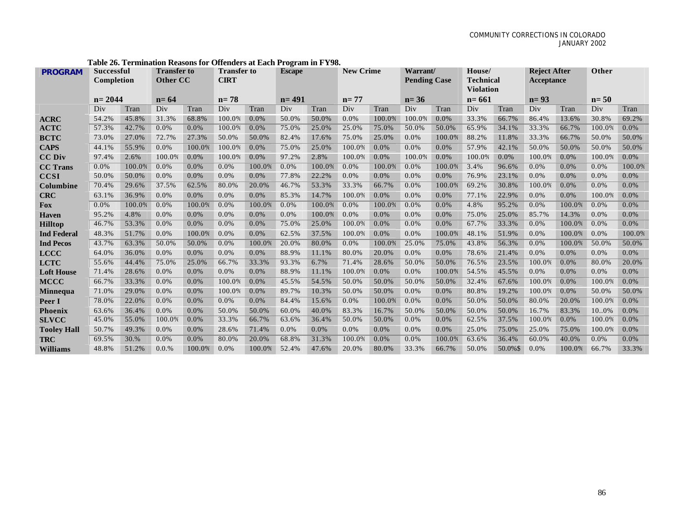| <b>PROGRAM</b>     | <b>Successful</b><br>Completion |        | <b>Transfer to</b><br>Other CC |        | <b>Transfer to</b><br><b>CIRT</b> |        | <b>Escape</b> |        | <b>New Crime</b> |        | Warrant/            |        | House/           |         | <b>Reject After</b> |        | Other  |        |
|--------------------|---------------------------------|--------|--------------------------------|--------|-----------------------------------|--------|---------------|--------|------------------|--------|---------------------|--------|------------------|---------|---------------------|--------|--------|--------|
|                    |                                 |        |                                |        |                                   |        |               |        |                  |        | <b>Pending Case</b> |        | <b>Technical</b> |         | Acceptance          |        |        |        |
|                    |                                 |        |                                |        |                                   |        |               |        |                  |        |                     |        | <b>Violation</b> |         |                     |        |        |        |
|                    | $n = 2044$                      |        | $n = 64$                       |        | $n=78$                            |        | $n = 491$     |        | $n=77$           |        | $n=36$              |        | $n = 661$        |         | $n=93$              |        | $n=50$ |        |
|                    | Div                             | Tran   | Div                            | Tran   | Div                               | Tran   | Div           | Tran   | Div              | Tran   | Div                 | Tran   | Div              | Tran    | Div                 | Tran   | Div    | Tran   |
| <b>ACRC</b>        | 54.2%                           | 45.8%  | 31.3%                          | 68.8%  | 100.0%                            | 0.0%   | 50.0%         | 50.0%  | 0.0%             | 100.0% | 100.0%              | 0.0%   | 33.3%            | 66.7%   | 86.4%               | 13.6%  | 30.8%  | 69.2%  |
| <b>ACTC</b>        | 57.3%                           | 42.7%  | 0.0%                           | 0.0%   | 100.0%                            | 0.0%   | 75.0%         | 25.0%  | 25.0%            | 75.0%  | 50.0%               | 50.0%  | 65.9%            | 34.1%   | 33.3%               | 66.7%  | 100.0% | 0.0%   |
| <b>BCTC</b>        | 73.0%                           | 27.0%  | 72.7%                          | 27.3%  | 50.0%                             | 50.0%  | 82.4%         | 17.6%  | 75.0%            | 25.0%  | 0.0%                | 100.0% | 88.2%            | 11.8%   | 33.3%               | 66.7%  | 50.0%  | 50.0%  |
| <b>CAPS</b>        | 44.1%                           | 55.9%  | 0.0%                           | 100.0% | 100.0%                            | 0.0%   | 75.0%         | 25.0%  | 100.0%           | 0.0%   | $0.0\%$             | 0.0%   | 57.9%            | 42.1%   | 50.0%               | 50.0%  | 50.0%  | 50.0%  |
| <b>CC</b> Div      | 97.4%                           | 2.6%   | 100.0%                         | 0.0%   | 100.0%                            | 0.0%   | 97.2%         | 2.8%   | 100.0%           | 0.0%   | 100.0%              | 0.0%   | 100.0%           | 0.0%    | 100.0%              | 0.0%   | 100.0% | 0.0%   |
| <b>CC Trans</b>    | 0.0%                            | 100.0% | 0.0%                           | 0.0%   | 0.0%                              | 100.0% | 0.0%          | 100.0% | 0.0%             | 100.0% | 0.0%                | 100.0% | 3.4%             | 96.6%   | 0.0%                | 0.0%   | 0.0%   | 100.0% |
| <b>CCSI</b>        | 50.0%                           | 50.0%  | 0.0%                           | 0.0%   | 0.0%                              | 0.0%   | 77.8%         | 22.2%  | 0.0%             | 0.0%   | 0.0%                | 0.0%   | 76.9%            | 23.1%   | 0.0%                | 0.0%   | 0.0%   | 0.0%   |
| Columbine          | 70.4%                           | 29.6%  | 37.5%                          | 62.5%  | 80.0%                             | 20.0%  | 46.7%         | 53.3%  | 33.3%            | 66.7%  | 0.0%                | 100.0% | 69.2%            | 30.8%   | 100.0%              | 0.0%   | 0.0%   | 0.0%   |
| <b>CRC</b>         | 63.1%                           | 36.9%  | $0.0\%$                        | 0.0%   | 0.0%                              | 0.0%   | 85.3%         | 14.7%  | 100.0%           | 0.0%   | 0.0%                | 0.0%   | 77.1%            | 22.9%   | 0.0%                | 0.0%   | 100.0% | 0.0%   |
| <b>Fox</b>         | 0.0%                            | 100.0% | 0.0%                           | 100.0% | 0.0%                              | 100.0% | 0.0%          | 100.0% | 0.0%             | 100.0% | 0.0%                | 0.0%   | 4.8%             | 95.2%   | 0.0%                | 100.0% | 0.0%   | 0.0%   |
| <b>Haven</b>       | 95.2%                           | 4.8%   | 0.0%                           | 0.0%   | 0.0%                              | 0.0%   | 0.0%          | 100.0% | 0.0%             | 0.0%   | 0.0%                | 0.0%   | 75.0%            | 25.0%   | 85.7%               | 14.3%  | 0.0%   | 0.0%   |
| <b>Hilltop</b>     | 46.7%                           | 53.3%  | 0.0%                           | 0.0%   | 0.0%                              | 0.0%   | 75.0%         | 25.0%  | 100.0%           | 0.0%   | 0.0%                | 0.0%   | 67.7%            | 33.3%   | 0.0%                | 100.0% | 0.0%   | 0.0%   |
| <b>Ind Federal</b> | 48.3%                           | 51.7%  | 0.0%                           | 100.0% | 0.0%                              | 0.0%   | 62.5%         | 37.5%  | 100.0%           | 0.0%   | 0.0%                | 100.0% | 48.1%            | 51.9%   | 0.0%                | 100.0% | 0.0%   | 100.0% |
| <b>Ind Pecos</b>   | 43.7%                           | 63.3%  | 50.0%                          | 50.0%  | 0.0%                              | 100.0% | 20.0%         | 80.0%  | 0.0%             | 100.0% | 25.0%               | 75.0%  | 43.8%            | 56.3%   | 0.0%                | 100.0% | 50.0%  | 50.0%  |
| <b>LCCC</b>        | 64.0%                           | 36.0%  | 0.0%                           | 0.0%   | 0.0%                              | 0.0%   | 88.9%         | 11.1%  | 80.0%            | 20.0%  | 0.0%                | 0.0%   | 78.6%            | 21.4%   | 0.0%                | 0.0%   | 0.0%   | 0.0%   |
| <b>LCTC</b>        | 55.6%                           | 44.4%  | 75.0%                          | 25.0%  | 66.7%                             | 33.3%  | 93.3%         | 6.7%   | 71.4%            | 28.6%  | 50.0%               | 50.0%  | 76.5%            | 23.5%   | 100.0%              | 0.0%   | 80.0%  | 20.0%  |
| <b>Loft House</b>  | 71.4%                           | 28.6%  | 0.0%                           | 0.0%   | 0.0%                              | 0.0%   | 88.9%         | 11.1%  | 100.0%           | 0.0%   | 0.0%                | 100.0% | 54.5%            | 45.5%   | 0.0%                | 0.0%   | 0.0%   | 0.0%   |
| <b>MCCC</b>        | 66.7%                           | 33.3%  | 0.0%                           | 0.0%   | 100.0%                            | 0.0%   | 45.5%         | 54.5%  | 50.0%            | 50.0%  | 50.0%               | 50.0%  | 32.4%            | 67.6%   | 100.0%              | 0.0%   | 100.0% | 0.0%   |
| <b>Minnequa</b>    | 71.0%                           | 29.0%  | 0.0%                           | 0.0%   | 100.0%                            | 0.0%   | 89.7%         | 10.3%  | 50.0%            | 50.0%  | 0.0%                | 0.0%   | 80.8%            | 19.2%   | 100.0%              | 0.0%   | 50.0%  | 50.0%  |
| Peer I             | 78.0%                           | 22.0%  | 0.0%                           | 0.0%   | 0.0%                              | 0.0%   | 84.4%         | 15.6%  | 0.0%             | 100.0% | 0.0%                | 0.0%   | 50.0%            | 50.0%   | 80.0%               | 20.0%  | 100.0% | 0.0%   |
| <b>Phoenix</b>     | 63.6%                           | 36.4%  | 0.0%                           | 0.0%   | 50.0%                             | 50.0%  | 60.0%         | 40.0%  | 83.3%            | 16.7%  | 50.0%               | 50.0%  | 50.0%            | 50.0%   | 16.7%               | 83.3%  | 100%   | 0.0%   |
| <b>SLVCC</b>       | 45.0%                           | 55.0%  | 100.0%                         | 0.0%   | 33.3%                             | 66.7%  | 63.6%         | 36.4%  | 50.0%            | 50.0%  | 0.0%                | 0.0%   | 62.5%            | 37.5%   | 100.0%              | 0.0%   | 100.0% | 0.0%   |
| <b>Tooley Hall</b> | 50.7%                           | 49.3%  | $0.0\%$                        | 0.0%   | 28.6%                             | 71.4%  | $0.0\%$       | 0.0%   | 0.0%             | 0.0%   | 0.0%                | 0.0%   | 25.0%            | 75.0%   | 25.0%               | 75.0%  | 100.0% | 0.0%   |
| <b>TRC</b>         | 69.5%                           | 30.%   | 0.0%                           | 0.0%   | 80.0%                             | 20.0%  | 68.8%         | 31.3%  | 100.0%           | 0.0%   | $0.0\%$             | 100.0% | 63.6%            | 36.4%   | 60.0%               | 40.0%  | 0.0%   | 0.0%   |
| <b>Williams</b>    | 48.8%                           | 51.2%  | 0.0.%                          | 100.0% | 0.0%                              | 100.0% | 52.4%         | 47.6%  | 20.0%            | 80.0%  | 33.3%               | 66.7%  | 50.0%            | 50.0%\$ | 0.0%                | 100.0% | 66.7%  | 33.3%  |

#### **Table 26. Termination Reasons for Offenders at Each Program in FY98.**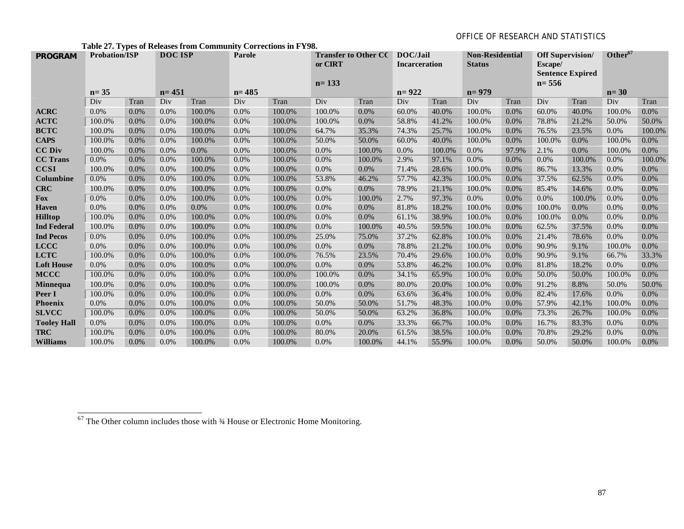OFFICE OF RESEARCH AND STATISTICS

|                    |                      |      |                |           |         | Table 27. Types of Releases from Community Corrections in FY98. |         |                                                     |         |                                               |         |                                                      |         |                                                                            |        |        |
|--------------------|----------------------|------|----------------|-----------|---------|-----------------------------------------------------------------|---------|-----------------------------------------------------|---------|-----------------------------------------------|---------|------------------------------------------------------|---------|----------------------------------------------------------------------------|--------|--------|
| <b>PROGRAM</b>     | <b>Probation/ISP</b> |      | <b>DOC ISP</b> |           | Parole  | $n = 485$                                                       |         | <b>Transfer to Other CC</b><br>or CIRT<br>$n = 133$ |         | DOC/Jail<br><b>Incarceration</b><br>$n = 922$ |         | <b>Non-Residential</b><br><b>Status</b><br>$n = 979$ |         | <b>Off Supervision/</b><br>Escape/<br><b>Sentence Expired</b><br>$n = 556$ |        |        |
|                    | $n = 35$             |      |                | $n = 451$ |         |                                                                 |         |                                                     |         |                                               |         |                                                      |         |                                                                            |        |        |
|                    | Div                  | Tran | Div            | Tran      | Div     | Tran                                                            | Div     | Tran                                                | Div     | Tran                                          | Div     | Tran                                                 | Div     | Tran                                                                       | Div    | Tran   |
| <b>ACRC</b>        | 0.0%                 | 0.0% | 0.0%           | 100.0%    | 0.0%    | 100.0%                                                          | 100.0%  | 0.0%                                                | 60.0%   | 40.0%                                         | 100.0%  | 0.0%                                                 | 60.0%   | 40.0%                                                                      | 100.0% | 0.0%   |
| <b>ACTC</b>        | 100.0%               | 0.0% | 0.0%           | 100.0%    | 0.0%    | 100.0%                                                          | 100.0%  | 0.0%                                                | 58.8%   | 41.2%                                         | 100.0%  | 0.0%                                                 | 78.8%   | 21.2%                                                                      | 50.0%  | 50.0%  |
| <b>BCTC</b>        | 100.0%               | 0.0% | 0.0%           | 100.0%    | 0.0%    | 100.0%                                                          | 64.7%   | 35.3%                                               | 74.3%   | 25.7%                                         | 100.0%  | 0.0%                                                 | 76.5%   | 23.5%                                                                      | 0.0%   | 100.0% |
| <b>CAPS</b>        | 100.0%               | 0.0% | $0.0\%$        | 100.0%    | 0.0%    | 100.0%                                                          | 50.0%   | 50.0%                                               | 60.0%   | 40.0%                                         | 100.0%  | 0.0%                                                 | 100.0%  | 0.0%                                                                       | 100.0% | 0.0%   |
| <b>CC Div</b>      | 100.0%               | 0.0% | 0.0%           | 0.0%      | 0.0%    | 100.0%                                                          | $0.0\%$ | 100.0%                                              | $0.0\%$ | 100.0%                                        | 0.0%    | 97.9%                                                | 2.1%    | 0.0%                                                                       | 100.0% | 0.0%   |
| <b>CC</b> Trans    | 0.0%                 | 0.0% | 0.0%           | 100.0%    | 0.0%    | 100.0%                                                          | 0.0%    | 100.0%                                              | 2.9%    | 97.1%                                         | 0.0%    | 0.0%                                                 | 0.0%    | 100.0%                                                                     | 0.0%   | 100.0% |
| <b>CCSI</b>        | 100.0%               | 0.0% | 0.0%           | 100.0%    | 0.0%    | 100.0%                                                          | 0.0%    | 0.0%                                                | 71.4%   | 28.6%                                         | 100.0%  | 0.0%                                                 | 86.7%   | 13.3%                                                                      | 0.0%   | 0.0%   |
| Columbine          | 0.0%                 | 0.0% | 0.0%           | 100.0%    | 0.0%    | 100.0%                                                          | 53.8%   | 46.2%                                               | 57.7%   | 42.3%                                         | 100.0%  | 0.0%                                                 | 37.5%   | 62.5%                                                                      | 0.0%   | 0.0%   |
| <b>CRC</b>         | 100.0%               | 0.0% | 0.0%           | 100.0%    | 0.0%    | 100.0%                                                          | $0.0\%$ | 0.0%                                                | 78.9%   | 21.1%                                         | 100.0%  | 0.0%                                                 | 85.4%   | 14.6%                                                                      | 0.0%   | 0.0%   |
| <b>Fox</b>         | 0.0%                 | 0.0% | 0.0%           | 100.0%    | 0.0%    | 100.0%                                                          | $0.0\%$ | 100.0%                                              | 2.7%    | 97.3%                                         | $0.0\%$ | 0.0%                                                 | $0.0\%$ | 100.0%                                                                     | 0.0%   | 0.0%   |
| <b>Haven</b>       | 0.0%                 | 0.0% | 0.0%           | 0.0%      | 0.0%    | 100.0%                                                          | 0.0%    | 0.0%                                                | 81.8%   | 18.2%                                         | 100.0%  | 0.0%                                                 | 100.0%  | 0.0%                                                                       | 0.0%   | 0.0%   |
| <b>Hilltop</b>     | 100.0%               | 0.0% | 0.0%           | 100.0%    | 0.0%    | 100.0%                                                          | 0.0%    | 0.0%                                                | 61.1%   | 38.9%                                         | 100.0%  | 0.0%                                                 | 100.0%  | 0.0%                                                                       | 0.0%   | 0.0%   |
| <b>Ind Federal</b> | 100.0%               | 0.0% | 0.0%           | 100.0%    | 0.0%    | 100.0%                                                          | 0.0%    | 100.0%                                              | 40.5%   | 59.5%                                         | 100.0%  | 0.0%                                                 | 62.5%   | 37.5%                                                                      | 0.0%   | 0.0%   |
| <b>Ind Pecos</b>   | 0.0%                 | 0.0% | 0.0%           | 100.0%    | 0.0%    | 100.0%                                                          | 25.0%   | 75.0%                                               | 37.2%   | 62.8%                                         | 100.0%  | 0.0%                                                 | 21.4%   | 78.6%                                                                      | 0.0%   | 0.0%   |
| <b>LCCC</b>        | $0.0\%$              | 0.0% | 0.0%           | 100.0%    | 0.0%    | 100.0%                                                          | $0.0\%$ | 0.0%                                                | 78.8%   | 21.2%                                         | 100.0%  | 0.0%                                                 | 90.9%   | 9.1%                                                                       | 100.0% | 0.0%   |
| <b>LCTC</b>        | 100.0%               | 0.0% | 0.0%           | 100.0%    | 0.0%    | 100.0%                                                          | 76.5%   | 23.5%                                               | 70.4%   | 29.6%                                         | 100.0%  | 0.0%                                                 | 90.9%   | 9.1%                                                                       | 66.7%  | 33.3%  |
| <b>Loft House</b>  | 0.0%                 | 0.0% | 0.0%           | 100.0%    | 0.0%    | 100.0%                                                          | 0.0%    | 0.0%                                                | 53.8%   | 46.2%                                         | 100.0%  | 0.0%                                                 | 81.8%   | 18.2%                                                                      | 0.0%   | 0.0%   |
| <b>MCCC</b>        | 100.0%               | 0.0% | 0.0%           | 100.0%    | 0.0%    | 100.0%                                                          | 100.0%  | 0.0%                                                | 34.1%   | 65.9%                                         | 100.0%  | 0.0%                                                 | 50.0%   | 50.0%                                                                      | 100.0% | 0.0%   |
| Minnequa           | 100.0%               | 0.0% | 0.0%           | 100.0%    | 0.0%    | 100.0%                                                          | 100.0%  | 0.0%                                                | 80.0%   | 20.0%                                         | 100.0%  | 0.0%                                                 | 91.2%   | 8.8%                                                                       | 50.0%  | 50.0%  |
| Peer I             | 100.0%               | 0.0% | 0.0%           | 100.0%    | 0.0%    | 100.0%                                                          | 0.0%    | 0.0%                                                | 63.6%   | 36.4%                                         | 100.0%  | 0.0%                                                 | 82.4%   | 17.6%                                                                      | 0.0%   | 0.0%   |
| <b>Phoenix</b>     | 0.0%                 | 0.0% | 0.0%           | 100.0%    | $0.0\%$ | 100.0%                                                          | 50.0%   | 50.0%                                               | 51.7%   | 48.3%                                         | 100.0%  | $0.0\%$                                              | 57.9%   | 42.1%                                                                      | 100.0% | 0.0%   |
| <b>SLVCC</b>       | 100.0%               | 0.0% | 0.0%           | 100.0%    | 0.0%    | 100.0%                                                          | 50.0%   | 50.0%                                               | 63.2%   | 36.8%                                         | 100.0%  | 0.0%                                                 | 73.3%   | 26.7%                                                                      | 100.0% | 0.0%   |
| <b>Tooley Hall</b> | 0.0%                 | 0.0% | 0.0%           | 100.0%    | 0.0%    | 100.0%                                                          | 0.0%    | 0.0%                                                | 33.3%   | 66.7%                                         | 100.0%  | 0.0%                                                 | 16.7%   | 83.3%                                                                      | 0.0%   | 0.0%   |
| <b>TRC</b>         | 100.0%               | 0.0% | 0.0%           | 100.0%    | 0.0%    | 100.0%                                                          | 80.0%   | 20.0%                                               | 61.5%   | 38.5%                                         | 100.0%  | 0.0%                                                 | 70.8%   | 29.2%                                                                      | 0.0%   | 0.0%   |
| <b>Williams</b>    | 100.0%               | 0.0% | 0.0%           | 100.0%    | 0.0%    | 100.0%                                                          | 0.0%    | 100.0%                                              | 44.1%   | 55.9%                                         | 100.0%  | 0.0%                                                 | 50.0%   | 50.0%                                                                      | 100.0% | 0.0%   |

l  $67$  The Other column includes those with  $\frac{3}{4}$  House or Electronic Home Monitoring.